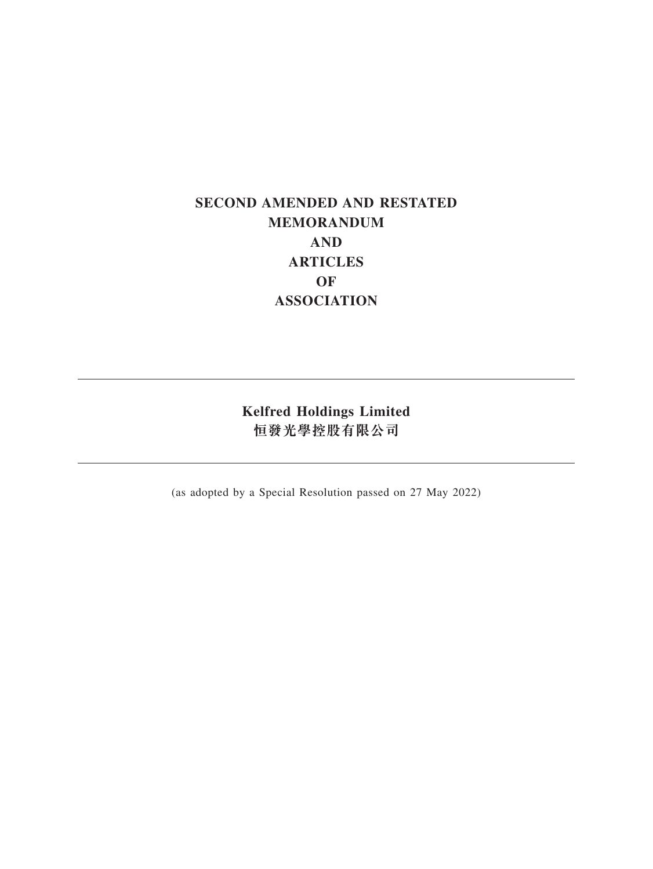# **SECOND AMENDED AND RESTATED MEMORANDUM AND ARTICLES OF ASSOCIATION**

**Kelfred Holdings Limited 恒發光學控股有限公司**

(as adopted by a Special Resolution passed on 27 May 2022)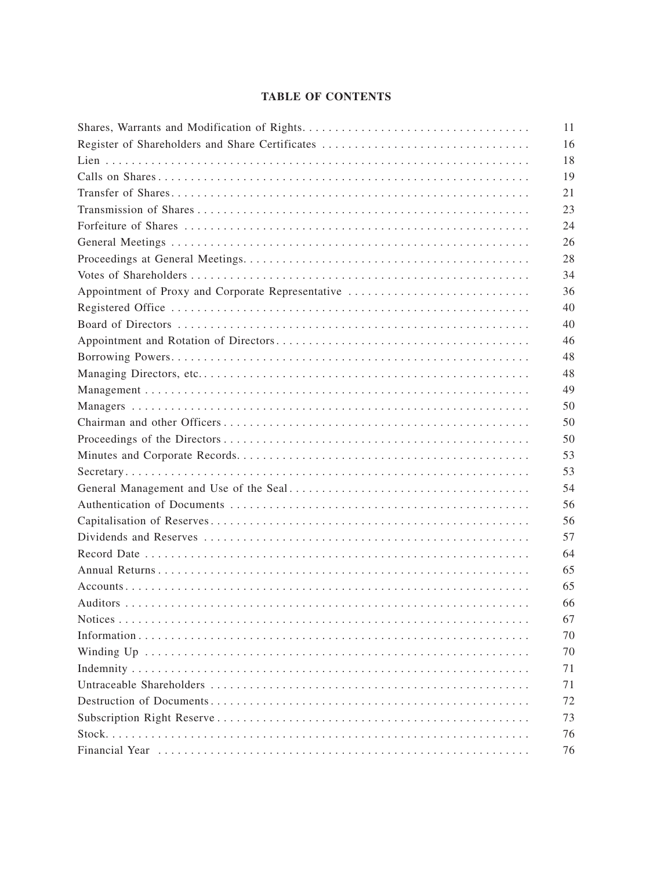# **TABLE OF CONTENTS**

|                                                   | 11 |
|---------------------------------------------------|----|
| Register of Shareholders and Share Certificates   | 16 |
|                                                   | 18 |
|                                                   | 19 |
|                                                   | 21 |
|                                                   | 23 |
|                                                   | 24 |
|                                                   | 26 |
|                                                   | 28 |
|                                                   | 34 |
| Appointment of Proxy and Corporate Representative | 36 |
|                                                   | 40 |
|                                                   | 40 |
|                                                   | 46 |
|                                                   | 48 |
|                                                   | 48 |
|                                                   | 49 |
|                                                   | 50 |
|                                                   | 50 |
|                                                   | 50 |
|                                                   | 53 |
|                                                   | 53 |
|                                                   | 54 |
|                                                   | 56 |
|                                                   | 56 |
|                                                   | 57 |
|                                                   | 64 |
|                                                   | 65 |
|                                                   | 65 |
|                                                   | 66 |
|                                                   | 67 |
|                                                   | 70 |
|                                                   | 70 |
|                                                   | 71 |
|                                                   | 71 |
|                                                   | 72 |
|                                                   | 73 |
|                                                   | 76 |
|                                                   | 76 |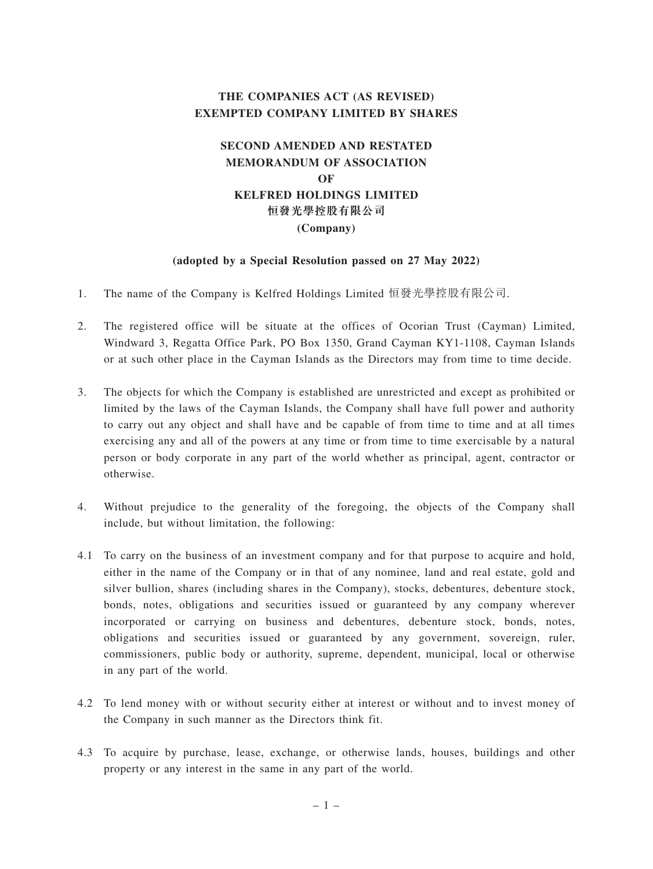# **THE COMPANIES ACT (AS REVISED) EXEMPTED COMPANY LIMITED BY SHARES**

# **SECOND AMENDED AND RESTATED MEMORANDUM OF ASSOCIATION OF KELFRED HOLDINGS LIMITED 恒發光學控股有限公司 (Company)**

#### **(adopted by a Special Resolution passed on 27 May 2022)**

- 1. The name of the Company is Kelfred Holdings Limited 恒發光學控股有限公司.
- 2. The registered office will be situate at the offices of Ocorian Trust (Cayman) Limited, Windward 3, Regatta Office Park, PO Box 1350, Grand Cayman KY1-1108, Cayman Islands or at such other place in the Cayman Islands as the Directors may from time to time decide.
- 3. The objects for which the Company is established are unrestricted and except as prohibited or limited by the laws of the Cayman Islands, the Company shall have full power and authority to carry out any object and shall have and be capable of from time to time and at all times exercising any and all of the powers at any time or from time to time exercisable by a natural person or body corporate in any part of the world whether as principal, agent, contractor or otherwise.
- 4. Without prejudice to the generality of the foregoing, the objects of the Company shall include, but without limitation, the following:
- 4.1 To carry on the business of an investment company and for that purpose to acquire and hold, either in the name of the Company or in that of any nominee, land and real estate, gold and silver bullion, shares (including shares in the Company), stocks, debentures, debenture stock, bonds, notes, obligations and securities issued or guaranteed by any company wherever incorporated or carrying on business and debentures, debenture stock, bonds, notes, obligations and securities issued or guaranteed by any government, sovereign, ruler, commissioners, public body or authority, supreme, dependent, municipal, local or otherwise in any part of the world.
- 4.2 To lend money with or without security either at interest or without and to invest money of the Company in such manner as the Directors think fit.
- 4.3 To acquire by purchase, lease, exchange, or otherwise lands, houses, buildings and other property or any interest in the same in any part of the world.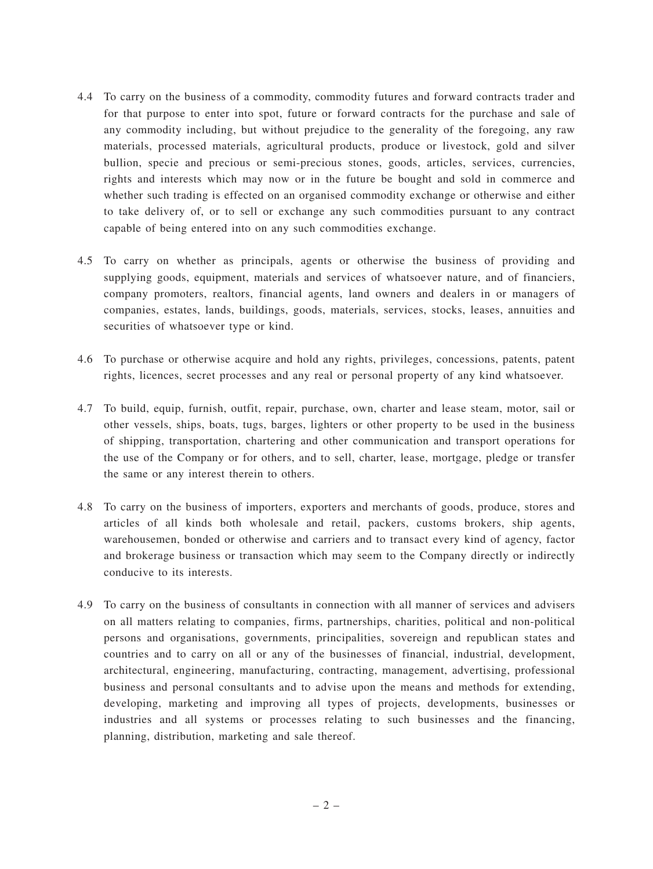- 4.4 To carry on the business of a commodity, commodity futures and forward contracts trader and for that purpose to enter into spot, future or forward contracts for the purchase and sale of any commodity including, but without prejudice to the generality of the foregoing, any raw materials, processed materials, agricultural products, produce or livestock, gold and silver bullion, specie and precious or semi-precious stones, goods, articles, services, currencies, rights and interests which may now or in the future be bought and sold in commerce and whether such trading is effected on an organised commodity exchange or otherwise and either to take delivery of, or to sell or exchange any such commodities pursuant to any contract capable of being entered into on any such commodities exchange.
- 4.5 To carry on whether as principals, agents or otherwise the business of providing and supplying goods, equipment, materials and services of whatsoever nature, and of financiers, company promoters, realtors, financial agents, land owners and dealers in or managers of companies, estates, lands, buildings, goods, materials, services, stocks, leases, annuities and securities of whatsoever type or kind.
- 4.6 To purchase or otherwise acquire and hold any rights, privileges, concessions, patents, patent rights, licences, secret processes and any real or personal property of any kind whatsoever.
- 4.7 To build, equip, furnish, outfit, repair, purchase, own, charter and lease steam, motor, sail or other vessels, ships, boats, tugs, barges, lighters or other property to be used in the business of shipping, transportation, chartering and other communication and transport operations for the use of the Company or for others, and to sell, charter, lease, mortgage, pledge or transfer the same or any interest therein to others.
- 4.8 To carry on the business of importers, exporters and merchants of goods, produce, stores and articles of all kinds both wholesale and retail, packers, customs brokers, ship agents, warehousemen, bonded or otherwise and carriers and to transact every kind of agency, factor and brokerage business or transaction which may seem to the Company directly or indirectly conducive to its interests.
- 4.9 To carry on the business of consultants in connection with all manner of services and advisers on all matters relating to companies, firms, partnerships, charities, political and non-political persons and organisations, governments, principalities, sovereign and republican states and countries and to carry on all or any of the businesses of financial, industrial, development, architectural, engineering, manufacturing, contracting, management, advertising, professional business and personal consultants and to advise upon the means and methods for extending, developing, marketing and improving all types of projects, developments, businesses or industries and all systems or processes relating to such businesses and the financing, planning, distribution, marketing and sale thereof.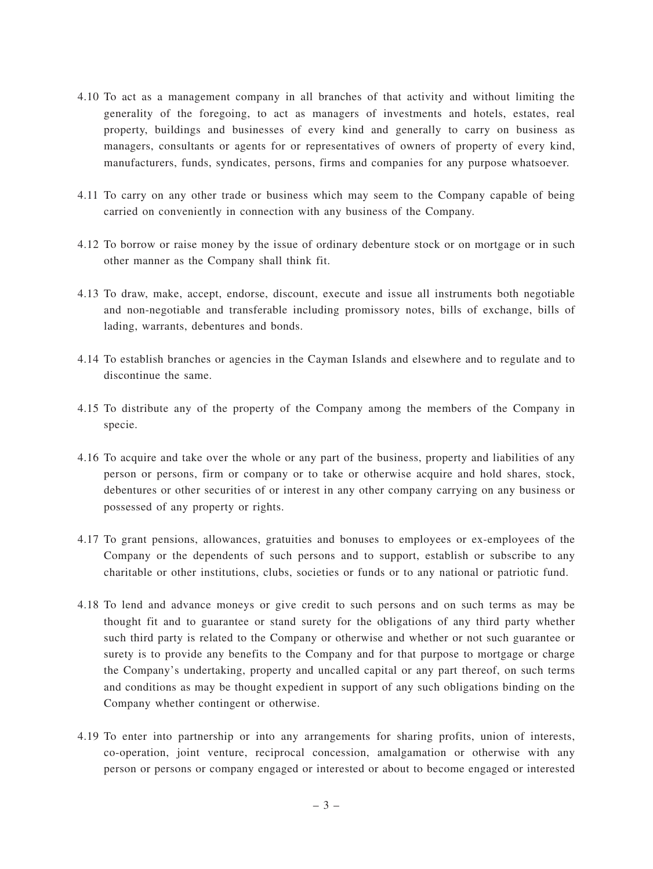- 4.10 To act as a management company in all branches of that activity and without limiting the generality of the foregoing, to act as managers of investments and hotels, estates, real property, buildings and businesses of every kind and generally to carry on business as managers, consultants or agents for or representatives of owners of property of every kind, manufacturers, funds, syndicates, persons, firms and companies for any purpose whatsoever.
- 4.11 To carry on any other trade or business which may seem to the Company capable of being carried on conveniently in connection with any business of the Company.
- 4.12 To borrow or raise money by the issue of ordinary debenture stock or on mortgage or in such other manner as the Company shall think fit.
- 4.13 To draw, make, accept, endorse, discount, execute and issue all instruments both negotiable and non-negotiable and transferable including promissory notes, bills of exchange, bills of lading, warrants, debentures and bonds.
- 4.14 To establish branches or agencies in the Cayman Islands and elsewhere and to regulate and to discontinue the same.
- 4.15 To distribute any of the property of the Company among the members of the Company in specie.
- 4.16 To acquire and take over the whole or any part of the business, property and liabilities of any person or persons, firm or company or to take or otherwise acquire and hold shares, stock, debentures or other securities of or interest in any other company carrying on any business or possessed of any property or rights.
- 4.17 To grant pensions, allowances, gratuities and bonuses to employees or ex-employees of the Company or the dependents of such persons and to support, establish or subscribe to any charitable or other institutions, clubs, societies or funds or to any national or patriotic fund.
- 4.18 To lend and advance moneys or give credit to such persons and on such terms as may be thought fit and to guarantee or stand surety for the obligations of any third party whether such third party is related to the Company or otherwise and whether or not such guarantee or surety is to provide any benefits to the Company and for that purpose to mortgage or charge the Company's undertaking, property and uncalled capital or any part thereof, on such terms and conditions as may be thought expedient in support of any such obligations binding on the Company whether contingent or otherwise.
- 4.19 To enter into partnership or into any arrangements for sharing profits, union of interests, co-operation, joint venture, reciprocal concession, amalgamation or otherwise with any person or persons or company engaged or interested or about to become engaged or interested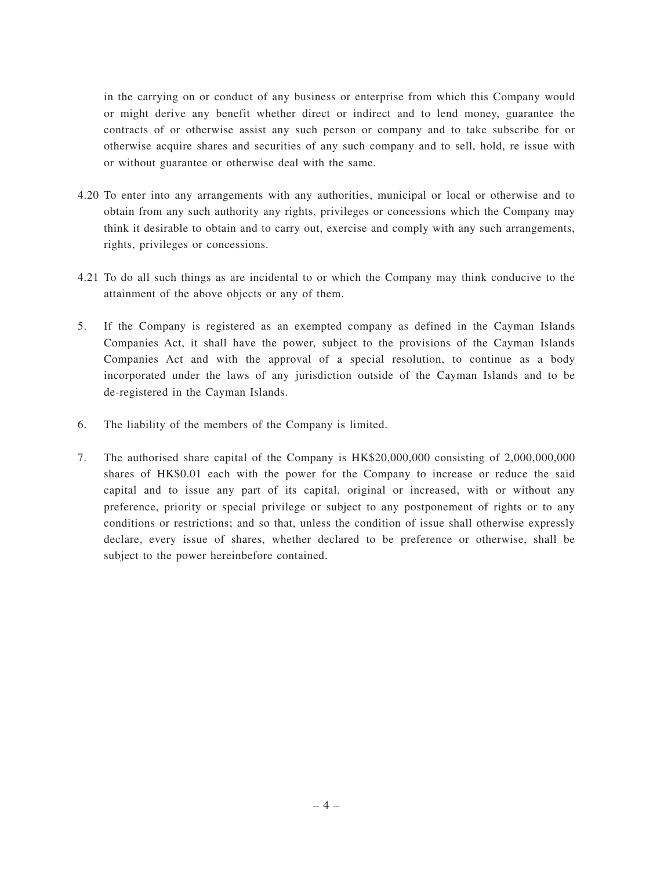in the carrying on or conduct of any business or enterprise from which this Company would or might derive any benefit whether direct or indirect and to lend money, guarantee the contracts of or otherwise assist any such person or company and to take subscribe for or otherwise acquire shares and securities of any such company and to sell, hold, re issue with or without guarantee or otherwise deal with the same.

- 4.20 To enter into any arrangements with any authorities, municipal or local or otherwise and to obtain from any such authority any rights, privileges or concessions which the Company may think it desirable to obtain and to carry out, exercise and comply with any such arrangements, rights, privileges or concessions.
- 4.21 To do all such things as are incidental to or which the Company may think conducive to the attainment of the above objects or any of them.
- 5. If the Company is registered as an exempted company as defined in the Cayman Islands Companies Act, it shall have the power, subject to the provisions of the Cayman Islands Companies Act and with the approval of a special resolution, to continue as a body incorporated under the laws of any jurisdiction outside of the Cayman Islands and to be de-registered in the Cayman Islands.
- 6. The liability of the members of the Company is limited.
- 7. The authorised share capital of the Company is HK\$20,000,000 consisting of 2,000,000,000 shares of HK\$0.01 each with the power for the Company to increase or reduce the said capital and to issue any part of its capital, original or increased, with or without any preference, priority or special privilege or subject to any postponement of rights or to any conditions or restrictions; and so that, unless the condition of issue shall otherwise expressly declare, every issue of shares, whether declared to be preference or otherwise, shall be subject to the power hereinbefore contained.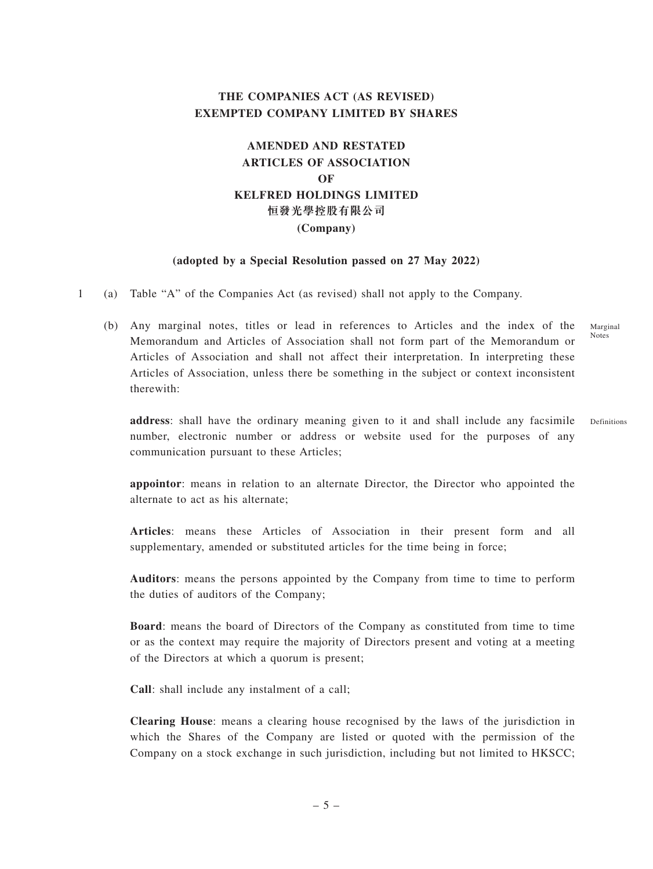# **THE COMPANIES ACT (AS REVISED) EXEMPTED COMPANY LIMITED BY SHARES**

# **AMENDED AND RESTATED ARTICLES OF ASSOCIATION OF KELFRED HOLDINGS LIMITED 恒發光學控股有限公司 (Company)**

#### **(adopted by a Special Resolution passed on 27 May 2022)**

- 1 (a) Table "A" of the Companies Act (as revised) shall not apply to the Company.
	- (b) Any marginal notes, titles or lead in references to Articles and the index of the Memorandum and Articles of Association shall not form part of the Memorandum or Articles of Association and shall not affect their interpretation. In interpreting these Articles of Association, unless there be something in the subject or context inconsistent therewith: Marginal Notes

**address**: shall have the ordinary meaning given to it and shall include any facsimile number, electronic number or address or website used for the purposes of any communication pursuant to these Articles; Definitions

**appointor**: means in relation to an alternate Director, the Director who appointed the alternate to act as his alternate;

**Articles**: means these Articles of Association in their present form and all supplementary, amended or substituted articles for the time being in force;

**Auditors**: means the persons appointed by the Company from time to time to perform the duties of auditors of the Company;

**Board**: means the board of Directors of the Company as constituted from time to time or as the context may require the majority of Directors present and voting at a meeting of the Directors at which a quorum is present;

**Call**: shall include any instalment of a call;

**Clearing House**: means a clearing house recognised by the laws of the jurisdiction in which the Shares of the Company are listed or quoted with the permission of the Company on a stock exchange in such jurisdiction, including but not limited to HKSCC;

–5–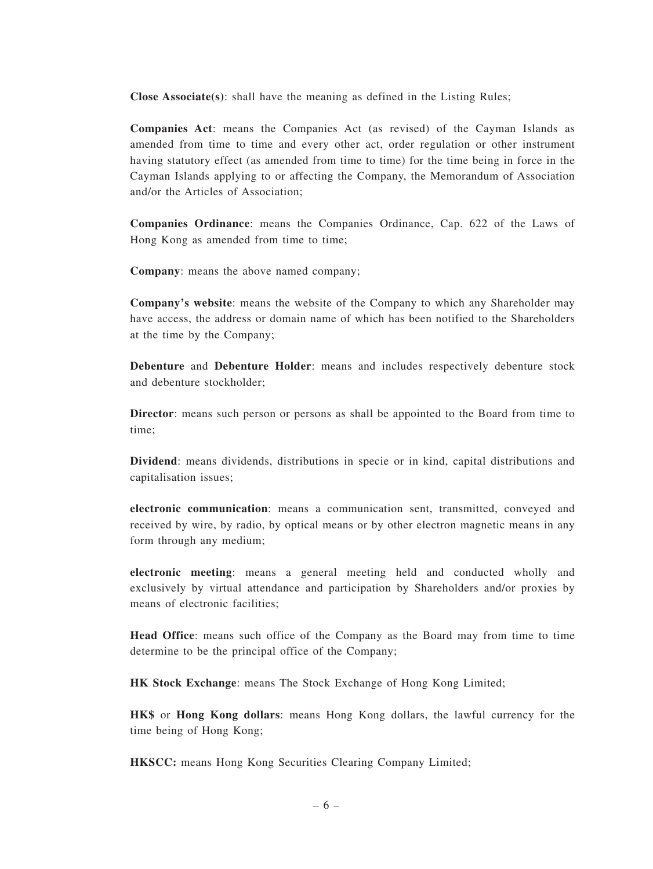**Close Associate(s)**: shall have the meaning as defined in the Listing Rules;

**Companies Act**: means the Companies Act (as revised) of the Cayman Islands as amended from time to time and every other act, order regulation or other instrument having statutory effect (as amended from time to time) for the time being in force in the Cayman Islands applying to or affecting the Company, the Memorandum of Association and/or the Articles of Association;

**Companies Ordinance**: means the Companies Ordinance, Cap. 622 of the Laws of Hong Kong as amended from time to time;

**Company**: means the above named company;

**Company's website**: means the website of the Company to which any Shareholder may have access, the address or domain name of which has been notified to the Shareholders at the time by the Company;

**Debenture** and **Debenture Holder**: means and includes respectively debenture stock and debenture stockholder;

**Director**: means such person or persons as shall be appointed to the Board from time to time;

**Dividend**: means dividends, distributions in specie or in kind, capital distributions and capitalisation issues;

**electronic communication**: means a communication sent, transmitted, conveyed and received by wire, by radio, by optical means or by other electron magnetic means in any form through any medium;

**electronic meeting**: means a general meeting held and conducted wholly and exclusively by virtual attendance and participation by Shareholders and/or proxies by means of electronic facilities;

**Head Office**: means such office of the Company as the Board may from time to time determine to be the principal office of the Company;

**HK Stock Exchange**: means The Stock Exchange of Hong Kong Limited;

**HK\$** or **Hong Kong dollars**: means Hong Kong dollars, the lawful currency for the time being of Hong Kong;

**HKSCC:** means Hong Kong Securities Clearing Company Limited;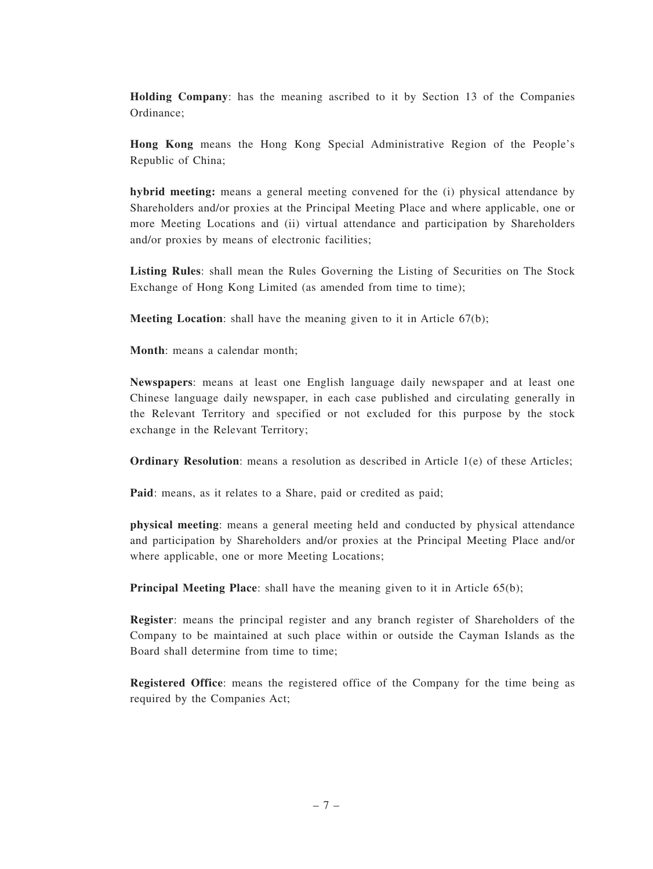**Holding Company**: has the meaning ascribed to it by Section 13 of the Companies Ordinance;

**Hong Kong** means the Hong Kong Special Administrative Region of the People's Republic of China;

**hybrid meeting:** means a general meeting convened for the (i) physical attendance by Shareholders and/or proxies at the Principal Meeting Place and where applicable, one or more Meeting Locations and (ii) virtual attendance and participation by Shareholders and/or proxies by means of electronic facilities;

**Listing Rules**: shall mean the Rules Governing the Listing of Securities on The Stock Exchange of Hong Kong Limited (as amended from time to time);

**Meeting Location**: shall have the meaning given to it in Article 67(b);

**Month**: means a calendar month;

**Newspapers**: means at least one English language daily newspaper and at least one Chinese language daily newspaper, in each case published and circulating generally in the Relevant Territory and specified or not excluded for this purpose by the stock exchange in the Relevant Territory;

**Ordinary Resolution**: means a resolution as described in Article 1(e) of these Articles;

**Paid**: means, as it relates to a Share, paid or credited as paid;

**physical meeting**: means a general meeting held and conducted by physical attendance and participation by Shareholders and/or proxies at the Principal Meeting Place and/or where applicable, one or more Meeting Locations;

**Principal Meeting Place**: shall have the meaning given to it in Article 65(b);

**Register**: means the principal register and any branch register of Shareholders of the Company to be maintained at such place within or outside the Cayman Islands as the Board shall determine from time to time;

**Registered Office**: means the registered office of the Company for the time being as required by the Companies Act;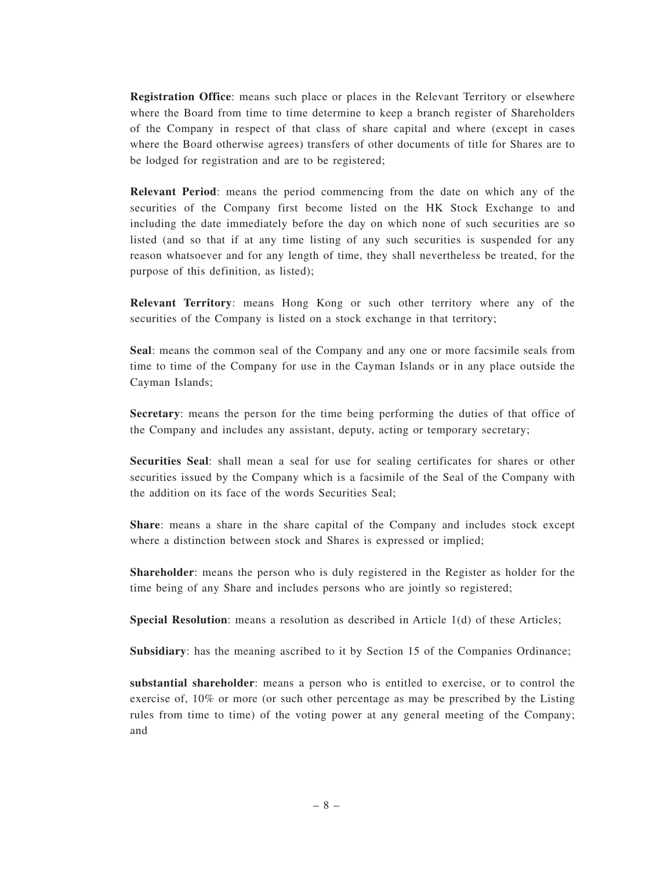**Registration Office**: means such place or places in the Relevant Territory or elsewhere where the Board from time to time determine to keep a branch register of Shareholders of the Company in respect of that class of share capital and where (except in cases where the Board otherwise agrees) transfers of other documents of title for Shares are to be lodged for registration and are to be registered;

**Relevant Period**: means the period commencing from the date on which any of the securities of the Company first become listed on the HK Stock Exchange to and including the date immediately before the day on which none of such securities are so listed (and so that if at any time listing of any such securities is suspended for any reason whatsoever and for any length of time, they shall nevertheless be treated, for the purpose of this definition, as listed);

**Relevant Territory**: means Hong Kong or such other territory where any of the securities of the Company is listed on a stock exchange in that territory;

**Seal**: means the common seal of the Company and any one or more facsimile seals from time to time of the Company for use in the Cayman Islands or in any place outside the Cayman Islands;

**Secretary**: means the person for the time being performing the duties of that office of the Company and includes any assistant, deputy, acting or temporary secretary;

**Securities Seal**: shall mean a seal for use for sealing certificates for shares or other securities issued by the Company which is a facsimile of the Seal of the Company with the addition on its face of the words Securities Seal;

**Share**: means a share in the share capital of the Company and includes stock except where a distinction between stock and Shares is expressed or implied;

**Shareholder**: means the person who is duly registered in the Register as holder for the time being of any Share and includes persons who are jointly so registered;

**Special Resolution**: means a resolution as described in Article 1(d) of these Articles;

**Subsidiary**: has the meaning ascribed to it by Section 15 of the Companies Ordinance;

**substantial shareholder**: means a person who is entitled to exercise, or to control the exercise of, 10% or more (or such other percentage as may be prescribed by the Listing rules from time to time) of the voting power at any general meeting of the Company; and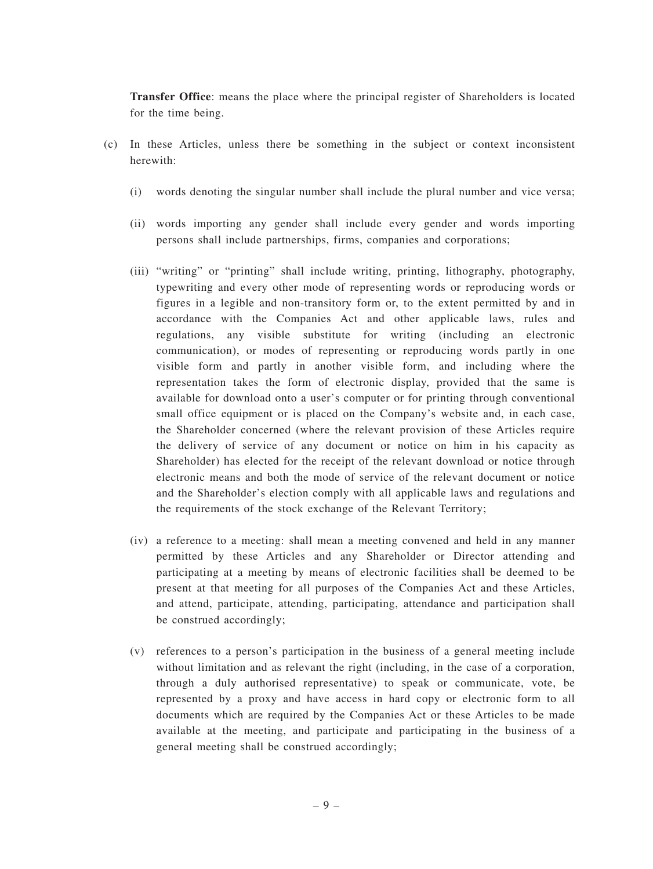**Transfer Office**: means the place where the principal register of Shareholders is located for the time being.

- (c) In these Articles, unless there be something in the subject or context inconsistent herewith:
	- (i) words denoting the singular number shall include the plural number and vice versa;
	- (ii) words importing any gender shall include every gender and words importing persons shall include partnerships, firms, companies and corporations;
	- (iii) "writing" or "printing" shall include writing, printing, lithography, photography, typewriting and every other mode of representing words or reproducing words or figures in a legible and non-transitory form or, to the extent permitted by and in accordance with the Companies Act and other applicable laws, rules and regulations, any visible substitute for writing (including an electronic communication), or modes of representing or reproducing words partly in one visible form and partly in another visible form, and including where the representation takes the form of electronic display, provided that the same is available for download onto a user's computer or for printing through conventional small office equipment or is placed on the Company's website and, in each case, the Shareholder concerned (where the relevant provision of these Articles require the delivery of service of any document or notice on him in his capacity as Shareholder) has elected for the receipt of the relevant download or notice through electronic means and both the mode of service of the relevant document or notice and the Shareholder's election comply with all applicable laws and regulations and the requirements of the stock exchange of the Relevant Territory;
	- (iv) a reference to a meeting: shall mean a meeting convened and held in any manner permitted by these Articles and any Shareholder or Director attending and participating at a meeting by means of electronic facilities shall be deemed to be present at that meeting for all purposes of the Companies Act and these Articles, and attend, participate, attending, participating, attendance and participation shall be construed accordingly;
	- (v) references to a person's participation in the business of a general meeting include without limitation and as relevant the right (including, in the case of a corporation, through a duly authorised representative) to speak or communicate, vote, be represented by a proxy and have access in hard copy or electronic form to all documents which are required by the Companies Act or these Articles to be made available at the meeting, and participate and participating in the business of a general meeting shall be construed accordingly;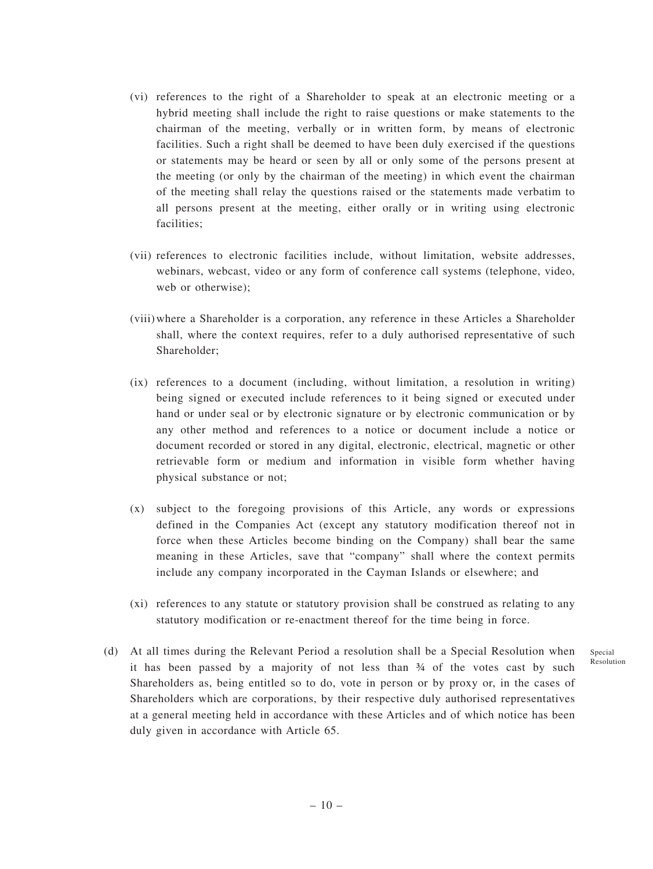- (vi) references to the right of a Shareholder to speak at an electronic meeting or a hybrid meeting shall include the right to raise questions or make statements to the chairman of the meeting, verbally or in written form, by means of electronic facilities. Such a right shall be deemed to have been duly exercised if the questions or statements may be heard or seen by all or only some of the persons present at the meeting (or only by the chairman of the meeting) in which event the chairman of the meeting shall relay the questions raised or the statements made verbatim to all persons present at the meeting, either orally or in writing using electronic facilities;
- (vii) references to electronic facilities include, without limitation, website addresses, webinars, webcast, video or any form of conference call systems (telephone, video, web or otherwise);
- (viii)where a Shareholder is a corporation, any reference in these Articles a Shareholder shall, where the context requires, refer to a duly authorised representative of such Shareholder;
- (ix) references to a document (including, without limitation, a resolution in writing) being signed or executed include references to it being signed or executed under hand or under seal or by electronic signature or by electronic communication or by any other method and references to a notice or document include a notice or document recorded or stored in any digital, electronic, electrical, magnetic or other retrievable form or medium and information in visible form whether having physical substance or not;
- (x) subject to the foregoing provisions of this Article, any words or expressions defined in the Companies Act (except any statutory modification thereof not in force when these Articles become binding on the Company) shall bear the same meaning in these Articles, save that "company" shall where the context permits include any company incorporated in the Cayman Islands or elsewhere; and
- (xi) references to any statute or statutory provision shall be construed as relating to any statutory modification or re-enactment thereof for the time being in force.
- (d) At all times during the Relevant Period a resolution shall be a Special Resolution when it has been passed by a majority of not less than  $\frac{3}{4}$  of the votes cast by such Shareholders as, being entitled so to do, vote in person or by proxy or, in the cases of Shareholders which are corporations, by their respective duly authorised representatives at a general meeting held in accordance with these Articles and of which notice has been duly given in accordance with Article 65.

Special Resolution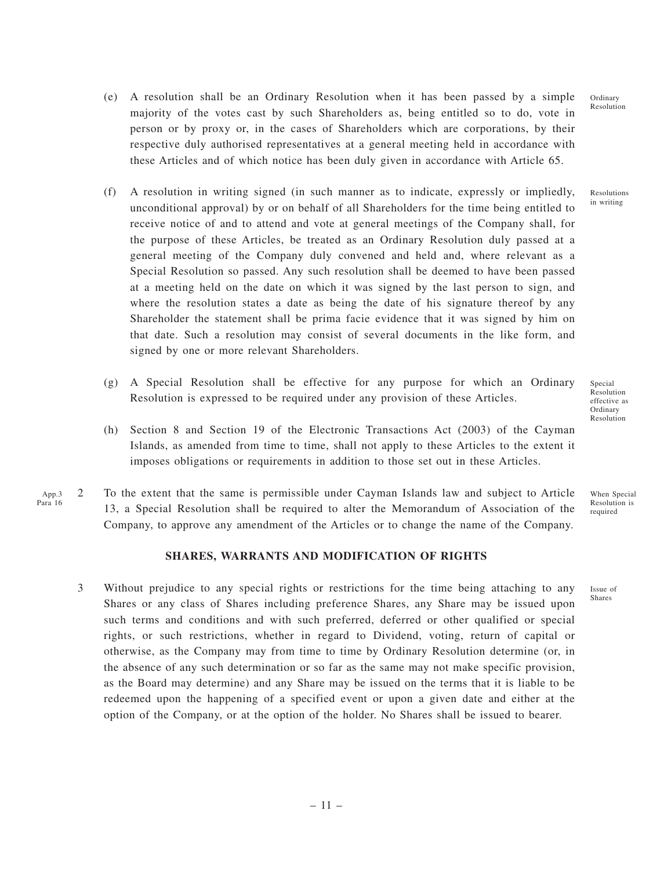- (e) A resolution shall be an Ordinary Resolution when it has been passed by a simple majority of the votes cast by such Shareholders as, being entitled so to do, vote in person or by proxy or, in the cases of Shareholders which are corporations, by their respective duly authorised representatives at a general meeting held in accordance with these Articles and of which notice has been duly given in accordance with Article 65.
- (f) A resolution in writing signed (in such manner as to indicate, expressly or impliedly, unconditional approval) by or on behalf of all Shareholders for the time being entitled to receive notice of and to attend and vote at general meetings of the Company shall, for the purpose of these Articles, be treated as an Ordinary Resolution duly passed at a general meeting of the Company duly convened and held and, where relevant as a Special Resolution so passed. Any such resolution shall be deemed to have been passed at a meeting held on the date on which it was signed by the last person to sign, and where the resolution states a date as being the date of his signature thereof by any Shareholder the statement shall be prima facie evidence that it was signed by him on that date. Such a resolution may consist of several documents in the like form, and signed by one or more relevant Shareholders.
- (g) A Special Resolution shall be effective for any purpose for which an Ordinary Resolution is expressed to be required under any provision of these Articles.
- (h) Section 8 and Section 19 of the Electronic Transactions Act (2003) of the Cayman Islands, as amended from time to time, shall not apply to these Articles to the extent it imposes obligations or requirements in addition to those set out in these Articles.
- 2 To the extent that the same is permissible under Cayman Islands law and subject to Article 13, a Special Resolution shall be required to alter the Memorandum of Association of the Company, to approve any amendment of the Articles or to change the name of the Company. App.3 Para 16

## **SHARES, WARRANTS AND MODIFICATION OF RIGHTS**

3 Without prejudice to any special rights or restrictions for the time being attaching to any Shares or any class of Shares including preference Shares, any Share may be issued upon such terms and conditions and with such preferred, deferred or other qualified or special rights, or such restrictions, whether in regard to Dividend, voting, return of capital or otherwise, as the Company may from time to time by Ordinary Resolution determine (or, in the absence of any such determination or so far as the same may not make specific provision, as the Board may determine) and any Share may be issued on the terms that it is liable to be redeemed upon the happening of a specified event or upon a given date and either at the option of the Company, or at the option of the holder. No Shares shall be issued to bearer.

Ordinary Resolution

Resolutions in writing

Special Resolution effective as Ordinary Resolution

When Special Resolution is required

Issue of Shares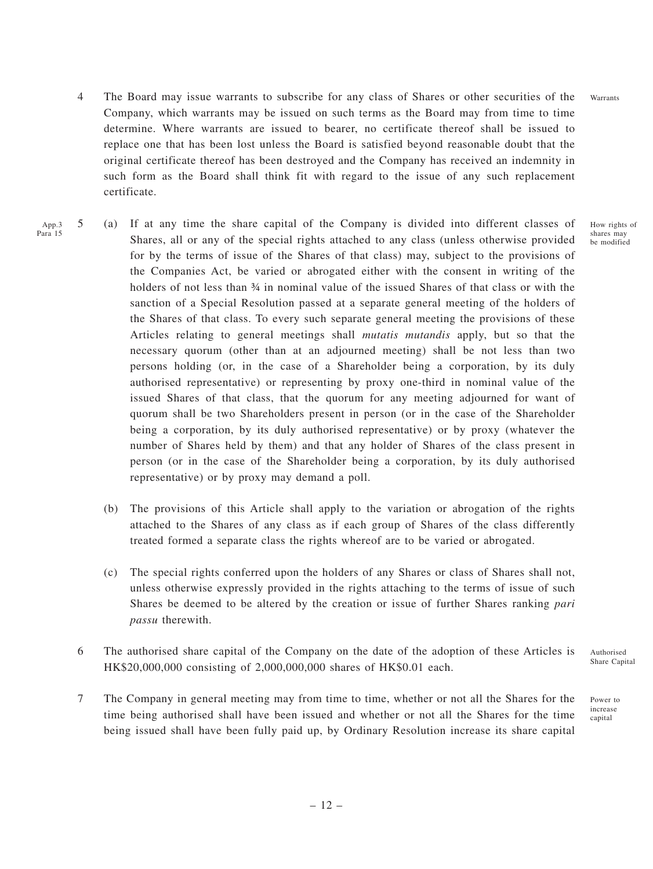- 4 The Board may issue warrants to subscribe for any class of Shares or other securities of the Company, which warrants may be issued on such terms as the Board may from time to time determine. Where warrants are issued to bearer, no certificate thereof shall be issued to replace one that has been lost unless the Board is satisfied beyond reasonable doubt that the original certificate thereof has been destroyed and the Company has received an indemnity in such form as the Board shall think fit with regard to the issue of any such replacement certificate.
- 5 (a) If at any time the share capital of the Company is divided into different classes of Shares, all or any of the special rights attached to any class (unless otherwise provided for by the terms of issue of the Shares of that class) may, subject to the provisions of the Companies Act, be varied or abrogated either with the consent in writing of the holders of not less than  $\frac{3}{4}$  in nominal value of the issued Shares of that class or with the sanction of a Special Resolution passed at a separate general meeting of the holders of the Shares of that class. To every such separate general meeting the provisions of these Articles relating to general meetings shall *mutatis mutandis* apply, but so that the necessary quorum (other than at an adjourned meeting) shall be not less than two persons holding (or, in the case of a Shareholder being a corporation, by its duly authorised representative) or representing by proxy one-third in nominal value of the issued Shares of that class, that the quorum for any meeting adjourned for want of quorum shall be two Shareholders present in person (or in the case of the Shareholder being a corporation, by its duly authorised representative) or by proxy (whatever the number of Shares held by them) and that any holder of Shares of the class present in person (or in the case of the Shareholder being a corporation, by its duly authorised representative) or by proxy may demand a poll. App.3 Para 15
	- (b) The provisions of this Article shall apply to the variation or abrogation of the rights attached to the Shares of any class as if each group of Shares of the class differently treated formed a separate class the rights whereof are to be varied or abrogated.
	- (c) The special rights conferred upon the holders of any Shares or class of Shares shall not, unless otherwise expressly provided in the rights attaching to the terms of issue of such Shares be deemed to be altered by the creation or issue of further Shares ranking *pari passu* therewith.
	- 6 The authorised share capital of the Company on the date of the adoption of these Articles is HK\$20,000,000 consisting of 2,000,000,000 shares of HK\$0.01 each. Authorised Share Capital
	- 7 The Company in general meeting may from time to time, whether or not all the Shares for the time being authorised shall have been issued and whether or not all the Shares for the time being issued shall have been fully paid up, by Ordinary Resolution increase its share capital

How rights of shares may be modified

Power to increase capital

– 12 –

Warrants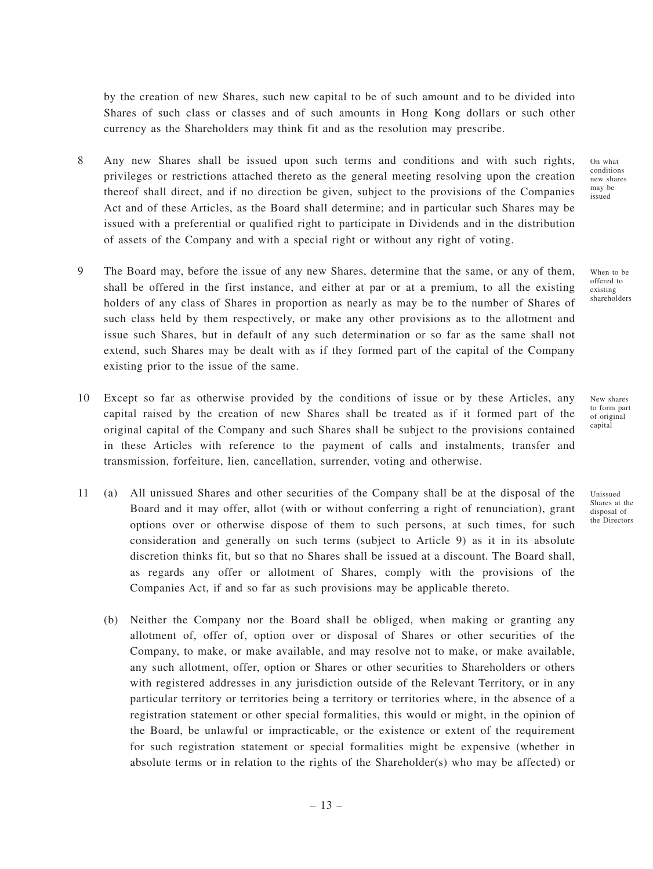by the creation of new Shares, such new capital to be of such amount and to be divided into Shares of such class or classes and of such amounts in Hong Kong dollars or such other currency as the Shareholders may think fit and as the resolution may prescribe.

- 8 Any new Shares shall be issued upon such terms and conditions and with such rights, privileges or restrictions attached thereto as the general meeting resolving upon the creation thereof shall direct, and if no direction be given, subject to the provisions of the Companies Act and of these Articles, as the Board shall determine; and in particular such Shares may be issued with a preferential or qualified right to participate in Dividends and in the distribution of assets of the Company and with a special right or without any right of voting.
- 9 The Board may, before the issue of any new Shares, determine that the same, or any of them, shall be offered in the first instance, and either at par or at a premium, to all the existing holders of any class of Shares in proportion as nearly as may be to the number of Shares of such class held by them respectively, or make any other provisions as to the allotment and issue such Shares, but in default of any such determination or so far as the same shall not extend, such Shares may be dealt with as if they formed part of the capital of the Company existing prior to the issue of the same.
- 10 Except so far as otherwise provided by the conditions of issue or by these Articles, any capital raised by the creation of new Shares shall be treated as if it formed part of the original capital of the Company and such Shares shall be subject to the provisions contained in these Articles with reference to the payment of calls and instalments, transfer and transmission, forfeiture, lien, cancellation, surrender, voting and otherwise.
- 11 (a) All unissued Shares and other securities of the Company shall be at the disposal of the Board and it may offer, allot (with or without conferring a right of renunciation), grant options over or otherwise dispose of them to such persons, at such times, for such consideration and generally on such terms (subject to Article 9) as it in its absolute discretion thinks fit, but so that no Shares shall be issued at a discount. The Board shall, as regards any offer or allotment of Shares, comply with the provisions of the Companies Act, if and so far as such provisions may be applicable thereto.
	- (b) Neither the Company nor the Board shall be obliged, when making or granting any allotment of, offer of, option over or disposal of Shares or other securities of the Company, to make, or make available, and may resolve not to make, or make available, any such allotment, offer, option or Shares or other securities to Shareholders or others with registered addresses in any jurisdiction outside of the Relevant Territory, or in any particular territory or territories being a territory or territories where, in the absence of a registration statement or other special formalities, this would or might, in the opinion of the Board, be unlawful or impracticable, or the existence or extent of the requirement for such registration statement or special formalities might be expensive (whether in absolute terms or in relation to the rights of the Shareholder(s) who may be affected) or

On what conditions new shares may be issued

When to be offered to existing shareholders

New shares to form part of original capital

Unissued Shares at the disposal of the Directors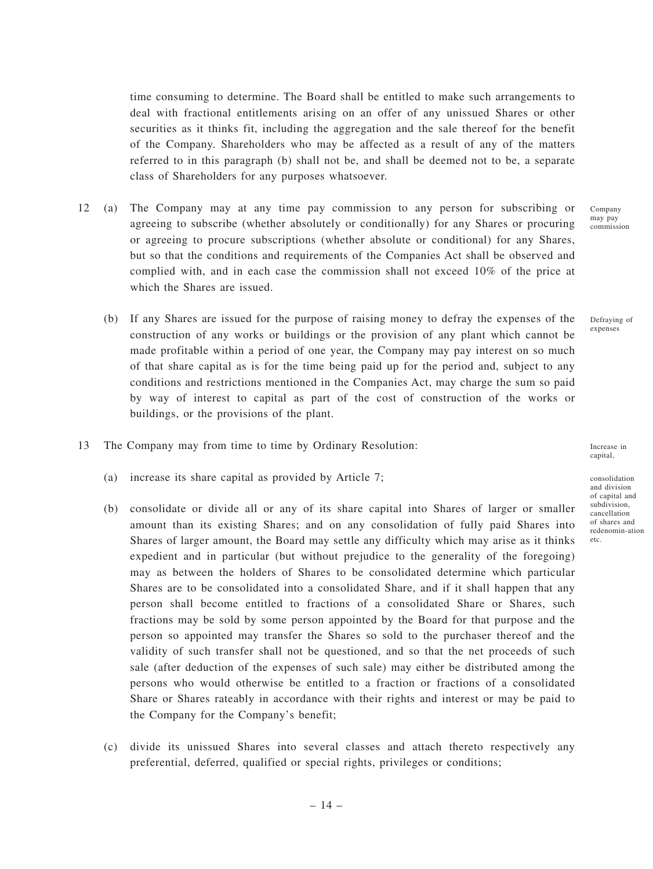time consuming to determine. The Board shall be entitled to make such arrangements to deal with fractional entitlements arising on an offer of any unissued Shares or other securities as it thinks fit, including the aggregation and the sale thereof for the benefit of the Company. Shareholders who may be affected as a result of any of the matters referred to in this paragraph (b) shall not be, and shall be deemed not to be, a separate class of Shareholders for any purposes whatsoever.

- 12 (a) The Company may at any time pay commission to any person for subscribing or agreeing to subscribe (whether absolutely or conditionally) for any Shares or procuring or agreeing to procure subscriptions (whether absolute or conditional) for any Shares, but so that the conditions and requirements of the Companies Act shall be observed and complied with, and in each case the commission shall not exceed 10% of the price at which the Shares are issued.
	- (b) If any Shares are issued for the purpose of raising money to defray the expenses of the construction of any works or buildings or the provision of any plant which cannot be made profitable within a period of one year, the Company may pay interest on so much of that share capital as is for the time being paid up for the period and, subject to any conditions and restrictions mentioned in the Companies Act, may charge the sum so paid by way of interest to capital as part of the cost of construction of the works or buildings, or the provisions of the plant.
- 13 The Company may from time to time by Ordinary Resolution:
	- (a) increase its share capital as provided by Article 7;
	- (b) consolidate or divide all or any of its share capital into Shares of larger or smaller amount than its existing Shares; and on any consolidation of fully paid Shares into Shares of larger amount, the Board may settle any difficulty which may arise as it thinks expedient and in particular (but without prejudice to the generality of the foregoing) may as between the holders of Shares to be consolidated determine which particular Shares are to be consolidated into a consolidated Share, and if it shall happen that any person shall become entitled to fractions of a consolidated Share or Shares, such fractions may be sold by some person appointed by the Board for that purpose and the person so appointed may transfer the Shares so sold to the purchaser thereof and the validity of such transfer shall not be questioned, and so that the net proceeds of such sale (after deduction of the expenses of such sale) may either be distributed among the persons who would otherwise be entitled to a fraction or fractions of a consolidated Share or Shares rateably in accordance with their rights and interest or may be paid to the Company for the Company's benefit;
	- (c) divide its unissued Shares into several classes and attach thereto respectively any preferential, deferred, qualified or special rights, privileges or conditions;

Company may pay commission

Defraying of expenses

Increase in capital,

consolidation and division of capital and subdivision, cancellation of shares and redenomin-ation etc.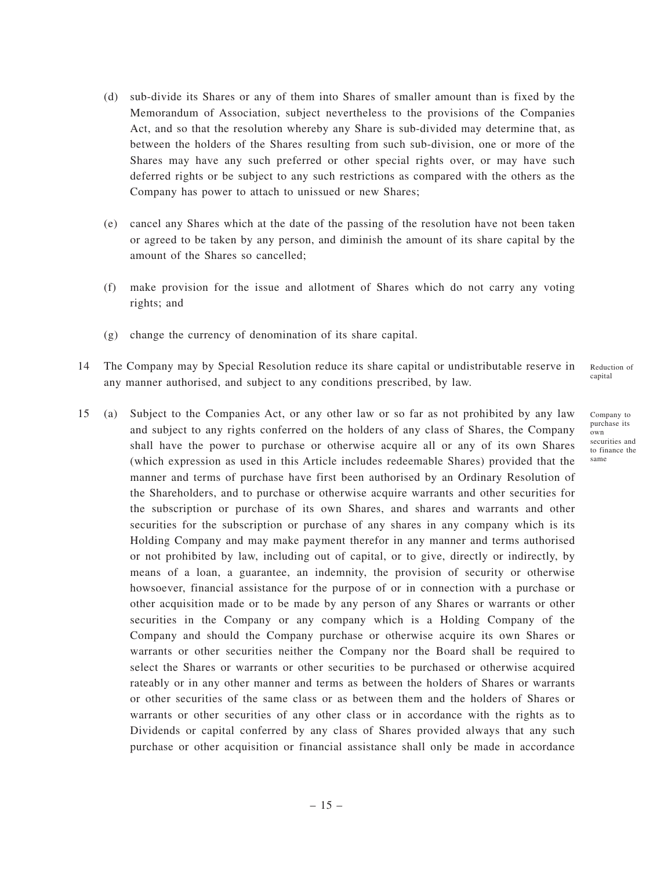- (d) sub-divide its Shares or any of them into Shares of smaller amount than is fixed by the Memorandum of Association, subject nevertheless to the provisions of the Companies Act, and so that the resolution whereby any Share is sub-divided may determine that, as between the holders of the Shares resulting from such sub-division, one or more of the Shares may have any such preferred or other special rights over, or may have such deferred rights or be subject to any such restrictions as compared with the others as the Company has power to attach to unissued or new Shares;
- (e) cancel any Shares which at the date of the passing of the resolution have not been taken or agreed to be taken by any person, and diminish the amount of its share capital by the amount of the Shares so cancelled;
- (f) make provision for the issue and allotment of Shares which do not carry any voting rights; and
- (g) change the currency of denomination of its share capital.
- 14 The Company may by Special Resolution reduce its share capital or undistributable reserve in any manner authorised, and subject to any conditions prescribed, by law. Reduction of capital
- 15 (a) Subject to the Companies Act, or any other law or so far as not prohibited by any law and subject to any rights conferred on the holders of any class of Shares, the Company shall have the power to purchase or otherwise acquire all or any of its own Shares (which expression as used in this Article includes redeemable Shares) provided that the manner and terms of purchase have first been authorised by an Ordinary Resolution of the Shareholders, and to purchase or otherwise acquire warrants and other securities for the subscription or purchase of its own Shares, and shares and warrants and other securities for the subscription or purchase of any shares in any company which is its Holding Company and may make payment therefor in any manner and terms authorised or not prohibited by law, including out of capital, or to give, directly or indirectly, by means of a loan, a guarantee, an indemnity, the provision of security or otherwise howsoever, financial assistance for the purpose of or in connection with a purchase or other acquisition made or to be made by any person of any Shares or warrants or other securities in the Company or any company which is a Holding Company of the Company and should the Company purchase or otherwise acquire its own Shares or warrants or other securities neither the Company nor the Board shall be required to select the Shares or warrants or other securities to be purchased or otherwise acquired rateably or in any other manner and terms as between the holders of Shares or warrants or other securities of the same class or as between them and the holders of Shares or warrants or other securities of any other class or in accordance with the rights as to Dividends or capital conferred by any class of Shares provided always that any such purchase or other acquisition or financial assistance shall only be made in accordance

Company to purchase its own securities and to finance the same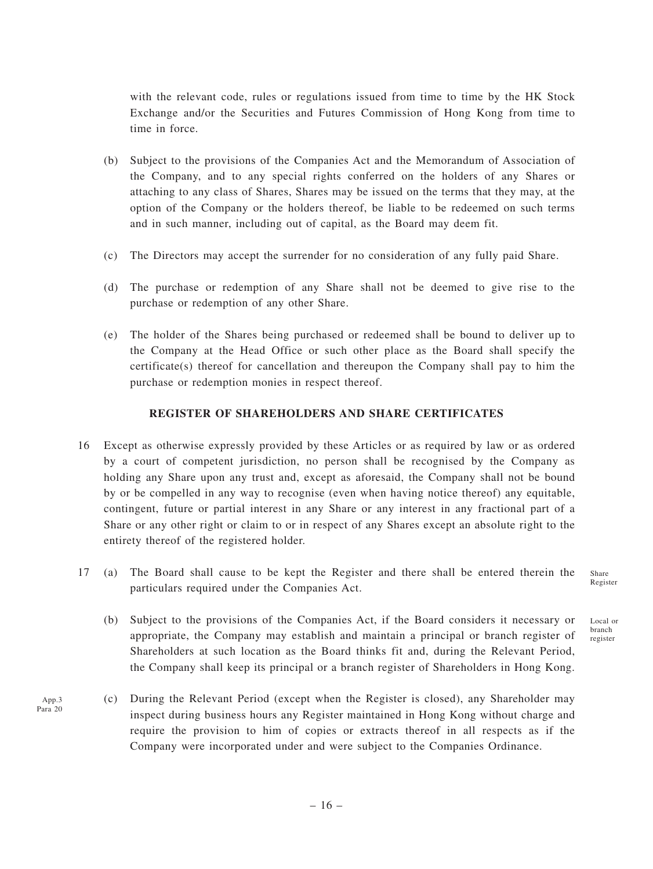with the relevant code, rules or regulations issued from time to time by the HK Stock Exchange and/or the Securities and Futures Commission of Hong Kong from time to time in force.

- (b) Subject to the provisions of the Companies Act and the Memorandum of Association of the Company, and to any special rights conferred on the holders of any Shares or attaching to any class of Shares, Shares may be issued on the terms that they may, at the option of the Company or the holders thereof, be liable to be redeemed on such terms and in such manner, including out of capital, as the Board may deem fit.
- (c) The Directors may accept the surrender for no consideration of any fully paid Share.
- (d) The purchase or redemption of any Share shall not be deemed to give rise to the purchase or redemption of any other Share.
- (e) The holder of the Shares being purchased or redeemed shall be bound to deliver up to the Company at the Head Office or such other place as the Board shall specify the certificate(s) thereof for cancellation and thereupon the Company shall pay to him the purchase or redemption monies in respect thereof.

### **REGISTER OF SHAREHOLDERS AND SHARE CERTIFICATES**

- 16 Except as otherwise expressly provided by these Articles or as required by law or as ordered by a court of competent jurisdiction, no person shall be recognised by the Company as holding any Share upon any trust and, except as aforesaid, the Company shall not be bound by or be compelled in any way to recognise (even when having notice thereof) any equitable, contingent, future or partial interest in any Share or any interest in any fractional part of a Share or any other right or claim to or in respect of any Shares except an absolute right to the entirety thereof of the registered holder.
- 17 (a) The Board shall cause to be kept the Register and there shall be entered therein the particulars required under the Companies Act. Share Register
	- (b) Subject to the provisions of the Companies Act, if the Board considers it necessary or appropriate, the Company may establish and maintain a principal or branch register of Shareholders at such location as the Board thinks fit and, during the Relevant Period, the Company shall keep its principal or a branch register of Shareholders in Hong Kong.
	- (c) During the Relevant Period (except when the Register is closed), any Shareholder may inspect during business hours any Register maintained in Hong Kong without charge and require the provision to him of copies or extracts thereof in all respects as if the Company were incorporated under and were subject to the Companies Ordinance.

App.3 Para 20 Local or branch register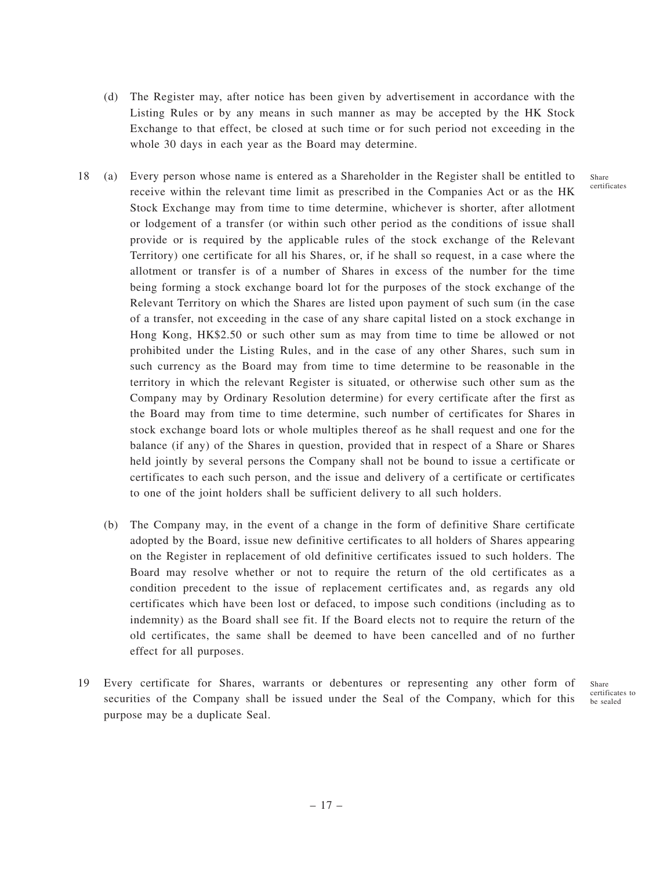- (d) The Register may, after notice has been given by advertisement in accordance with the Listing Rules or by any means in such manner as may be accepted by the HK Stock Exchange to that effect, be closed at such time or for such period not exceeding in the whole 30 days in each year as the Board may determine.
- 18 (a) Every person whose name is entered as a Shareholder in the Register shall be entitled to receive within the relevant time limit as prescribed in the Companies Act or as the HK Stock Exchange may from time to time determine, whichever is shorter, after allotment or lodgement of a transfer (or within such other period as the conditions of issue shall provide or is required by the applicable rules of the stock exchange of the Relevant Territory) one certificate for all his Shares, or, if he shall so request, in a case where the allotment or transfer is of a number of Shares in excess of the number for the time being forming a stock exchange board lot for the purposes of the stock exchange of the Relevant Territory on which the Shares are listed upon payment of such sum (in the case of a transfer, not exceeding in the case of any share capital listed on a stock exchange in Hong Kong, HK\$2.50 or such other sum as may from time to time be allowed or not prohibited under the Listing Rules, and in the case of any other Shares, such sum in such currency as the Board may from time to time determine to be reasonable in the territory in which the relevant Register is situated, or otherwise such other sum as the Company may by Ordinary Resolution determine) for every certificate after the first as the Board may from time to time determine, such number of certificates for Shares in stock exchange board lots or whole multiples thereof as he shall request and one for the balance (if any) of the Shares in question, provided that in respect of a Share or Shares held jointly by several persons the Company shall not be bound to issue a certificate or certificates to each such person, and the issue and delivery of a certificate or certificates to one of the joint holders shall be sufficient delivery to all such holders.
	- (b) The Company may, in the event of a change in the form of definitive Share certificate adopted by the Board, issue new definitive certificates to all holders of Shares appearing on the Register in replacement of old definitive certificates issued to such holders. The Board may resolve whether or not to require the return of the old certificates as a condition precedent to the issue of replacement certificates and, as regards any old certificates which have been lost or defaced, to impose such conditions (including as to indemnity) as the Board shall see fit. If the Board elects not to require the return of the old certificates, the same shall be deemed to have been cancelled and of no further effect for all purposes.
- 19 Every certificate for Shares, warrants or debentures or representing any other form of securities of the Company shall be issued under the Seal of the Company, which for this purpose may be a duplicate Seal.

Share certificates to be sealed

Share certificates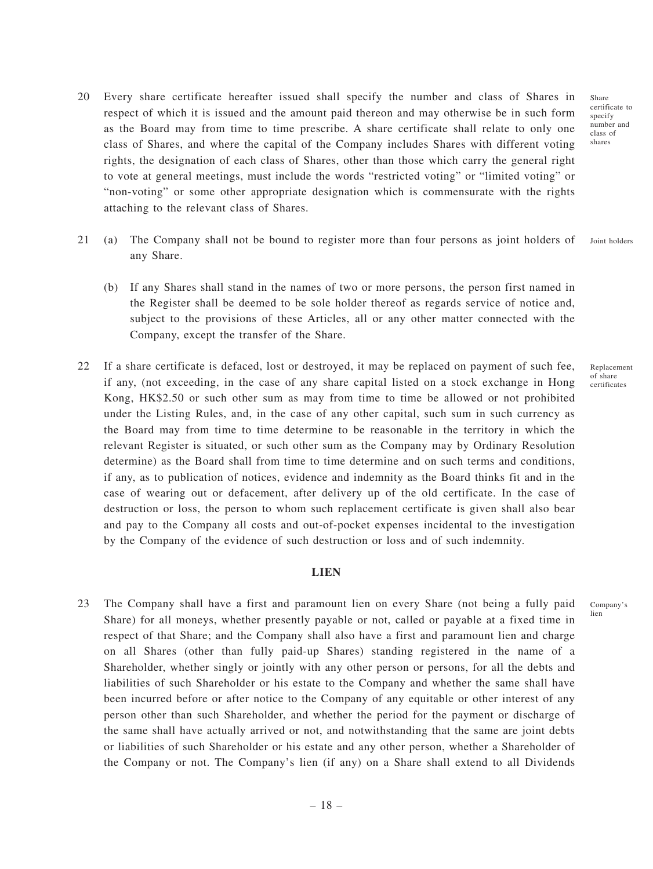- 20 Every share certificate hereafter issued shall specify the number and class of Shares in respect of which it is issued and the amount paid thereon and may otherwise be in such form as the Board may from time to time prescribe. A share certificate shall relate to only one class of Shares, and where the capital of the Company includes Shares with different voting rights, the designation of each class of Shares, other than those which carry the general right to vote at general meetings, must include the words "restricted voting" or "limited voting" or "non-voting" or some other appropriate designation which is commensurate with the rights attaching to the relevant class of Shares.
- 21 (a) The Company shall not be bound to register more than four persons as joint holders of any Share. Joint holders
	- (b) If any Shares shall stand in the names of two or more persons, the person first named in the Register shall be deemed to be sole holder thereof as regards service of notice and, subject to the provisions of these Articles, all or any other matter connected with the Company, except the transfer of the Share.
- 22 If a share certificate is defaced, lost or destroyed, it may be replaced on payment of such fee, if any, (not exceeding, in the case of any share capital listed on a stock exchange in Hong Kong, HK\$2.50 or such other sum as may from time to time be allowed or not prohibited under the Listing Rules, and, in the case of any other capital, such sum in such currency as the Board may from time to time determine to be reasonable in the territory in which the relevant Register is situated, or such other sum as the Company may by Ordinary Resolution determine) as the Board shall from time to time determine and on such terms and conditions, if any, as to publication of notices, evidence and indemnity as the Board thinks fit and in the case of wearing out or defacement, after delivery up of the old certificate. In the case of destruction or loss, the person to whom such replacement certificate is given shall also bear and pay to the Company all costs and out-of-pocket expenses incidental to the investigation by the Company of the evidence of such destruction or loss and of such indemnity.

### **LIEN**

23 The Company shall have a first and paramount lien on every Share (not being a fully paid Share) for all moneys, whether presently payable or not, called or payable at a fixed time in respect of that Share; and the Company shall also have a first and paramount lien and charge on all Shares (other than fully paid-up Shares) standing registered in the name of a Shareholder, whether singly or jointly with any other person or persons, for all the debts and liabilities of such Shareholder or his estate to the Company and whether the same shall have been incurred before or after notice to the Company of any equitable or other interest of any person other than such Shareholder, and whether the period for the payment or discharge of the same shall have actually arrived or not, and notwithstanding that the same are joint debts or liabilities of such Shareholder or his estate and any other person, whether a Shareholder of the Company or not. The Company's lien (if any) on a Share shall extend to all Dividends

certificate to specify number and class of shares

Share

Replacement of share certificates

Company's lien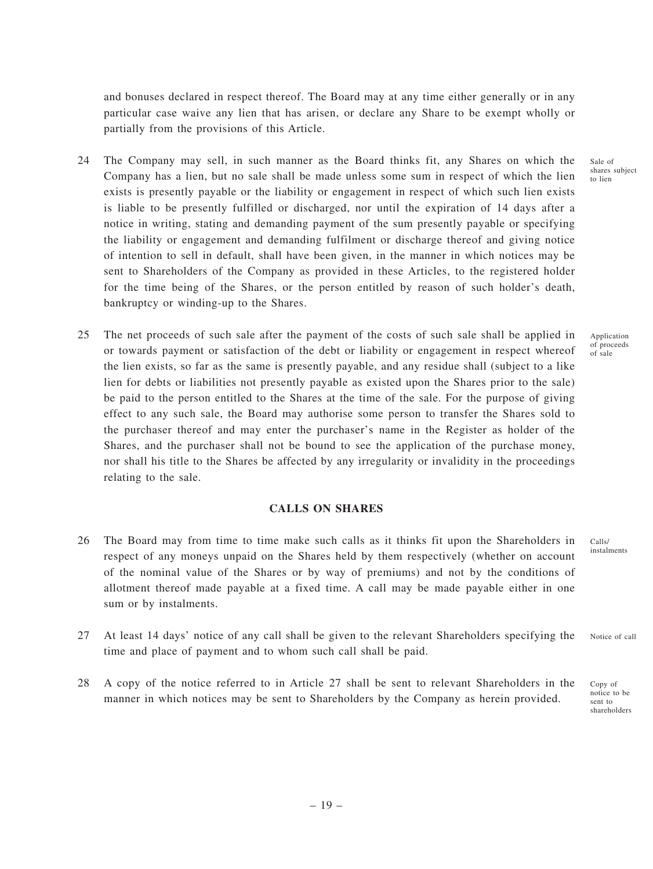and bonuses declared in respect thereof. The Board may at any time either generally or in any particular case waive any lien that has arisen, or declare any Share to be exempt wholly or partially from the provisions of this Article.

- 24 The Company may sell, in such manner as the Board thinks fit, any Shares on which the Company has a lien, but no sale shall be made unless some sum in respect of which the lien exists is presently payable or the liability or engagement in respect of which such lien exists is liable to be presently fulfilled or discharged, nor until the expiration of 14 days after a notice in writing, stating and demanding payment of the sum presently payable or specifying the liability or engagement and demanding fulfilment or discharge thereof and giving notice of intention to sell in default, shall have been given, in the manner in which notices may be sent to Shareholders of the Company as provided in these Articles, to the registered holder for the time being of the Shares, or the person entitled by reason of such holder's death, bankruptcy or winding-up to the Shares.
- 25 The net proceeds of such sale after the payment of the costs of such sale shall be applied in or towards payment or satisfaction of the debt or liability or engagement in respect whereof the lien exists, so far as the same is presently payable, and any residue shall (subject to a like lien for debts or liabilities not presently payable as existed upon the Shares prior to the sale) be paid to the person entitled to the Shares at the time of the sale. For the purpose of giving effect to any such sale, the Board may authorise some person to transfer the Shares sold to the purchaser thereof and may enter the purchaser's name in the Register as holder of the Shares, and the purchaser shall not be bound to see the application of the purchase money, nor shall his title to the Shares be affected by any irregularity or invalidity in the proceedings relating to the sale.

## **CALLS ON SHARES**

- 26 The Board may from time to time make such calls as it thinks fit upon the Shareholders in respect of any moneys unpaid on the Shares held by them respectively (whether on account of the nominal value of the Shares or by way of premiums) and not by the conditions of allotment thereof made payable at a fixed time. A call may be made payable either in one sum or by instalments.
- 27 At least 14 days' notice of any call shall be given to the relevant Shareholders specifying the time and place of payment and to whom such call shall be paid.
- 28 A copy of the notice referred to in Article 27 shall be sent to relevant Shareholders in the manner in which notices may be sent to Shareholders by the Company as herein provided.

Sale of shares subject to lien

Application of proceeds of sale

instalments

 $C<sub>0</sub>11<sub>e</sub>/$ 

Notice of call

Copy of notice to be sent to shareholders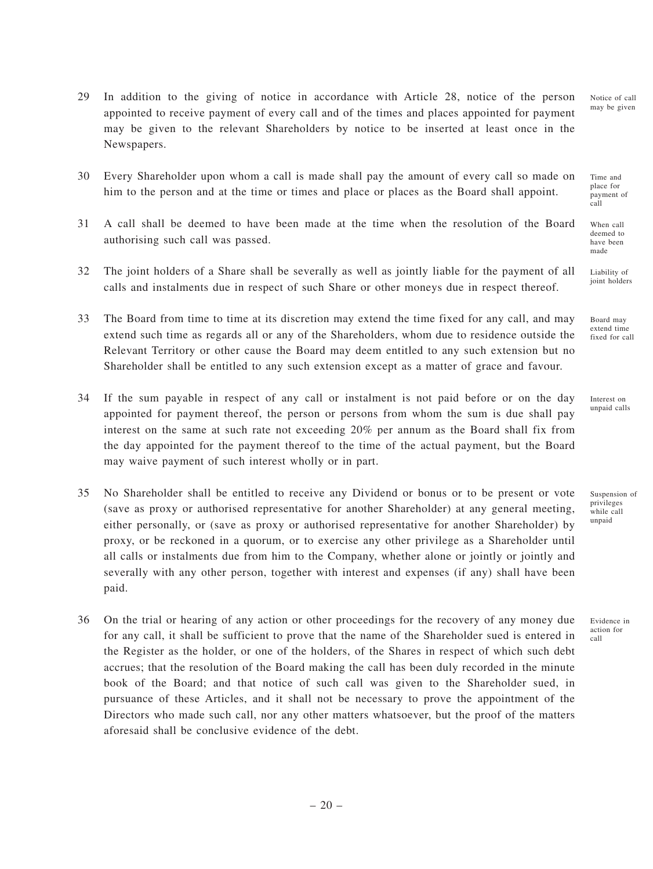29 In addition to the giving of notice in accordance with Article 28, notice of the person appointed to receive payment of every call and of the times and places appointed for payment may be given to the relevant Shareholders by notice to be inserted at least once in the Newspapers.

30 Every Shareholder upon whom a call is made shall pay the amount of every call so made on him to the person and at the time or times and place or places as the Board shall appoint.

- 31 A call shall be deemed to have been made at the time when the resolution of the Board authorising such call was passed.
- 32 The joint holders of a Share shall be severally as well as jointly liable for the payment of all calls and instalments due in respect of such Share or other moneys due in respect thereof.
- 33 The Board from time to time at its discretion may extend the time fixed for any call, and may extend such time as regards all or any of the Shareholders, whom due to residence outside the Relevant Territory or other cause the Board may deem entitled to any such extension but no Shareholder shall be entitled to any such extension except as a matter of grace and favour.
- 34 If the sum payable in respect of any call or instalment is not paid before or on the day appointed for payment thereof, the person or persons from whom the sum is due shall pay interest on the same at such rate not exceeding 20% per annum as the Board shall fix from the day appointed for the payment thereof to the time of the actual payment, but the Board may waive payment of such interest wholly or in part.
- 35 No Shareholder shall be entitled to receive any Dividend or bonus or to be present or vote (save as proxy or authorised representative for another Shareholder) at any general meeting, either personally, or (save as proxy or authorised representative for another Shareholder) by proxy, or be reckoned in a quorum, or to exercise any other privilege as a Shareholder until all calls or instalments due from him to the Company, whether alone or jointly or jointly and severally with any other person, together with interest and expenses (if any) shall have been paid.
- 36 On the trial or hearing of any action or other proceedings for the recovery of any money due for any call, it shall be sufficient to prove that the name of the Shareholder sued is entered in the Register as the holder, or one of the holders, of the Shares in respect of which such debt accrues; that the resolution of the Board making the call has been duly recorded in the minute book of the Board; and that notice of such call was given to the Shareholder sued, in pursuance of these Articles, and it shall not be necessary to prove the appointment of the Directors who made such call, nor any other matters whatsoever, but the proof of the matters aforesaid shall be conclusive evidence of the debt.

Time and place for payment of call

Notice of call may be given

When call deemed to have been made

Liability of joint holders

Board may extend time fixed for call

Interest on unpaid calls

Suspension of privileges while call unpaid

Evidence in action for call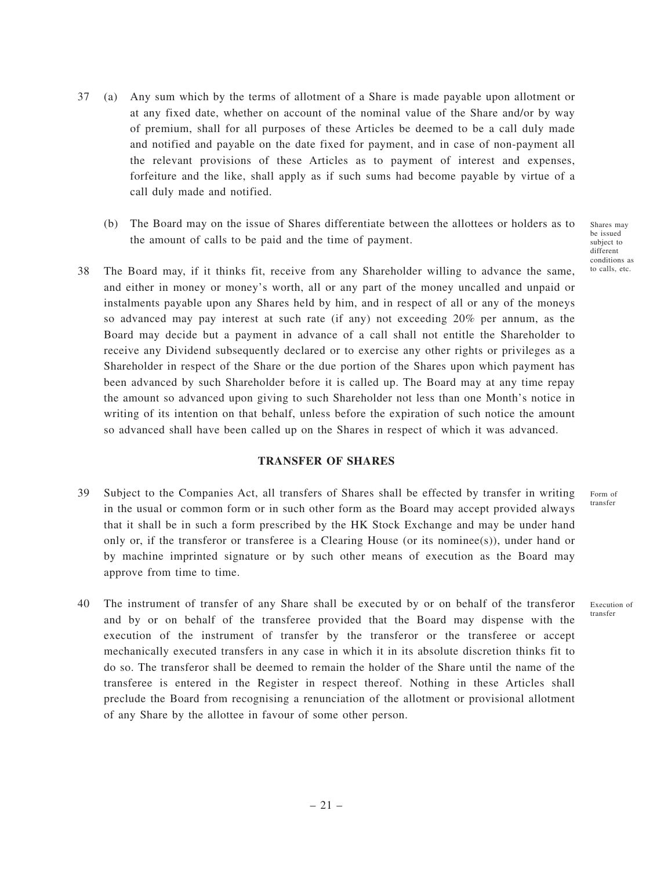- 37 (a) Any sum which by the terms of allotment of a Share is made payable upon allotment or at any fixed date, whether on account of the nominal value of the Share and/or by way of premium, shall for all purposes of these Articles be deemed to be a call duly made and notified and payable on the date fixed for payment, and in case of non-payment all the relevant provisions of these Articles as to payment of interest and expenses, forfeiture and the like, shall apply as if such sums had become payable by virtue of a call duly made and notified.
	- (b) The Board may on the issue of Shares differentiate between the allottees or holders as to the amount of calls to be paid and the time of payment.
- 38 The Board may, if it thinks fit, receive from any Shareholder willing to advance the same, and either in money or money's worth, all or any part of the money uncalled and unpaid or instalments payable upon any Shares held by him, and in respect of all or any of the moneys so advanced may pay interest at such rate (if any) not exceeding 20% per annum, as the Board may decide but a payment in advance of a call shall not entitle the Shareholder to receive any Dividend subsequently declared or to exercise any other rights or privileges as a Shareholder in respect of the Share or the due portion of the Shares upon which payment has been advanced by such Shareholder before it is called up. The Board may at any time repay the amount so advanced upon giving to such Shareholder not less than one Month's notice in writing of its intention on that behalf, unless before the expiration of such notice the amount so advanced shall have been called up on the Shares in respect of which it was advanced.

#### **TRANSFER OF SHARES**

- 39 Subject to the Companies Act, all transfers of Shares shall be effected by transfer in writing in the usual or common form or in such other form as the Board may accept provided always that it shall be in such a form prescribed by the HK Stock Exchange and may be under hand only or, if the transferor or transferee is a Clearing House (or its nominee(s)), under hand or by machine imprinted signature or by such other means of execution as the Board may approve from time to time.
- 40 The instrument of transfer of any Share shall be executed by or on behalf of the transferor and by or on behalf of the transferee provided that the Board may dispense with the execution of the instrument of transfer by the transferor or the transferee or accept mechanically executed transfers in any case in which it in its absolute discretion thinks fit to do so. The transferor shall be deemed to remain the holder of the Share until the name of the transferee is entered in the Register in respect thereof. Nothing in these Articles shall preclude the Board from recognising a renunciation of the allotment or provisional allotment of any Share by the allottee in favour of some other person.

Shares may be issued subject to different conditions as to calls, etc.

Form of transfer

Execution of transfer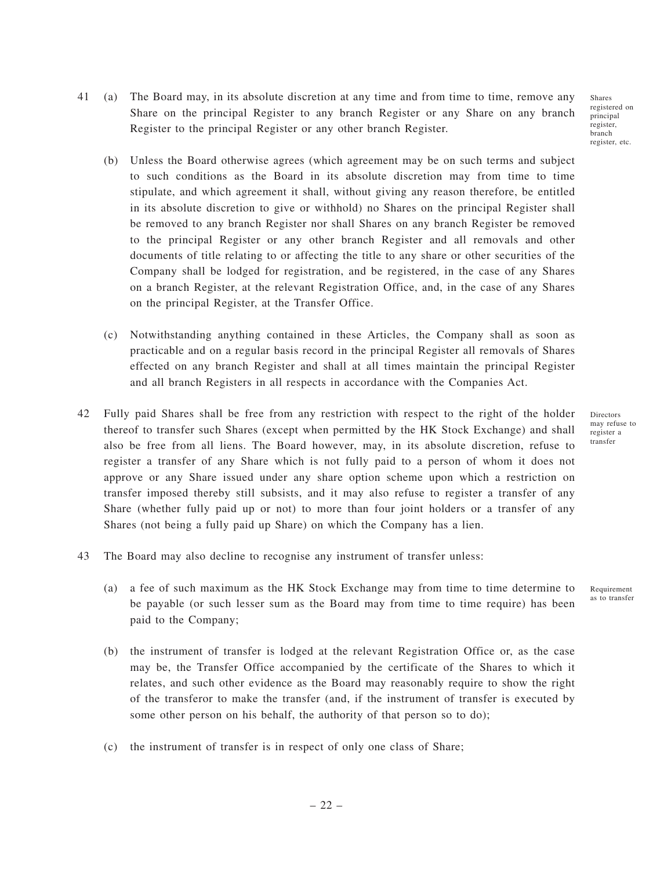Shares registered on principal register, branch register, etc.

- 41 (a) The Board may, in its absolute discretion at any time and from time to time, remove any Share on the principal Register to any branch Register or any Share on any branch Register to the principal Register or any other branch Register.
	- (b) Unless the Board otherwise agrees (which agreement may be on such terms and subject to such conditions as the Board in its absolute discretion may from time to time stipulate, and which agreement it shall, without giving any reason therefore, be entitled in its absolute discretion to give or withhold) no Shares on the principal Register shall be removed to any branch Register nor shall Shares on any branch Register be removed to the principal Register or any other branch Register and all removals and other documents of title relating to or affecting the title to any share or other securities of the Company shall be lodged for registration, and be registered, in the case of any Shares on a branch Register, at the relevant Registration Office, and, in the case of any Shares on the principal Register, at the Transfer Office.
	- (c) Notwithstanding anything contained in these Articles, the Company shall as soon as practicable and on a regular basis record in the principal Register all removals of Shares effected on any branch Register and shall at all times maintain the principal Register and all branch Registers in all respects in accordance with the Companies Act.
- 42 Fully paid Shares shall be free from any restriction with respect to the right of the holder thereof to transfer such Shares (except when permitted by the HK Stock Exchange) and shall also be free from all liens. The Board however, may, in its absolute discretion, refuse to register a transfer of any Share which is not fully paid to a person of whom it does not approve or any Share issued under any share option scheme upon which a restriction on transfer imposed thereby still subsists, and it may also refuse to register a transfer of any Share (whether fully paid up or not) to more than four joint holders or a transfer of any Shares (not being a fully paid up Share) on which the Company has a lien.
- 43 The Board may also decline to recognise any instrument of transfer unless:
	- (a) a fee of such maximum as the HK Stock Exchange may from time to time determine to be payable (or such lesser sum as the Board may from time to time require) has been paid to the Company;
	- (b) the instrument of transfer is lodged at the relevant Registration Office or, as the case may be, the Transfer Office accompanied by the certificate of the Shares to which it relates, and such other evidence as the Board may reasonably require to show the right of the transferor to make the transfer (and, if the instrument of transfer is executed by some other person on his behalf, the authority of that person so to do);
	- (c) the instrument of transfer is in respect of only one class of Share;

– 22 –

Directors may refuse to register a transfer

Requirement as to transfer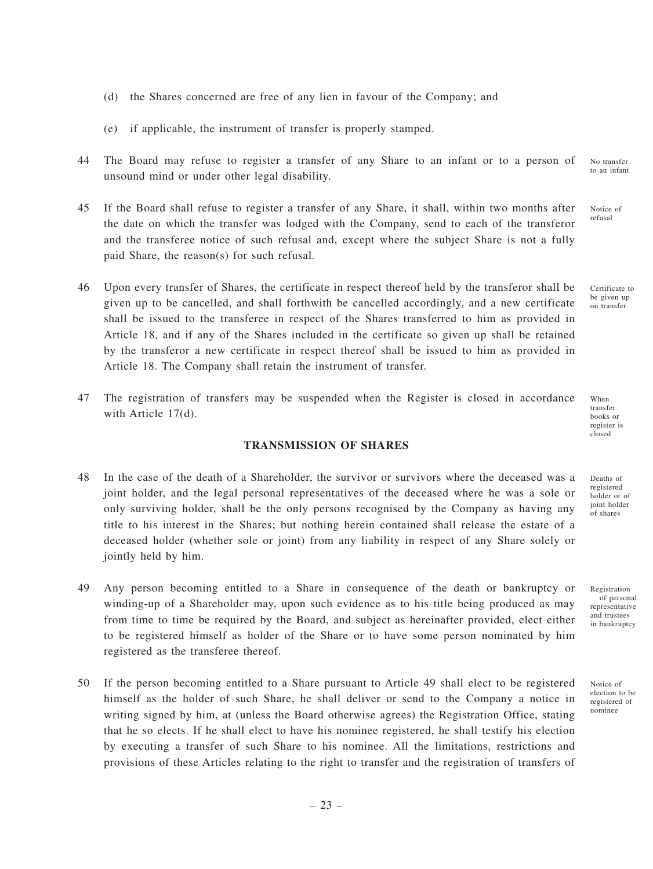- (d) the Shares concerned are free of any lien in favour of the Company; and
- (e) if applicable, the instrument of transfer is properly stamped.
- 44 The Board may refuse to register a transfer of any Share to an infant or to a person of unsound mind or under other legal disability. No transfer to an infant
- 45 If the Board shall refuse to register a transfer of any Share, it shall, within two months after the date on which the transfer was lodged with the Company, send to each of the transferor and the transferee notice of such refusal and, except where the subject Share is not a fully paid Share, the reason(s) for such refusal.
- 46 Upon every transfer of Shares, the certificate in respect thereof held by the transferor shall be given up to be cancelled, and shall forthwith be cancelled accordingly, and a new certificate shall be issued to the transferee in respect of the Shares transferred to him as provided in Article 18, and if any of the Shares included in the certificate so given up shall be retained by the transferor a new certificate in respect thereof shall be issued to him as provided in Article 18. The Company shall retain the instrument of transfer.
- 47 The registration of transfers may be suspended when the Register is closed in accordance with Article 17(d).

# **TRANSMISSION OF SHARES**

- 48 In the case of the death of a Shareholder, the survivor or survivors where the deceased was a joint holder, and the legal personal representatives of the deceased where he was a sole or only surviving holder, shall be the only persons recognised by the Company as having any title to his interest in the Shares; but nothing herein contained shall release the estate of a deceased holder (whether sole or joint) from any liability in respect of any Share solely or jointly held by him.
- 49 Any person becoming entitled to a Share in consequence of the death or bankruptcy or winding-up of a Shareholder may, upon such evidence as to his title being produced as may from time to time be required by the Board, and subject as hereinafter provided, elect either to be registered himself as holder of the Share or to have some person nominated by him registered as the transferee thereof.
- 50 If the person becoming entitled to a Share pursuant to Article 49 shall elect to be registered himself as the holder of such Share, he shall deliver or send to the Company a notice in writing signed by him, at (unless the Board otherwise agrees) the Registration Office, stating that he so elects. If he shall elect to have his nominee registered, he shall testify his election by executing a transfer of such Share to his nominee. All the limitations, restrictions and provisions of these Articles relating to the right to transfer and the registration of transfers of

When

transfer books or register is closed

Notice of refusal

Certificate to be given up on transfer

Deaths of registered holder or of joint holder of shares

Registration of personal representative and trustees in bankruptcy

Notice of election to be registered of nominee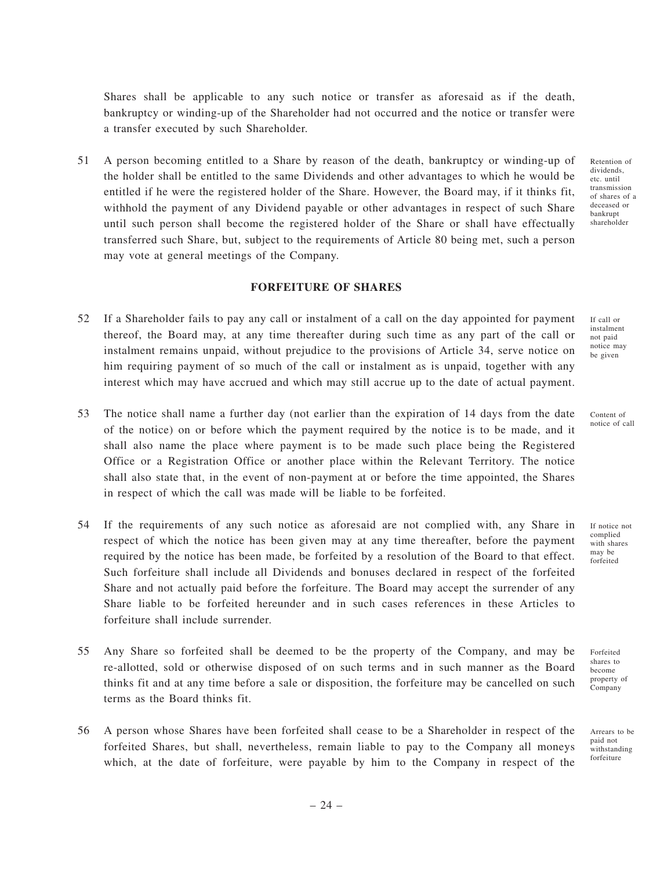Shares shall be applicable to any such notice or transfer as aforesaid as if the death, bankruptcy or winding-up of the Shareholder had not occurred and the notice or transfer were a transfer executed by such Shareholder.

51 A person becoming entitled to a Share by reason of the death, bankruptcy or winding-up of the holder shall be entitled to the same Dividends and other advantages to which he would be entitled if he were the registered holder of the Share. However, the Board may, if it thinks fit, withhold the payment of any Dividend payable or other advantages in respect of such Share until such person shall become the registered holder of the Share or shall have effectually transferred such Share, but, subject to the requirements of Article 80 being met, such a person may vote at general meetings of the Company.

**FORFEITURE OF SHARES**

- 52 If a Shareholder fails to pay any call or instalment of a call on the day appointed for payment thereof, the Board may, at any time thereafter during such time as any part of the call or instalment remains unpaid, without prejudice to the provisions of Article 34, serve notice on him requiring payment of so much of the call or instalment as is unpaid, together with any interest which may have accrued and which may still accrue up to the date of actual payment.
- 53 The notice shall name a further day (not earlier than the expiration of 14 days from the date of the notice) on or before which the payment required by the notice is to be made, and it shall also name the place where payment is to be made such place being the Registered Office or a Registration Office or another place within the Relevant Territory. The notice shall also state that, in the event of non-payment at or before the time appointed, the Shares in respect of which the call was made will be liable to be forfeited.
- 54 If the requirements of any such notice as aforesaid are not complied with, any Share in respect of which the notice has been given may at any time thereafter, before the payment required by the notice has been made, be forfeited by a resolution of the Board to that effect. Such forfeiture shall include all Dividends and bonuses declared in respect of the forfeited Share and not actually paid before the forfeiture. The Board may accept the surrender of any Share liable to be forfeited hereunder and in such cases references in these Articles to forfeiture shall include surrender.
- 55 Any Share so forfeited shall be deemed to be the property of the Company, and may be re-allotted, sold or otherwise disposed of on such terms and in such manner as the Board thinks fit and at any time before a sale or disposition, the forfeiture may be cancelled on such terms as the Board thinks fit.
- 56 A person whose Shares have been forfeited shall cease to be a Shareholder in respect of the forfeited Shares, but shall, nevertheless, remain liable to pay to the Company all moneys which, at the date of forfeiture, were payable by him to the Company in respect of the

Retention of dividends, etc. until transmission of shares of a deceased or bankrupt shareholder

If call or instalment not paid notice may be given

Content of notice of call

If notice not complied with shares may be forfeited

Forfeited shares to become property of Company

Arrears to be paid not withstanding forfeiture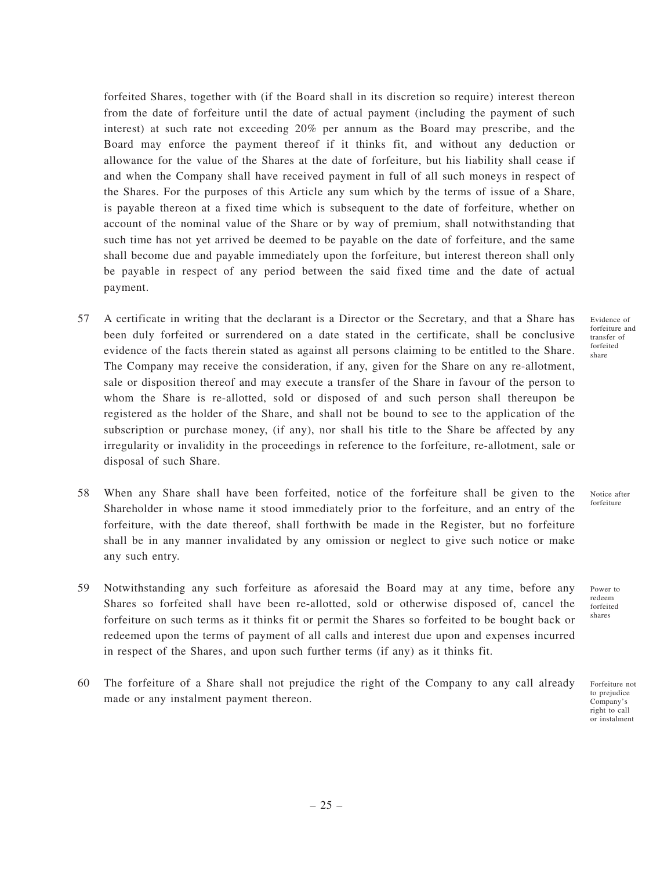forfeited Shares, together with (if the Board shall in its discretion so require) interest thereon from the date of forfeiture until the date of actual payment (including the payment of such interest) at such rate not exceeding 20% per annum as the Board may prescribe, and the Board may enforce the payment thereof if it thinks fit, and without any deduction or allowance for the value of the Shares at the date of forfeiture, but his liability shall cease if and when the Company shall have received payment in full of all such moneys in respect of the Shares. For the purposes of this Article any sum which by the terms of issue of a Share, is payable thereon at a fixed time which is subsequent to the date of forfeiture, whether on account of the nominal value of the Share or by way of premium, shall notwithstanding that such time has not yet arrived be deemed to be payable on the date of forfeiture, and the same shall become due and payable immediately upon the forfeiture, but interest thereon shall only be payable in respect of any period between the said fixed time and the date of actual payment.

- 57 A certificate in writing that the declarant is a Director or the Secretary, and that a Share has been duly forfeited or surrendered on a date stated in the certificate, shall be conclusive evidence of the facts therein stated as against all persons claiming to be entitled to the Share. The Company may receive the consideration, if any, given for the Share on any re-allotment, sale or disposition thereof and may execute a transfer of the Share in favour of the person to whom the Share is re-allotted, sold or disposed of and such person shall thereupon be registered as the holder of the Share, and shall not be bound to see to the application of the subscription or purchase money, (if any), nor shall his title to the Share be affected by any irregularity or invalidity in the proceedings in reference to the forfeiture, re-allotment, sale or disposal of such Share.
- 58 When any Share shall have been forfeited, notice of the forfeiture shall be given to the Shareholder in whose name it stood immediately prior to the forfeiture, and an entry of the forfeiture, with the date thereof, shall forthwith be made in the Register, but no forfeiture shall be in any manner invalidated by any omission or neglect to give such notice or make any such entry.
- 59 Notwithstanding any such forfeiture as aforesaid the Board may at any time, before any Shares so forfeited shall have been re-allotted, sold or otherwise disposed of, cancel the forfeiture on such terms as it thinks fit or permit the Shares so forfeited to be bought back or redeemed upon the terms of payment of all calls and interest due upon and expenses incurred in respect of the Shares, and upon such further terms (if any) as it thinks fit.
- 60 The forfeiture of a Share shall not prejudice the right of the Company to any call already made or any instalment payment thereon.

Evidence of forfeiture and transfer of forfeited share

Notice after forfeiture

redeem forfeited shares

Power to

Forfeiture not to prejudice Company's right to call or instalment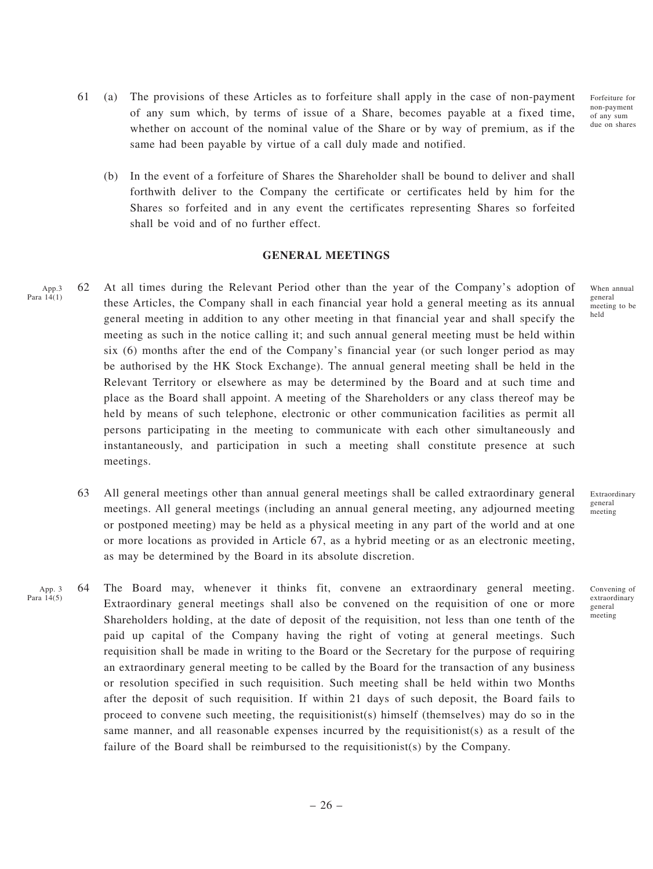- 61 (a) The provisions of these Articles as to forfeiture shall apply in the case of non-payment of any sum which, by terms of issue of a Share, becomes payable at a fixed time, whether on account of the nominal value of the Share or by way of premium, as if the same had been payable by virtue of a call duly made and notified.
	- (b) In the event of a forfeiture of Shares the Shareholder shall be bound to deliver and shall forthwith deliver to the Company the certificate or certificates held by him for the Shares so forfeited and in any event the certificates representing Shares so forfeited shall be void and of no further effect.

#### **GENERAL MEETINGS**

- 62 At all times during the Relevant Period other than the year of the Company's adoption of these Articles, the Company shall in each financial year hold a general meeting as its annual general meeting in addition to any other meeting in that financial year and shall specify the meeting as such in the notice calling it; and such annual general meeting must be held within six (6) months after the end of the Company's financial year (or such longer period as may be authorised by the HK Stock Exchange). The annual general meeting shall be held in the Relevant Territory or elsewhere as may be determined by the Board and at such time and place as the Board shall appoint. A meeting of the Shareholders or any class thereof may be held by means of such telephone, electronic or other communication facilities as permit all persons participating in the meeting to communicate with each other simultaneously and instantaneously, and participation in such a meeting shall constitute presence at such meetings. App.3 Para  $14(1)$ 
	- 63 All general meetings other than annual general meetings shall be called extraordinary general meetings. All general meetings (including an annual general meeting, any adjourned meeting or postponed meeting) may be held as a physical meeting in any part of the world and at one or more locations as provided in Article 67, as a hybrid meeting or as an electronic meeting, as may be determined by the Board in its absolute discretion.
- 64 The Board may, whenever it thinks fit, convene an extraordinary general meeting. Extraordinary general meetings shall also be convened on the requisition of one or more Shareholders holding, at the date of deposit of the requisition, not less than one tenth of the paid up capital of the Company having the right of voting at general meetings. Such requisition shall be made in writing to the Board or the Secretary for the purpose of requiring an extraordinary general meeting to be called by the Board for the transaction of any business or resolution specified in such requisition. Such meeting shall be held within two Months after the deposit of such requisition. If within 21 days of such deposit, the Board fails to proceed to convene such meeting, the requisitionist(s) himself (themselves) may do so in the same manner, and all reasonable expenses incurred by the requisitionist(s) as a result of the failure of the Board shall be reimbursed to the requisitionist(s) by the Company. App. 3 Para 14(5)

When annual general meeting to be held

Forfeiture for non-payment of any sum due on shares

Extraordinary general meeting

Convening of extraordinary general meeting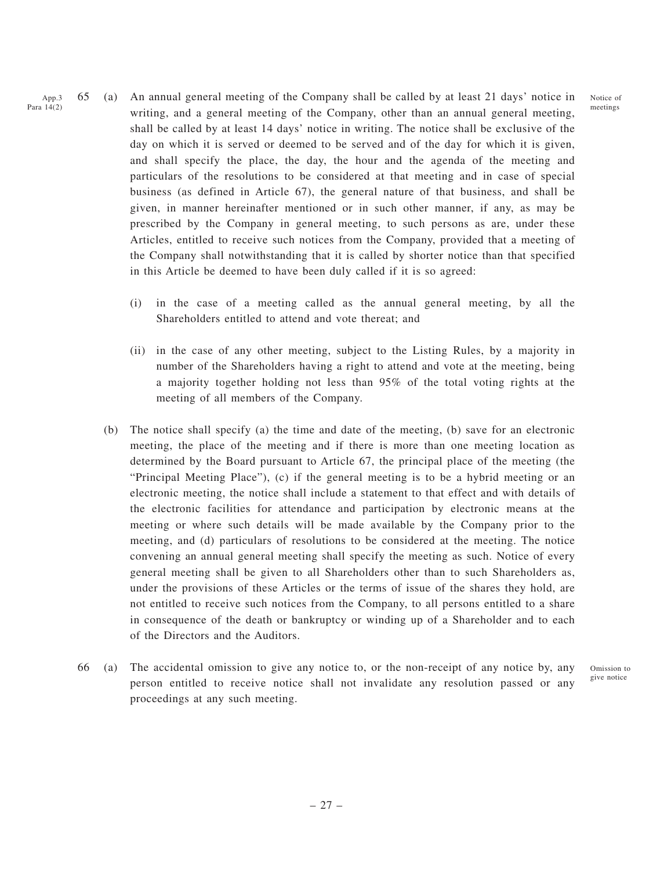- 65 (a) An annual general meeting of the Company shall be called by at least 21 days' notice in writing, and a general meeting of the Company, other than an annual general meeting, shall be called by at least 14 days' notice in writing. The notice shall be exclusive of the day on which it is served or deemed to be served and of the day for which it is given, and shall specify the place, the day, the hour and the agenda of the meeting and particulars of the resolutions to be considered at that meeting and in case of special business (as defined in Article 67), the general nature of that business, and shall be given, in manner hereinafter mentioned or in such other manner, if any, as may be prescribed by the Company in general meeting, to such persons as are, under these Articles, entitled to receive such notices from the Company, provided that a meeting of the Company shall notwithstanding that it is called by shorter notice than that specified in this Article be deemed to have been duly called if it is so agreed: App.3 Para 14(2)
	- (i) in the case of a meeting called as the annual general meeting, by all the Shareholders entitled to attend and vote thereat; and
	- (ii) in the case of any other meeting, subject to the Listing Rules, by a majority in number of the Shareholders having a right to attend and vote at the meeting, being a majority together holding not less than 95% of the total voting rights at the meeting of all members of the Company.
	- (b) The notice shall specify (a) the time and date of the meeting, (b) save for an electronic meeting, the place of the meeting and if there is more than one meeting location as determined by the Board pursuant to Article 67, the principal place of the meeting (the "Principal Meeting Place"), (c) if the general meeting is to be a hybrid meeting or an electronic meeting, the notice shall include a statement to that effect and with details of the electronic facilities for attendance and participation by electronic means at the meeting or where such details will be made available by the Company prior to the meeting, and (d) particulars of resolutions to be considered at the meeting. The notice convening an annual general meeting shall specify the meeting as such. Notice of every general meeting shall be given to all Shareholders other than to such Shareholders as, under the provisions of these Articles or the terms of issue of the shares they hold, are not entitled to receive such notices from the Company, to all persons entitled to a share in consequence of the death or bankruptcy or winding up of a Shareholder and to each of the Directors and the Auditors.
	- 66 (a) The accidental omission to give any notice to, or the non-receipt of any notice by, any person entitled to receive notice shall not invalidate any resolution passed or any proceedings at any such meeting.

Omission to give notice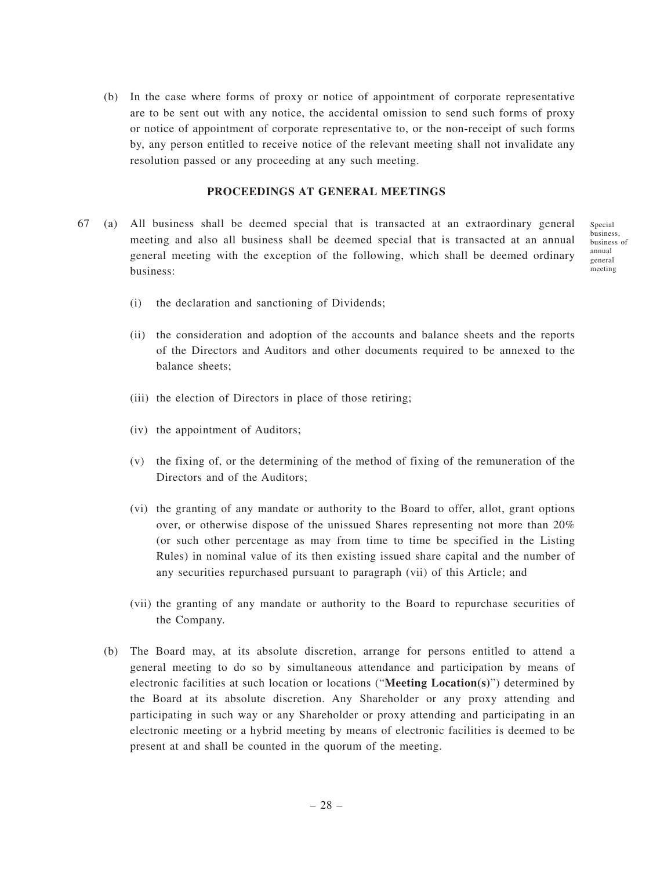(b) In the case where forms of proxy or notice of appointment of corporate representative are to be sent out with any notice, the accidental omission to send such forms of proxy or notice of appointment of corporate representative to, or the non-receipt of such forms by, any person entitled to receive notice of the relevant meeting shall not invalidate any resolution passed or any proceeding at any such meeting.

### **PROCEEDINGS AT GENERAL MEETINGS**

67 (a) All business shall be deemed special that is transacted at an extraordinary general meeting and also all business shall be deemed special that is transacted at an annual general meeting with the exception of the following, which shall be deemed ordinary business:

Special business, business of annual general meeting

- (i) the declaration and sanctioning of Dividends;
- (ii) the consideration and adoption of the accounts and balance sheets and the reports of the Directors and Auditors and other documents required to be annexed to the balance sheets;
- (iii) the election of Directors in place of those retiring;
- (iv) the appointment of Auditors;
- (v) the fixing of, or the determining of the method of fixing of the remuneration of the Directors and of the Auditors;
- (vi) the granting of any mandate or authority to the Board to offer, allot, grant options over, or otherwise dispose of the unissued Shares representing not more than 20% (or such other percentage as may from time to time be specified in the Listing Rules) in nominal value of its then existing issued share capital and the number of any securities repurchased pursuant to paragraph (vii) of this Article; and
- (vii) the granting of any mandate or authority to the Board to repurchase securities of the Company.
- (b) The Board may, at its absolute discretion, arrange for persons entitled to attend a general meeting to do so by simultaneous attendance and participation by means of electronic facilities at such location or locations ("**Meeting Location(s)**") determined by the Board at its absolute discretion. Any Shareholder or any proxy attending and participating in such way or any Shareholder or proxy attending and participating in an electronic meeting or a hybrid meeting by means of electronic facilities is deemed to be present at and shall be counted in the quorum of the meeting.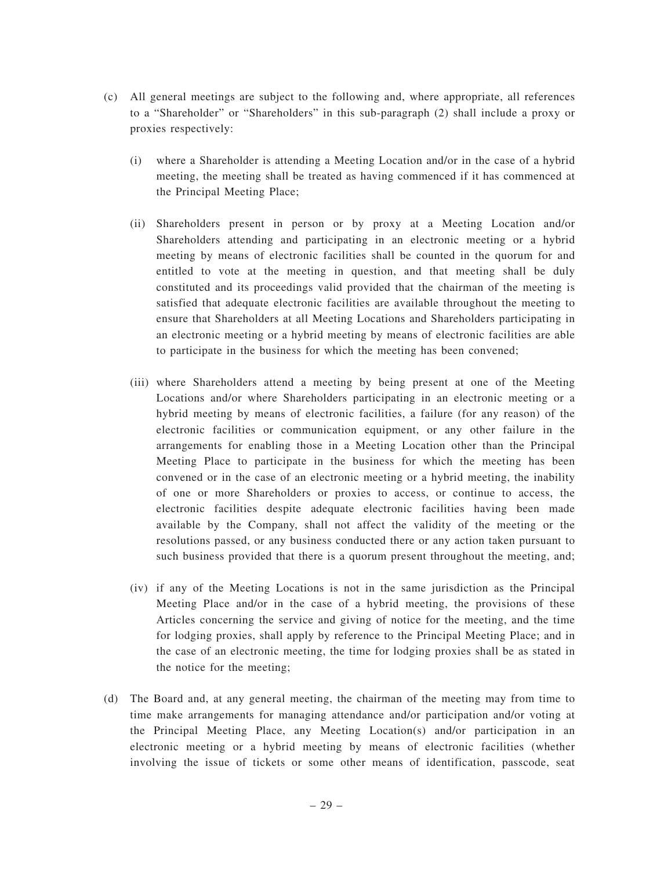- (c) All general meetings are subject to the following and, where appropriate, all references to a "Shareholder" or "Shareholders" in this sub-paragraph (2) shall include a proxy or proxies respectively:
	- (i) where a Shareholder is attending a Meeting Location and/or in the case of a hybrid meeting, the meeting shall be treated as having commenced if it has commenced at the Principal Meeting Place;
	- (ii) Shareholders present in person or by proxy at a Meeting Location and/or Shareholders attending and participating in an electronic meeting or a hybrid meeting by means of electronic facilities shall be counted in the quorum for and entitled to vote at the meeting in question, and that meeting shall be duly constituted and its proceedings valid provided that the chairman of the meeting is satisfied that adequate electronic facilities are available throughout the meeting to ensure that Shareholders at all Meeting Locations and Shareholders participating in an electronic meeting or a hybrid meeting by means of electronic facilities are able to participate in the business for which the meeting has been convened;
	- (iii) where Shareholders attend a meeting by being present at one of the Meeting Locations and/or where Shareholders participating in an electronic meeting or a hybrid meeting by means of electronic facilities, a failure (for any reason) of the electronic facilities or communication equipment, or any other failure in the arrangements for enabling those in a Meeting Location other than the Principal Meeting Place to participate in the business for which the meeting has been convened or in the case of an electronic meeting or a hybrid meeting, the inability of one or more Shareholders or proxies to access, or continue to access, the electronic facilities despite adequate electronic facilities having been made available by the Company, shall not affect the validity of the meeting or the resolutions passed, or any business conducted there or any action taken pursuant to such business provided that there is a quorum present throughout the meeting, and;
	- (iv) if any of the Meeting Locations is not in the same jurisdiction as the Principal Meeting Place and/or in the case of a hybrid meeting, the provisions of these Articles concerning the service and giving of notice for the meeting, and the time for lodging proxies, shall apply by reference to the Principal Meeting Place; and in the case of an electronic meeting, the time for lodging proxies shall be as stated in the notice for the meeting;
- (d) The Board and, at any general meeting, the chairman of the meeting may from time to time make arrangements for managing attendance and/or participation and/or voting at the Principal Meeting Place, any Meeting Location(s) and/or participation in an electronic meeting or a hybrid meeting by means of electronic facilities (whether involving the issue of tickets or some other means of identification, passcode, seat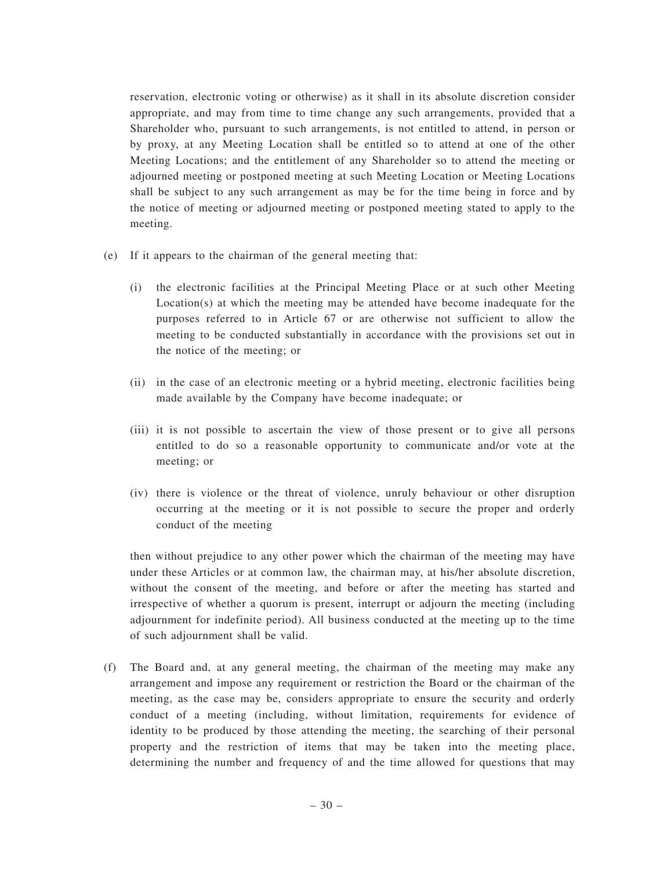reservation, electronic voting or otherwise) as it shall in its absolute discretion consider appropriate, and may from time to time change any such arrangements, provided that a Shareholder who, pursuant to such arrangements, is not entitled to attend, in person or by proxy, at any Meeting Location shall be entitled so to attend at one of the other Meeting Locations; and the entitlement of any Shareholder so to attend the meeting or adjourned meeting or postponed meeting at such Meeting Location or Meeting Locations shall be subject to any such arrangement as may be for the time being in force and by the notice of meeting or adjourned meeting or postponed meeting stated to apply to the meeting.

- (e) If it appears to the chairman of the general meeting that:
	- (i) the electronic facilities at the Principal Meeting Place or at such other Meeting Location(s) at which the meeting may be attended have become inadequate for the purposes referred to in Article 67 or are otherwise not sufficient to allow the meeting to be conducted substantially in accordance with the provisions set out in the notice of the meeting; or
	- (ii) in the case of an electronic meeting or a hybrid meeting, electronic facilities being made available by the Company have become inadequate; or
	- (iii) it is not possible to ascertain the view of those present or to give all persons entitled to do so a reasonable opportunity to communicate and/or vote at the meeting; or
	- (iv) there is violence or the threat of violence, unruly behaviour or other disruption occurring at the meeting or it is not possible to secure the proper and orderly conduct of the meeting

then without prejudice to any other power which the chairman of the meeting may have under these Articles or at common law, the chairman may, at his/her absolute discretion, without the consent of the meeting, and before or after the meeting has started and irrespective of whether a quorum is present, interrupt or adjourn the meeting (including adjournment for indefinite period). All business conducted at the meeting up to the time of such adjournment shall be valid.

(f) The Board and, at any general meeting, the chairman of the meeting may make any arrangement and impose any requirement or restriction the Board or the chairman of the meeting, as the case may be, considers appropriate to ensure the security and orderly conduct of a meeting (including, without limitation, requirements for evidence of identity to be produced by those attending the meeting, the searching of their personal property and the restriction of items that may be taken into the meeting place, determining the number and frequency of and the time allowed for questions that may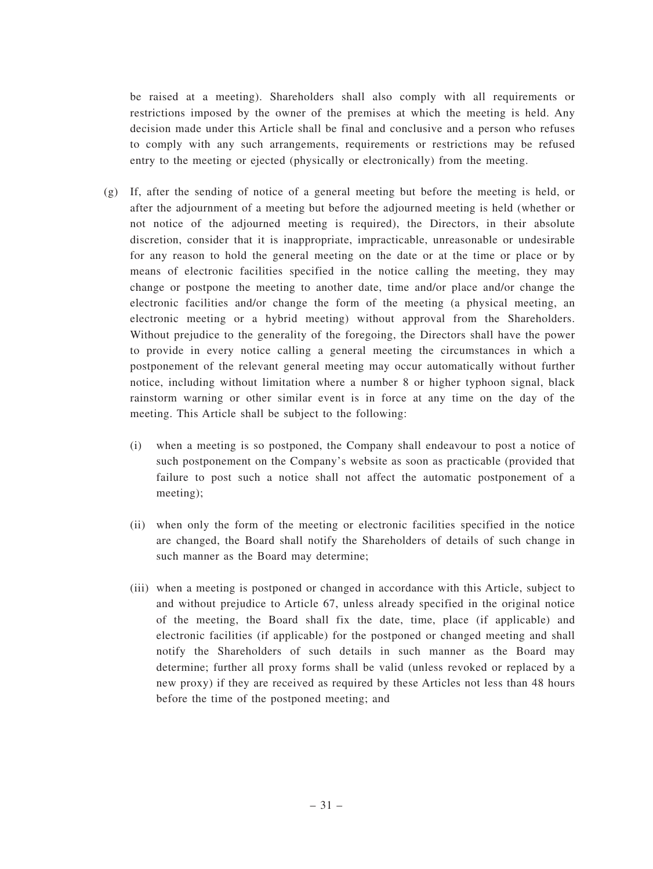be raised at a meeting). Shareholders shall also comply with all requirements or restrictions imposed by the owner of the premises at which the meeting is held. Any decision made under this Article shall be final and conclusive and a person who refuses to comply with any such arrangements, requirements or restrictions may be refused entry to the meeting or ejected (physically or electronically) from the meeting.

- (g) If, after the sending of notice of a general meeting but before the meeting is held, or after the adjournment of a meeting but before the adjourned meeting is held (whether or not notice of the adjourned meeting is required), the Directors, in their absolute discretion, consider that it is inappropriate, impracticable, unreasonable or undesirable for any reason to hold the general meeting on the date or at the time or place or by means of electronic facilities specified in the notice calling the meeting, they may change or postpone the meeting to another date, time and/or place and/or change the electronic facilities and/or change the form of the meeting (a physical meeting, an electronic meeting or a hybrid meeting) without approval from the Shareholders. Without prejudice to the generality of the foregoing, the Directors shall have the power to provide in every notice calling a general meeting the circumstances in which a postponement of the relevant general meeting may occur automatically without further notice, including without limitation where a number 8 or higher typhoon signal, black rainstorm warning or other similar event is in force at any time on the day of the meeting. This Article shall be subject to the following:
	- (i) when a meeting is so postponed, the Company shall endeavour to post a notice of such postponement on the Company's website as soon as practicable (provided that failure to post such a notice shall not affect the automatic postponement of a meeting);
	- (ii) when only the form of the meeting or electronic facilities specified in the notice are changed, the Board shall notify the Shareholders of details of such change in such manner as the Board may determine;
	- (iii) when a meeting is postponed or changed in accordance with this Article, subject to and without prejudice to Article 67, unless already specified in the original notice of the meeting, the Board shall fix the date, time, place (if applicable) and electronic facilities (if applicable) for the postponed or changed meeting and shall notify the Shareholders of such details in such manner as the Board may determine; further all proxy forms shall be valid (unless revoked or replaced by a new proxy) if they are received as required by these Articles not less than 48 hours before the time of the postponed meeting; and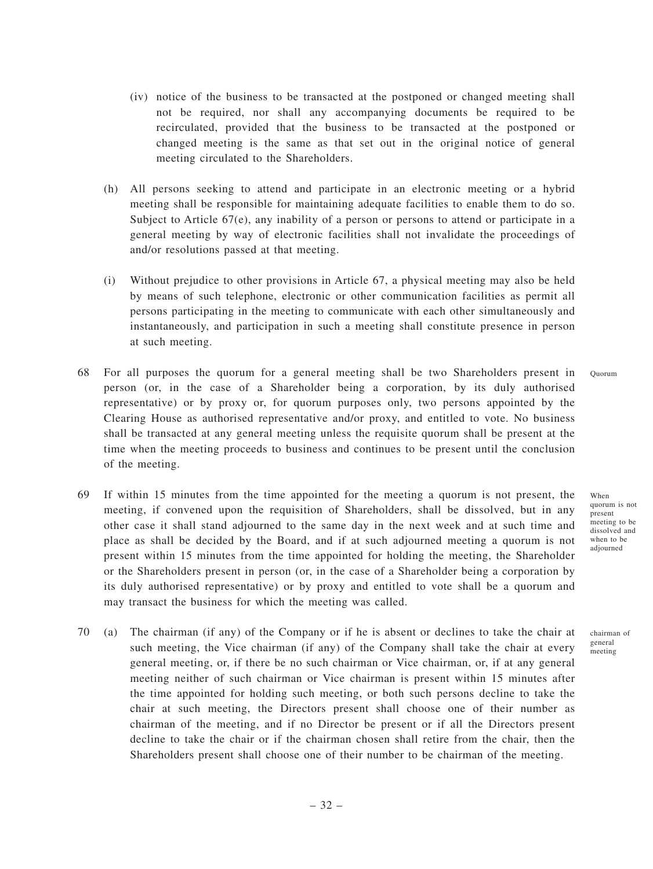- (iv) notice of the business to be transacted at the postponed or changed meeting shall not be required, nor shall any accompanying documents be required to be recirculated, provided that the business to be transacted at the postponed or changed meeting is the same as that set out in the original notice of general meeting circulated to the Shareholders.
- (h) All persons seeking to attend and participate in an electronic meeting or a hybrid meeting shall be responsible for maintaining adequate facilities to enable them to do so. Subject to Article  $67(e)$ , any inability of a person or persons to attend or participate in a general meeting by way of electronic facilities shall not invalidate the proceedings of and/or resolutions passed at that meeting.
- (i) Without prejudice to other provisions in Article 67, a physical meeting may also be held by means of such telephone, electronic or other communication facilities as permit all persons participating in the meeting to communicate with each other simultaneously and instantaneously, and participation in such a meeting shall constitute presence in person at such meeting.
- 68 For all purposes the quorum for a general meeting shall be two Shareholders present in person (or, in the case of a Shareholder being a corporation, by its duly authorised representative) or by proxy or, for quorum purposes only, two persons appointed by the Clearing House as authorised representative and/or proxy, and entitled to vote. No business shall be transacted at any general meeting unless the requisite quorum shall be present at the time when the meeting proceeds to business and continues to be present until the conclusion of the meeting. Quorum
- 69 If within 15 minutes from the time appointed for the meeting a quorum is not present, the meeting, if convened upon the requisition of Shareholders, shall be dissolved, but in any other case it shall stand adjourned to the same day in the next week and at such time and place as shall be decided by the Board, and if at such adjourned meeting a quorum is not present within 15 minutes from the time appointed for holding the meeting, the Shareholder or the Shareholders present in person (or, in the case of a Shareholder being a corporation by its duly authorised representative) or by proxy and entitled to vote shall be a quorum and may transact the business for which the meeting was called.
- 70 (a) The chairman (if any) of the Company or if he is absent or declines to take the chair at such meeting, the Vice chairman (if any) of the Company shall take the chair at every general meeting, or, if there be no such chairman or Vice chairman, or, if at any general meeting neither of such chairman or Vice chairman is present within 15 minutes after the time appointed for holding such meeting, or both such persons decline to take the chair at such meeting, the Directors present shall choose one of their number as chairman of the meeting, and if no Director be present or if all the Directors present decline to take the chair or if the chairman chosen shall retire from the chair, then the Shareholders present shall choose one of their number to be chairman of the meeting.

When quorum is not present meeting to be dissolved and when to be adjourned

chairman of general meeting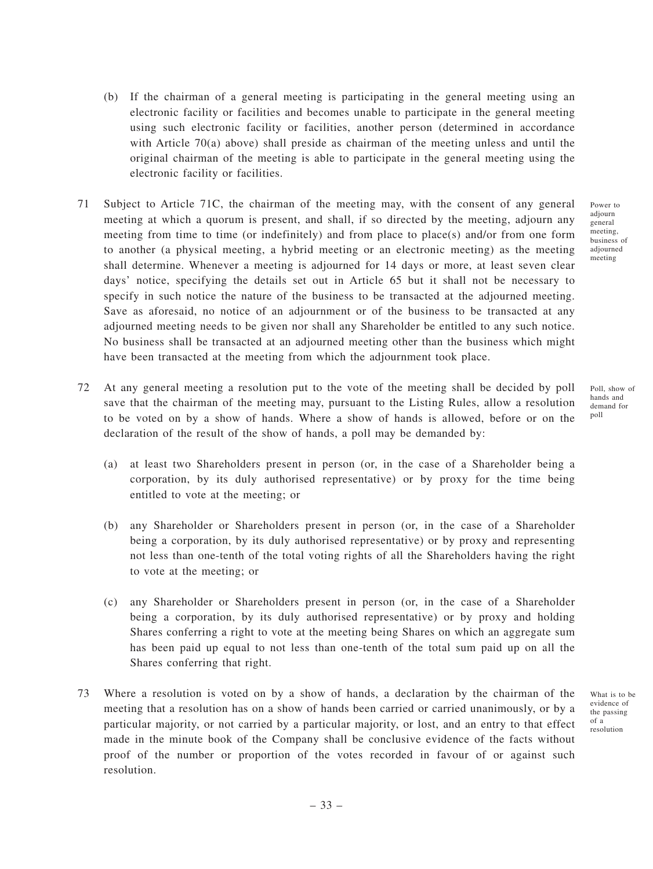- (b) If the chairman of a general meeting is participating in the general meeting using an electronic facility or facilities and becomes unable to participate in the general meeting using such electronic facility or facilities, another person (determined in accordance with Article 70(a) above) shall preside as chairman of the meeting unless and until the original chairman of the meeting is able to participate in the general meeting using the electronic facility or facilities.
- 71 Subject to Article 71C, the chairman of the meeting may, with the consent of any general meeting at which a quorum is present, and shall, if so directed by the meeting, adjourn any meeting from time to time (or indefinitely) and from place to place(s) and/or from one form to another (a physical meeting, a hybrid meeting or an electronic meeting) as the meeting shall determine. Whenever a meeting is adjourned for 14 days or more, at least seven clear days' notice, specifying the details set out in Article 65 but it shall not be necessary to specify in such notice the nature of the business to be transacted at the adjourned meeting. Save as aforesaid, no notice of an adjournment or of the business to be transacted at any adjourned meeting needs to be given nor shall any Shareholder be entitled to any such notice. No business shall be transacted at an adjourned meeting other than the business which might have been transacted at the meeting from which the adjournment took place.
- 72 At any general meeting a resolution put to the vote of the meeting shall be decided by poll save that the chairman of the meeting may, pursuant to the Listing Rules, allow a resolution to be voted on by a show of hands. Where a show of hands is allowed, before or on the declaration of the result of the show of hands, a poll may be demanded by:
	- (a) at least two Shareholders present in person (or, in the case of a Shareholder being a corporation, by its duly authorised representative) or by proxy for the time being entitled to vote at the meeting; or
	- (b) any Shareholder or Shareholders present in person (or, in the case of a Shareholder being a corporation, by its duly authorised representative) or by proxy and representing not less than one-tenth of the total voting rights of all the Shareholders having the right to vote at the meeting; or
	- (c) any Shareholder or Shareholders present in person (or, in the case of a Shareholder being a corporation, by its duly authorised representative) or by proxy and holding Shares conferring a right to vote at the meeting being Shares on which an aggregate sum has been paid up equal to not less than one-tenth of the total sum paid up on all the Shares conferring that right.
- 73 Where a resolution is voted on by a show of hands, a declaration by the chairman of the meeting that a resolution has on a show of hands been carried or carried unanimously, or by a particular majority, or not carried by a particular majority, or lost, and an entry to that effect made in the minute book of the Company shall be conclusive evidence of the facts without proof of the number or proportion of the votes recorded in favour of or against such resolution.

Power to adjourn general meeting. business of adjourned meeting

Poll, show of hands and demand for poll

What is to be evidence of the passing of a resolution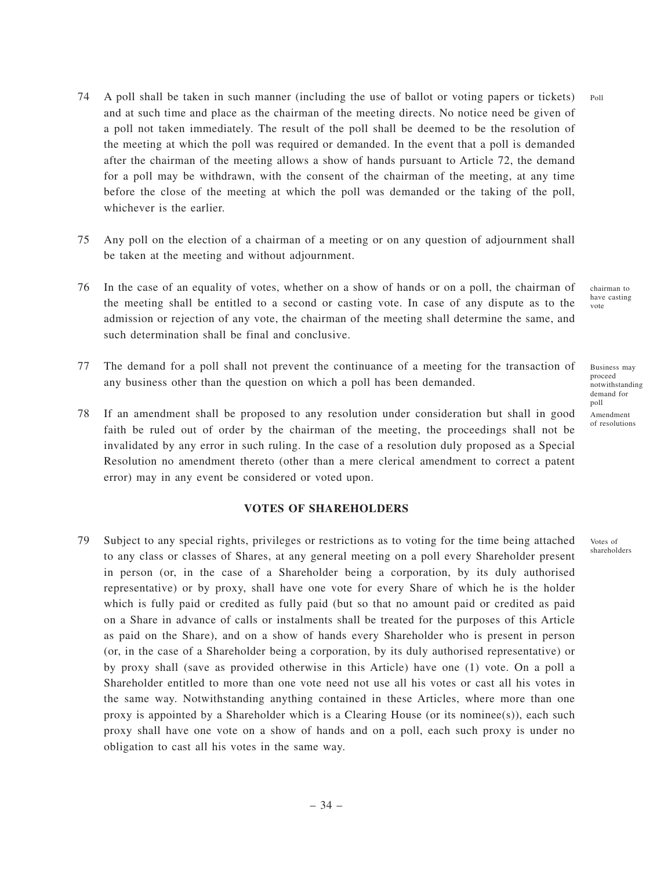- 74 A poll shall be taken in such manner (including the use of ballot or voting papers or tickets) and at such time and place as the chairman of the meeting directs. No notice need be given of a poll not taken immediately. The result of the poll shall be deemed to be the resolution of the meeting at which the poll was required or demanded. In the event that a poll is demanded after the chairman of the meeting allows a show of hands pursuant to Article 72, the demand for a poll may be withdrawn, with the consent of the chairman of the meeting, at any time before the close of the meeting at which the poll was demanded or the taking of the poll, whichever is the earlier. Poll
- 75 Any poll on the election of a chairman of a meeting or on any question of adjournment shall be taken at the meeting and without adjournment.
- 76 In the case of an equality of votes, whether on a show of hands or on a poll, the chairman of the meeting shall be entitled to a second or casting vote. In case of any dispute as to the admission or rejection of any vote, the chairman of the meeting shall determine the same, and such determination shall be final and conclusive.
- 77 The demand for a poll shall not prevent the continuance of a meeting for the transaction of any business other than the question on which a poll has been demanded.
- 78 If an amendment shall be proposed to any resolution under consideration but shall in good faith be ruled out of order by the chairman of the meeting, the proceedings shall not be invalidated by any error in such ruling. In the case of a resolution duly proposed as a Special Resolution no amendment thereto (other than a mere clerical amendment to correct a patent error) may in any event be considered or voted upon.

#### **VOTES OF SHAREHOLDERS**

79 Subject to any special rights, privileges or restrictions as to voting for the time being attached to any class or classes of Shares, at any general meeting on a poll every Shareholder present in person (or, in the case of a Shareholder being a corporation, by its duly authorised representative) or by proxy, shall have one vote for every Share of which he is the holder which is fully paid or credited as fully paid (but so that no amount paid or credited as paid on a Share in advance of calls or instalments shall be treated for the purposes of this Article as paid on the Share), and on a show of hands every Shareholder who is present in person (or, in the case of a Shareholder being a corporation, by its duly authorised representative) or by proxy shall (save as provided otherwise in this Article) have one (1) vote. On a poll a Shareholder entitled to more than one vote need not use all his votes or cast all his votes in the same way. Notwithstanding anything contained in these Articles, where more than one proxy is appointed by a Shareholder which is a Clearing House (or its nominee(s)), each such proxy shall have one vote on a show of hands and on a poll, each such proxy is under no obligation to cast all his votes in the same way.

chairman to have casting vote

Business may proceed notwithstanding demand for poll Amendment of resolutions

Votes of shareholders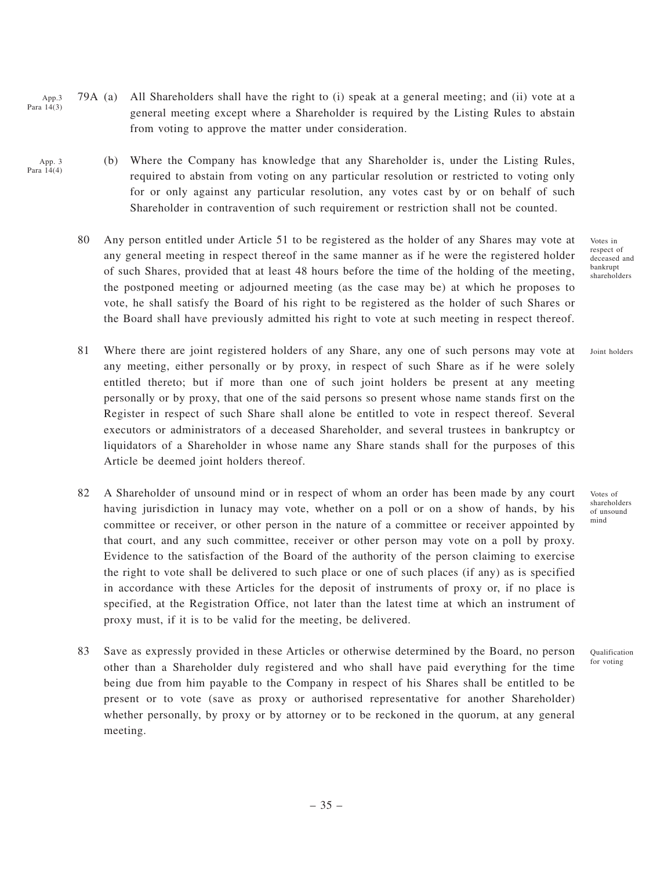- 79A (a) All Shareholders shall have the right to (i) speak at a general meeting; and (ii) vote at a general meeting except where a Shareholder is required by the Listing Rules to abstain from voting to approve the matter under consideration. App.3 Para 14(3)
- (b) Where the Company has knowledge that any Shareholder is, under the Listing Rules, required to abstain from voting on any particular resolution or restricted to voting only for or only against any particular resolution, any votes cast by or on behalf of such Shareholder in contravention of such requirement or restriction shall not be counted. App. 3 Para  $14(4)$ 
	- 80 Any person entitled under Article 51 to be registered as the holder of any Shares may vote at any general meeting in respect thereof in the same manner as if he were the registered holder of such Shares, provided that at least 48 hours before the time of the holding of the meeting, the postponed meeting or adjourned meeting (as the case may be) at which he proposes to vote, he shall satisfy the Board of his right to be registered as the holder of such Shares or the Board shall have previously admitted his right to vote at such meeting in respect thereof.
	- 81 Where there are joint registered holders of any Share, any one of such persons may vote at any meeting, either personally or by proxy, in respect of such Share as if he were solely entitled thereto; but if more than one of such joint holders be present at any meeting personally or by proxy, that one of the said persons so present whose name stands first on the Register in respect of such Share shall alone be entitled to vote in respect thereof. Several executors or administrators of a deceased Shareholder, and several trustees in bankruptcy or liquidators of a Shareholder in whose name any Share stands shall for the purposes of this Article be deemed joint holders thereof.
	- 82 A Shareholder of unsound mind or in respect of whom an order has been made by any court having jurisdiction in lunacy may vote, whether on a poll or on a show of hands, by his committee or receiver, or other person in the nature of a committee or receiver appointed by that court, and any such committee, receiver or other person may vote on a poll by proxy. Evidence to the satisfaction of the Board of the authority of the person claiming to exercise the right to vote shall be delivered to such place or one of such places (if any) as is specified in accordance with these Articles for the deposit of instruments of proxy or, if no place is specified, at the Registration Office, not later than the latest time at which an instrument of proxy must, if it is to be valid for the meeting, be delivered.
	- 83 Save as expressly provided in these Articles or otherwise determined by the Board, no person other than a Shareholder duly registered and who shall have paid everything for the time being due from him payable to the Company in respect of his Shares shall be entitled to be present or to vote (save as proxy or authorised representative for another Shareholder) whether personally, by proxy or by attorney or to be reckoned in the quorum, at any general meeting.

Votes in respect of deceased and bankrupt shareholders

Joint holders

Votes of shareholders of unsound mind

Qualification for voting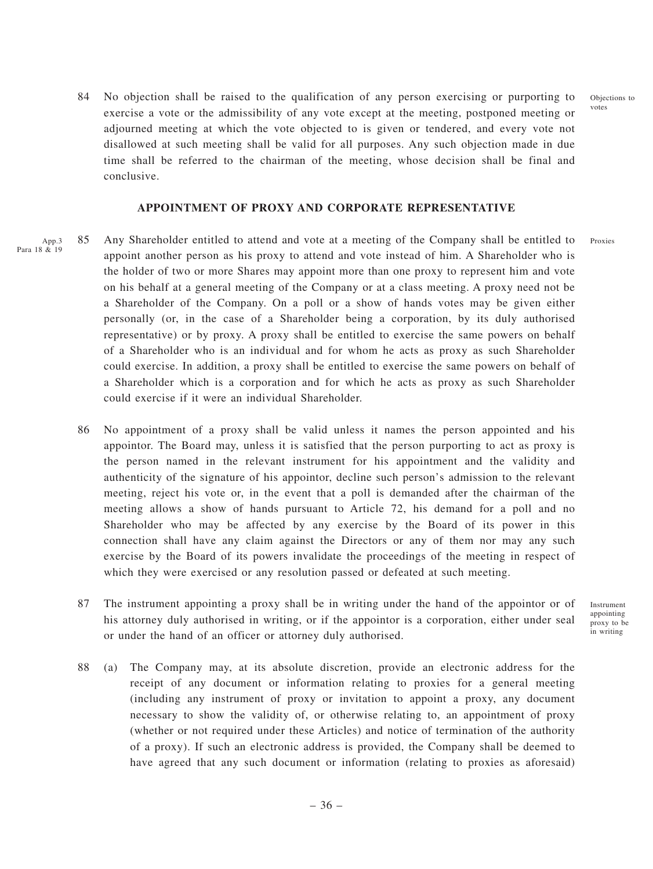Objections to votes

84 No objection shall be raised to the qualification of any person exercising or purporting to exercise a vote or the admissibility of any vote except at the meeting, postponed meeting or adjourned meeting at which the vote objected to is given or tendered, and every vote not disallowed at such meeting shall be valid for all purposes. Any such objection made in due time shall be referred to the chairman of the meeting, whose decision shall be final and conclusive.

#### **APPOINTMENT OF PROXY AND CORPORATE REPRESENTATIVE**

- 85 Any Shareholder entitled to attend and vote at a meeting of the Company shall be entitled to appoint another person as his proxy to attend and vote instead of him. A Shareholder who is the holder of two or more Shares may appoint more than one proxy to represent him and vote on his behalf at a general meeting of the Company or at a class meeting. A proxy need not be a Shareholder of the Company. On a poll or a show of hands votes may be given either personally (or, in the case of a Shareholder being a corporation, by its duly authorised representative) or by proxy. A proxy shall be entitled to exercise the same powers on behalf of a Shareholder who is an individual and for whom he acts as proxy as such Shareholder could exercise. In addition, a proxy shall be entitled to exercise the same powers on behalf of a Shareholder which is a corporation and for which he acts as proxy as such Shareholder could exercise if it were an individual Shareholder. App.3 Para 18 & 19 Proxies
	- 86 No appointment of a proxy shall be valid unless it names the person appointed and his appointor. The Board may, unless it is satisfied that the person purporting to act as proxy is the person named in the relevant instrument for his appointment and the validity and authenticity of the signature of his appointor, decline such person's admission to the relevant meeting, reject his vote or, in the event that a poll is demanded after the chairman of the meeting allows a show of hands pursuant to Article 72, his demand for a poll and no Shareholder who may be affected by any exercise by the Board of its power in this connection shall have any claim against the Directors or any of them nor may any such exercise by the Board of its powers invalidate the proceedings of the meeting in respect of which they were exercised or any resolution passed or defeated at such meeting.
	- 87 The instrument appointing a proxy shall be in writing under the hand of the appointor or of his attorney duly authorised in writing, or if the appointor is a corporation, either under seal or under the hand of an officer or attorney duly authorised.

Instrument appointing proxy to be in writing

88 (a) The Company may, at its absolute discretion, provide an electronic address for the receipt of any document or information relating to proxies for a general meeting (including any instrument of proxy or invitation to appoint a proxy, any document necessary to show the validity of, or otherwise relating to, an appointment of proxy (whether or not required under these Articles) and notice of termination of the authority of a proxy). If such an electronic address is provided, the Company shall be deemed to have agreed that any such document or information (relating to proxies as aforesaid)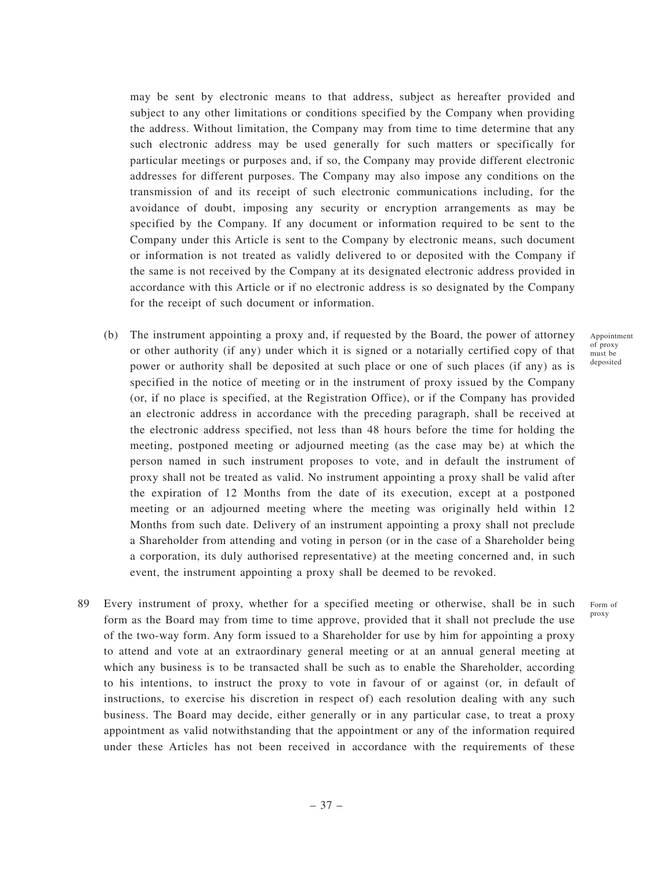may be sent by electronic means to that address, subject as hereafter provided and subject to any other limitations or conditions specified by the Company when providing the address. Without limitation, the Company may from time to time determine that any such electronic address may be used generally for such matters or specifically for particular meetings or purposes and, if so, the Company may provide different electronic addresses for different purposes. The Company may also impose any conditions on the transmission of and its receipt of such electronic communications including, for the avoidance of doubt, imposing any security or encryption arrangements as may be specified by the Company. If any document or information required to be sent to the Company under this Article is sent to the Company by electronic means, such document or information is not treated as validly delivered to or deposited with the Company if the same is not received by the Company at its designated electronic address provided in accordance with this Article or if no electronic address is so designated by the Company for the receipt of such document or information.

- (b) The instrument appointing a proxy and, if requested by the Board, the power of attorney or other authority (if any) under which it is signed or a notarially certified copy of that power or authority shall be deposited at such place or one of such places (if any) as is specified in the notice of meeting or in the instrument of proxy issued by the Company (or, if no place is specified, at the Registration Office), or if the Company has provided an electronic address in accordance with the preceding paragraph, shall be received at the electronic address specified, not less than 48 hours before the time for holding the meeting, postponed meeting or adjourned meeting (as the case may be) at which the person named in such instrument proposes to vote, and in default the instrument of proxy shall not be treated as valid. No instrument appointing a proxy shall be valid after the expiration of 12 Months from the date of its execution, except at a postponed meeting or an adjourned meeting where the meeting was originally held within 12 Months from such date. Delivery of an instrument appointing a proxy shall not preclude a Shareholder from attending and voting in person (or in the case of a Shareholder being a corporation, its duly authorised representative) at the meeting concerned and, in such event, the instrument appointing a proxy shall be deemed to be revoked.
- 89 Every instrument of proxy, whether for a specified meeting or otherwise, shall be in such form as the Board may from time to time approve, provided that it shall not preclude the use of the two-way form. Any form issued to a Shareholder for use by him for appointing a proxy to attend and vote at an extraordinary general meeting or at an annual general meeting at which any business is to be transacted shall be such as to enable the Shareholder, according to his intentions, to instruct the proxy to vote in favour of or against (or, in default of instructions, to exercise his discretion in respect of) each resolution dealing with any such business. The Board may decide, either generally or in any particular case, to treat a proxy appointment as valid notwithstanding that the appointment or any of the information required under these Articles has not been received in accordance with the requirements of these

Appointment of proxy must be deposited

Form of proxy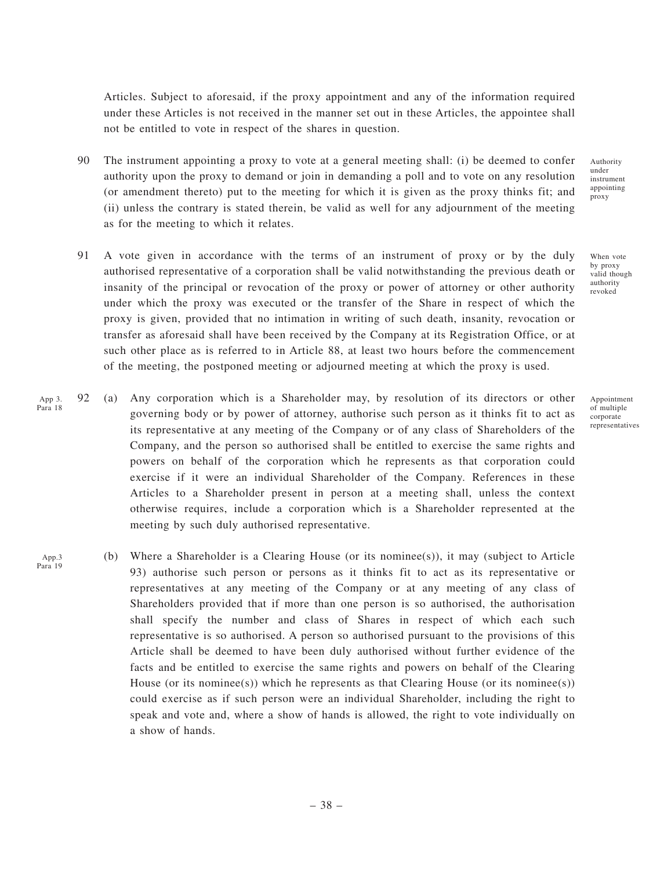Articles. Subject to aforesaid, if the proxy appointment and any of the information required under these Articles is not received in the manner set out in these Articles, the appointee shall not be entitled to vote in respect of the shares in question.

- 90 The instrument appointing a proxy to vote at a general meeting shall: (i) be deemed to confer authority upon the proxy to demand or join in demanding a poll and to vote on any resolution (or amendment thereto) put to the meeting for which it is given as the proxy thinks fit; and (ii) unless the contrary is stated therein, be valid as well for any adjournment of the meeting as for the meeting to which it relates.
- 91 A vote given in accordance with the terms of an instrument of proxy or by the duly authorised representative of a corporation shall be valid notwithstanding the previous death or insanity of the principal or revocation of the proxy or power of attorney or other authority under which the proxy was executed or the transfer of the Share in respect of which the proxy is given, provided that no intimation in writing of such death, insanity, revocation or transfer as aforesaid shall have been received by the Company at its Registration Office, or at such other place as is referred to in Article 88, at least two hours before the commencement of the meeting, the postponed meeting or adjourned meeting at which the proxy is used.
- 92 (a) Any corporation which is a Shareholder may, by resolution of its directors or other governing body or by power of attorney, authorise such person as it thinks fit to act as its representative at any meeting of the Company or of any class of Shareholders of the Company, and the person so authorised shall be entitled to exercise the same rights and powers on behalf of the corporation which he represents as that corporation could exercise if it were an individual Shareholder of the Company. References in these Articles to a Shareholder present in person at a meeting shall, unless the context otherwise requires, include a corporation which is a Shareholder represented at the meeting by such duly authorised representative. App 3. Para 18

App.3 Para 19

(b) Where a Shareholder is a Clearing House (or its nominee(s)), it may (subject to Article 93) authorise such person or persons as it thinks fit to act as its representative or representatives at any meeting of the Company or at any meeting of any class of Shareholders provided that if more than one person is so authorised, the authorisation shall specify the number and class of Shares in respect of which each such representative is so authorised. A person so authorised pursuant to the provisions of this Article shall be deemed to have been duly authorised without further evidence of the facts and be entitled to exercise the same rights and powers on behalf of the Clearing House (or its nominee(s)) which he represents as that Clearing House (or its nominee(s)) could exercise as if such person were an individual Shareholder, including the right to speak and vote and, where a show of hands is allowed, the right to vote individually on a show of hands.

Authority under instrument appointing proxy

When vote by proxy valid though authority revoked

Appointment of multiple corporate representatives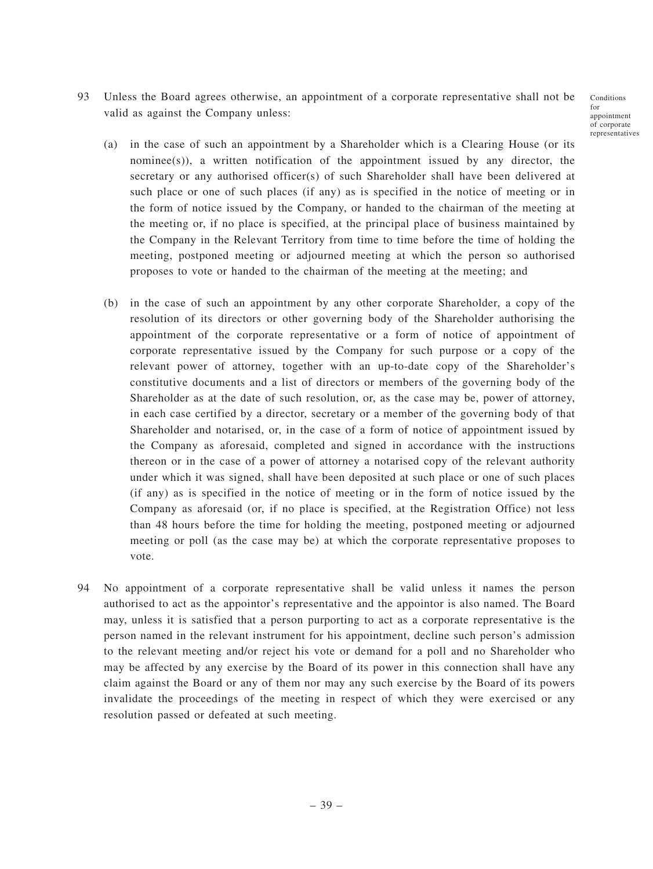Conditions for appointment of corporate representatives

- 93 Unless the Board agrees otherwise, an appointment of a corporate representative shall not be valid as against the Company unless:
	- (a) in the case of such an appointment by a Shareholder which is a Clearing House (or its nominee(s)), a written notification of the appointment issued by any director, the secretary or any authorised officer(s) of such Shareholder shall have been delivered at such place or one of such places (if any) as is specified in the notice of meeting or in the form of notice issued by the Company, or handed to the chairman of the meeting at the meeting or, if no place is specified, at the principal place of business maintained by the Company in the Relevant Territory from time to time before the time of holding the meeting, postponed meeting or adjourned meeting at which the person so authorised proposes to vote or handed to the chairman of the meeting at the meeting; and
	- (b) in the case of such an appointment by any other corporate Shareholder, a copy of the resolution of its directors or other governing body of the Shareholder authorising the appointment of the corporate representative or a form of notice of appointment of corporate representative issued by the Company for such purpose or a copy of the relevant power of attorney, together with an up-to-date copy of the Shareholder's constitutive documents and a list of directors or members of the governing body of the Shareholder as at the date of such resolution, or, as the case may be, power of attorney, in each case certified by a director, secretary or a member of the governing body of that Shareholder and notarised, or, in the case of a form of notice of appointment issued by the Company as aforesaid, completed and signed in accordance with the instructions thereon or in the case of a power of attorney a notarised copy of the relevant authority under which it was signed, shall have been deposited at such place or one of such places (if any) as is specified in the notice of meeting or in the form of notice issued by the Company as aforesaid (or, if no place is specified, at the Registration Office) not less than 48 hours before the time for holding the meeting, postponed meeting or adjourned meeting or poll (as the case may be) at which the corporate representative proposes to vote.
- 94 No appointment of a corporate representative shall be valid unless it names the person authorised to act as the appointor's representative and the appointor is also named. The Board may, unless it is satisfied that a person purporting to act as a corporate representative is the person named in the relevant instrument for his appointment, decline such person's admission to the relevant meeting and/or reject his vote or demand for a poll and no Shareholder who may be affected by any exercise by the Board of its power in this connection shall have any claim against the Board or any of them nor may any such exercise by the Board of its powers invalidate the proceedings of the meeting in respect of which they were exercised or any resolution passed or defeated at such meeting.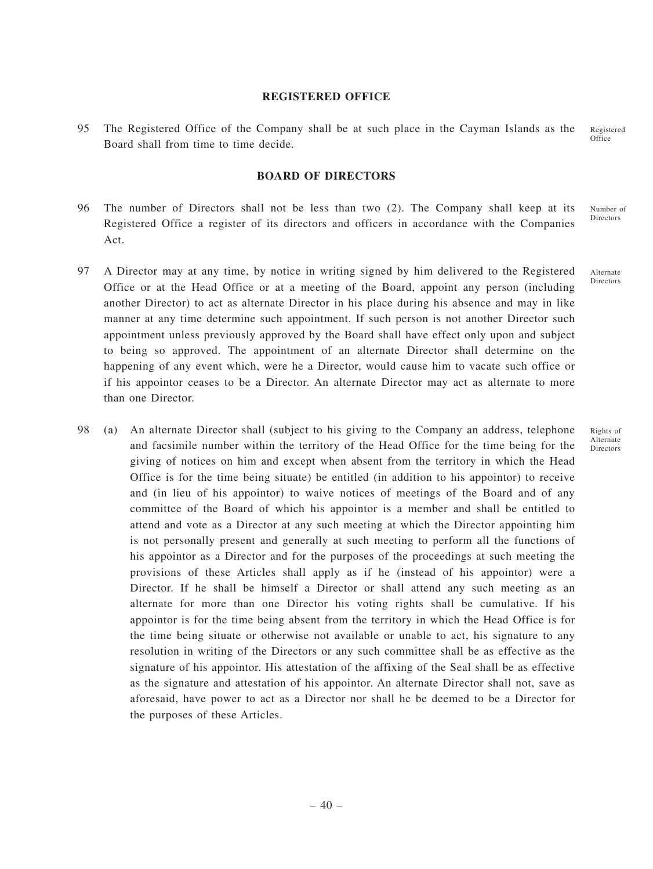#### **REGISTERED OFFICE**

95 The Registered Office of the Company shall be at such place in the Cayman Islands as the Board shall from time to time decide. Registered **Office** 

# **BOARD OF DIRECTORS**

- 96 The number of Directors shall not be less than two (2). The Company shall keep at its Registered Office a register of its directors and officers in accordance with the Companies Act. Number of Directors
- 97 A Director may at any time, by notice in writing signed by him delivered to the Registered Office or at the Head Office or at a meeting of the Board, appoint any person (including another Director) to act as alternate Director in his place during his absence and may in like manner at any time determine such appointment. If such person is not another Director such appointment unless previously approved by the Board shall have effect only upon and subject to being so approved. The appointment of an alternate Director shall determine on the happening of any event which, were he a Director, would cause him to vacate such office or if his appointor ceases to be a Director. An alternate Director may act as alternate to more than one Director.
- 98 (a) An alternate Director shall (subject to his giving to the Company an address, telephone and facsimile number within the territory of the Head Office for the time being for the giving of notices on him and except when absent from the territory in which the Head Office is for the time being situate) be entitled (in addition to his appointor) to receive and (in lieu of his appointor) to waive notices of meetings of the Board and of any committee of the Board of which his appointor is a member and shall be entitled to attend and vote as a Director at any such meeting at which the Director appointing him is not personally present and generally at such meeting to perform all the functions of his appointor as a Director and for the purposes of the proceedings at such meeting the provisions of these Articles shall apply as if he (instead of his appointor) were a Director. If he shall be himself a Director or shall attend any such meeting as an alternate for more than one Director his voting rights shall be cumulative. If his appointor is for the time being absent from the territory in which the Head Office is for the time being situate or otherwise not available or unable to act, his signature to any resolution in writing of the Directors or any such committee shall be as effective as the signature of his appointor. His attestation of the affixing of the Seal shall be as effective as the signature and attestation of his appointor. An alternate Director shall not, save as aforesaid, have power to act as a Director nor shall he be deemed to be a Director for the purposes of these Articles.

Rights of Alternate Directors

Alternate Directors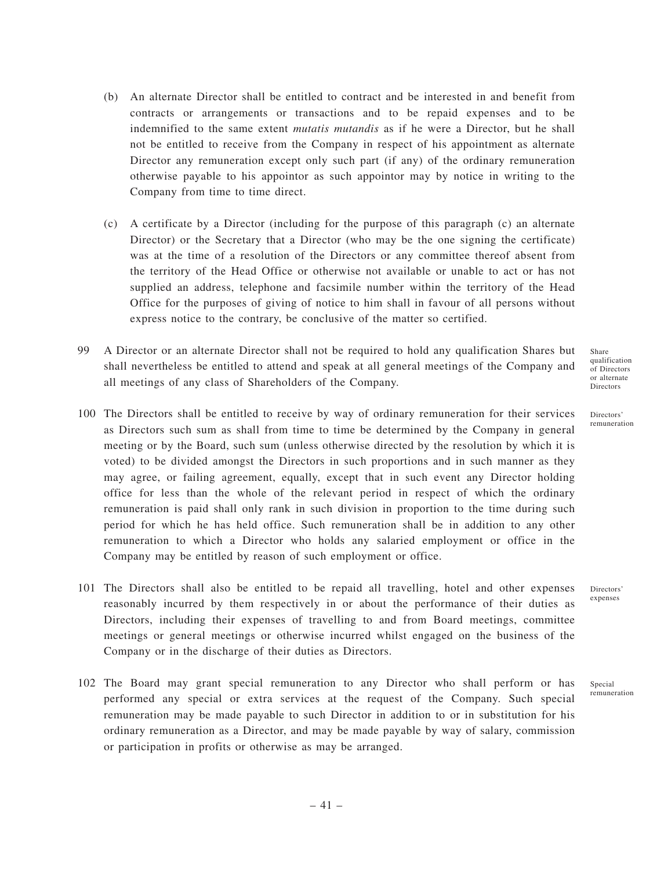- (b) An alternate Director shall be entitled to contract and be interested in and benefit from contracts or arrangements or transactions and to be repaid expenses and to be indemnified to the same extent *mutatis mutandis* as if he were a Director, but he shall not be entitled to receive from the Company in respect of his appointment as alternate Director any remuneration except only such part (if any) of the ordinary remuneration otherwise payable to his appointor as such appointor may by notice in writing to the Company from time to time direct.
- (c) A certificate by a Director (including for the purpose of this paragraph (c) an alternate Director) or the Secretary that a Director (who may be the one signing the certificate) was at the time of a resolution of the Directors or any committee thereof absent from the territory of the Head Office or otherwise not available or unable to act or has not supplied an address, telephone and facsimile number within the territory of the Head Office for the purposes of giving of notice to him shall in favour of all persons without express notice to the contrary, be conclusive of the matter so certified.
- 99 A Director or an alternate Director shall not be required to hold any qualification Shares but shall nevertheless be entitled to attend and speak at all general meetings of the Company and all meetings of any class of Shareholders of the Company.
- 100 The Directors shall be entitled to receive by way of ordinary remuneration for their services as Directors such sum as shall from time to time be determined by the Company in general meeting or by the Board, such sum (unless otherwise directed by the resolution by which it is voted) to be divided amongst the Directors in such proportions and in such manner as they may agree, or failing agreement, equally, except that in such event any Director holding office for less than the whole of the relevant period in respect of which the ordinary remuneration is paid shall only rank in such division in proportion to the time during such period for which he has held office. Such remuneration shall be in addition to any other remuneration to which a Director who holds any salaried employment or office in the Company may be entitled by reason of such employment or office.
- 101 The Directors shall also be entitled to be repaid all travelling, hotel and other expenses reasonably incurred by them respectively in or about the performance of their duties as Directors, including their expenses of travelling to and from Board meetings, committee meetings or general meetings or otherwise incurred whilst engaged on the business of the Company or in the discharge of their duties as Directors.
- 102 The Board may grant special remuneration to any Director who shall perform or has performed any special or extra services at the request of the Company. Such special remuneration may be made payable to such Director in addition to or in substitution for his ordinary remuneration as a Director, and may be made payable by way of salary, commission or participation in profits or otherwise as may be arranged.

Share qualification of Directors or alternate Directors

Directors' remuneration

**Directors** expenses

Special remuneration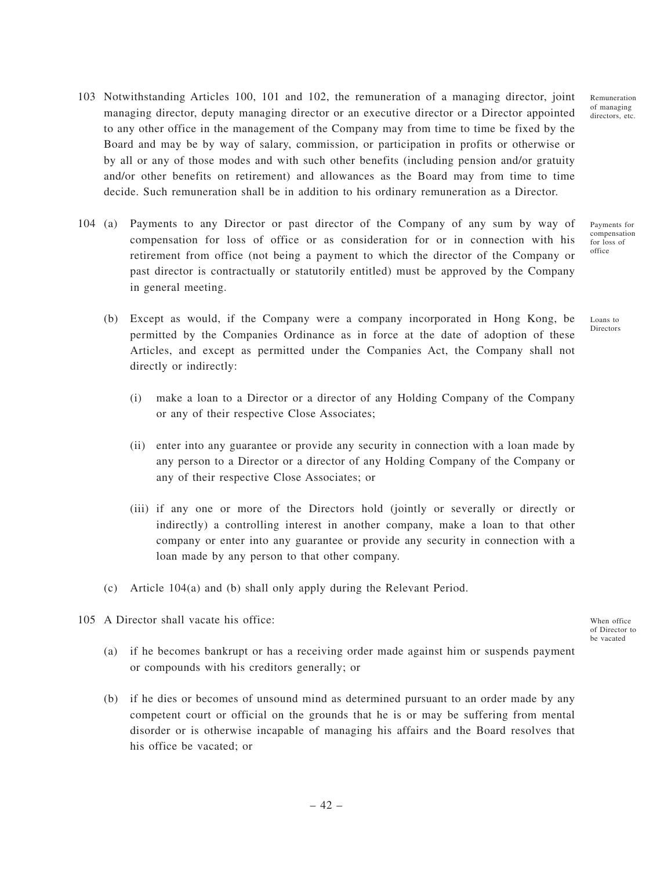Remuneration of managing directors, etc.

Loans to **Directors** 

- 103 Notwithstanding Articles 100, 101 and 102, the remuneration of a managing director, joint managing director, deputy managing director or an executive director or a Director appointed to any other office in the management of the Company may from time to time be fixed by the Board and may be by way of salary, commission, or participation in profits or otherwise or by all or any of those modes and with such other benefits (including pension and/or gratuity and/or other benefits on retirement) and allowances as the Board may from time to time decide. Such remuneration shall be in addition to his ordinary remuneration as a Director.
- 104 (a) Payments to any Director or past director of the Company of any sum by way of compensation for loss of office or as consideration for or in connection with his retirement from office (not being a payment to which the director of the Company or past director is contractually or statutorily entitled) must be approved by the Company in general meeting. Payments for compensation for loss of office
	- (b) Except as would, if the Company were a company incorporated in Hong Kong, be permitted by the Companies Ordinance as in force at the date of adoption of these Articles, and except as permitted under the Companies Act, the Company shall not directly or indirectly:
		- (i) make a loan to a Director or a director of any Holding Company of the Company or any of their respective Close Associates;
		- (ii) enter into any guarantee or provide any security in connection with a loan made by any person to a Director or a director of any Holding Company of the Company or any of their respective Close Associates; or
		- (iii) if any one or more of the Directors hold (jointly or severally or directly or indirectly) a controlling interest in another company, make a loan to that other company or enter into any guarantee or provide any security in connection with a loan made by any person to that other company.
	- (c) Article 104(a) and (b) shall only apply during the Relevant Period.
- 105 A Director shall vacate his office:

When office of Director to be vacated

- (a) if he becomes bankrupt or has a receiving order made against him or suspends payment or compounds with his creditors generally; or
- (b) if he dies or becomes of unsound mind as determined pursuant to an order made by any competent court or official on the grounds that he is or may be suffering from mental disorder or is otherwise incapable of managing his affairs and the Board resolves that his office be vacated; or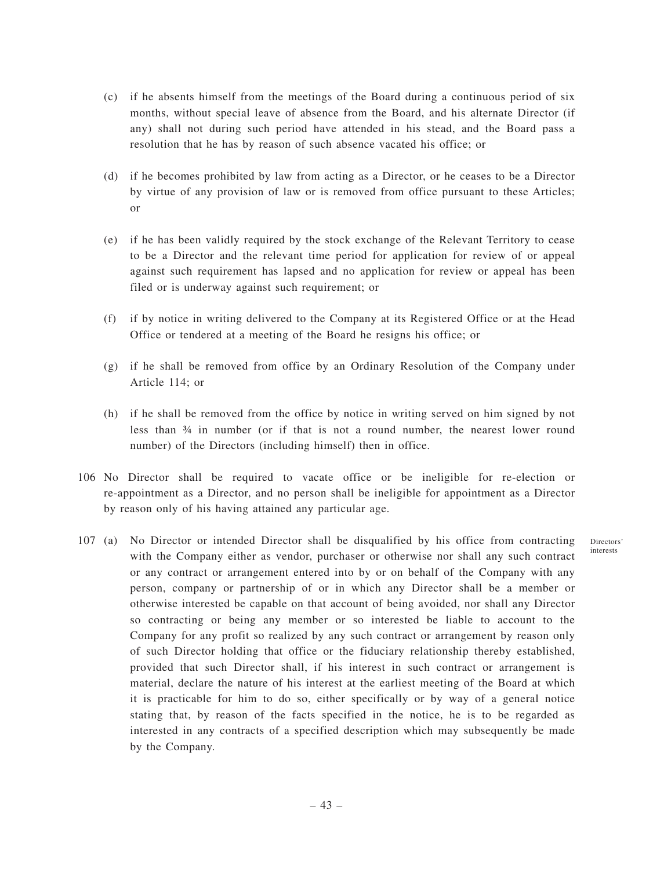- (c) if he absents himself from the meetings of the Board during a continuous period of six months, without special leave of absence from the Board, and his alternate Director (if any) shall not during such period have attended in his stead, and the Board pass a resolution that he has by reason of such absence vacated his office; or
- (d) if he becomes prohibited by law from acting as a Director, or he ceases to be a Director by virtue of any provision of law or is removed from office pursuant to these Articles; or
- (e) if he has been validly required by the stock exchange of the Relevant Territory to cease to be a Director and the relevant time period for application for review of or appeal against such requirement has lapsed and no application for review or appeal has been filed or is underway against such requirement; or
- (f) if by notice in writing delivered to the Company at its Registered Office or at the Head Office or tendered at a meeting of the Board he resigns his office; or
- (g) if he shall be removed from office by an Ordinary Resolution of the Company under Article 114; or
- (h) if he shall be removed from the office by notice in writing served on him signed by not less than ¾ in number (or if that is not a round number, the nearest lower round number) of the Directors (including himself) then in office.
- 106 No Director shall be required to vacate office or be ineligible for re-election or re-appointment as a Director, and no person shall be ineligible for appointment as a Director by reason only of his having attained any particular age.

Directors' interests

107 (a) No Director or intended Director shall be disqualified by his office from contracting with the Company either as vendor, purchaser or otherwise nor shall any such contract or any contract or arrangement entered into by or on behalf of the Company with any person, company or partnership of or in which any Director shall be a member or otherwise interested be capable on that account of being avoided, nor shall any Director so contracting or being any member or so interested be liable to account to the Company for any profit so realized by any such contract or arrangement by reason only of such Director holding that office or the fiduciary relationship thereby established, provided that such Director shall, if his interest in such contract or arrangement is material, declare the nature of his interest at the earliest meeting of the Board at which it is practicable for him to do so, either specifically or by way of a general notice stating that, by reason of the facts specified in the notice, he is to be regarded as interested in any contracts of a specified description which may subsequently be made by the Company.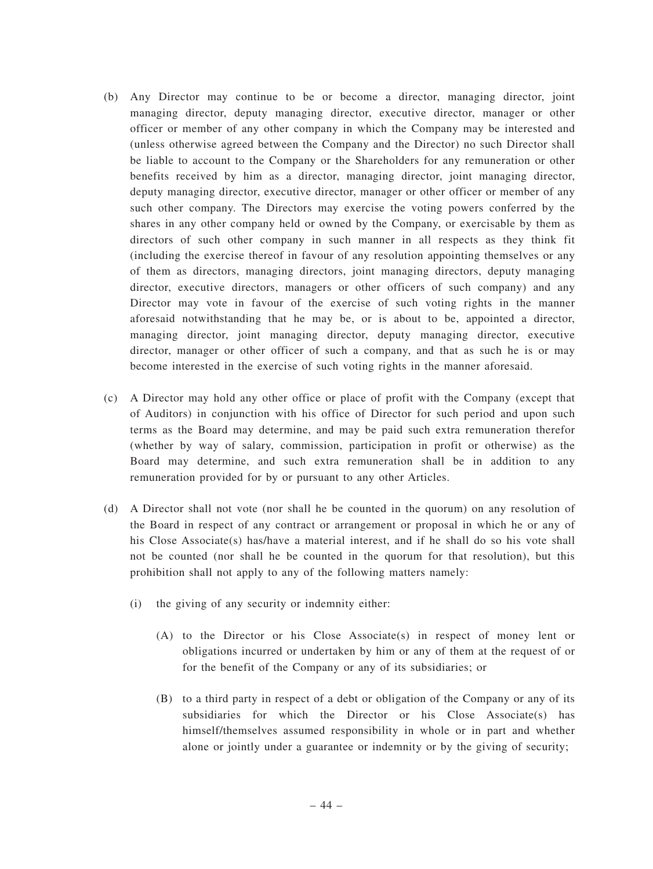- (b) Any Director may continue to be or become a director, managing director, joint managing director, deputy managing director, executive director, manager or other officer or member of any other company in which the Company may be interested and (unless otherwise agreed between the Company and the Director) no such Director shall be liable to account to the Company or the Shareholders for any remuneration or other benefits received by him as a director, managing director, joint managing director, deputy managing director, executive director, manager or other officer or member of any such other company. The Directors may exercise the voting powers conferred by the shares in any other company held or owned by the Company, or exercisable by them as directors of such other company in such manner in all respects as they think fit (including the exercise thereof in favour of any resolution appointing themselves or any of them as directors, managing directors, joint managing directors, deputy managing director, executive directors, managers or other officers of such company) and any Director may vote in favour of the exercise of such voting rights in the manner aforesaid notwithstanding that he may be, or is about to be, appointed a director, managing director, joint managing director, deputy managing director, executive director, manager or other officer of such a company, and that as such he is or may become interested in the exercise of such voting rights in the manner aforesaid.
- (c) A Director may hold any other office or place of profit with the Company (except that of Auditors) in conjunction with his office of Director for such period and upon such terms as the Board may determine, and may be paid such extra remuneration therefor (whether by way of salary, commission, participation in profit or otherwise) as the Board may determine, and such extra remuneration shall be in addition to any remuneration provided for by or pursuant to any other Articles.
- (d) A Director shall not vote (nor shall he be counted in the quorum) on any resolution of the Board in respect of any contract or arrangement or proposal in which he or any of his Close Associate(s) has/have a material interest, and if he shall do so his vote shall not be counted (nor shall he be counted in the quorum for that resolution), but this prohibition shall not apply to any of the following matters namely:
	- (i) the giving of any security or indemnity either:
		- (A) to the Director or his Close Associate(s) in respect of money lent or obligations incurred or undertaken by him or any of them at the request of or for the benefit of the Company or any of its subsidiaries; or
		- (B) to a third party in respect of a debt or obligation of the Company or any of its subsidiaries for which the Director or his Close Associate(s) has himself/themselves assumed responsibility in whole or in part and whether alone or jointly under a guarantee or indemnity or by the giving of security;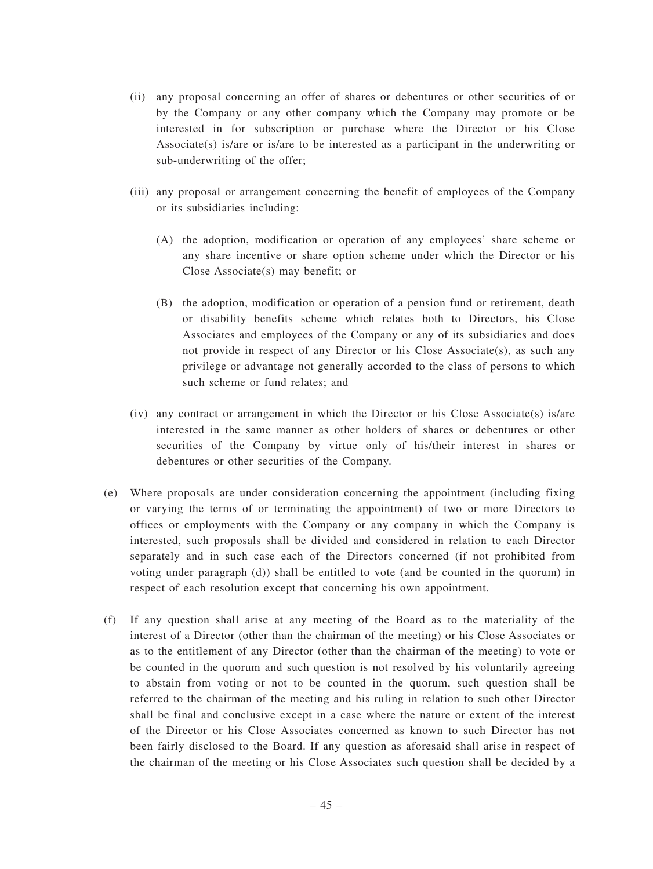- (ii) any proposal concerning an offer of shares or debentures or other securities of or by the Company or any other company which the Company may promote or be interested in for subscription or purchase where the Director or his Close Associate(s) is/are or is/are to be interested as a participant in the underwriting or sub-underwriting of the offer;
- (iii) any proposal or arrangement concerning the benefit of employees of the Company or its subsidiaries including:
	- (A) the adoption, modification or operation of any employees' share scheme or any share incentive or share option scheme under which the Director or his Close Associate(s) may benefit; or
	- (B) the adoption, modification or operation of a pension fund or retirement, death or disability benefits scheme which relates both to Directors, his Close Associates and employees of the Company or any of its subsidiaries and does not provide in respect of any Director or his Close Associate(s), as such any privilege or advantage not generally accorded to the class of persons to which such scheme or fund relates; and
- (iv) any contract or arrangement in which the Director or his Close Associate(s) is/are interested in the same manner as other holders of shares or debentures or other securities of the Company by virtue only of his/their interest in shares or debentures or other securities of the Company.
- (e) Where proposals are under consideration concerning the appointment (including fixing or varying the terms of or terminating the appointment) of two or more Directors to offices or employments with the Company or any company in which the Company is interested, such proposals shall be divided and considered in relation to each Director separately and in such case each of the Directors concerned (if not prohibited from voting under paragraph (d)) shall be entitled to vote (and be counted in the quorum) in respect of each resolution except that concerning his own appointment.
- (f) If any question shall arise at any meeting of the Board as to the materiality of the interest of a Director (other than the chairman of the meeting) or his Close Associates or as to the entitlement of any Director (other than the chairman of the meeting) to vote or be counted in the quorum and such question is not resolved by his voluntarily agreeing to abstain from voting or not to be counted in the quorum, such question shall be referred to the chairman of the meeting and his ruling in relation to such other Director shall be final and conclusive except in a case where the nature or extent of the interest of the Director or his Close Associates concerned as known to such Director has not been fairly disclosed to the Board. If any question as aforesaid shall arise in respect of the chairman of the meeting or his Close Associates such question shall be decided by a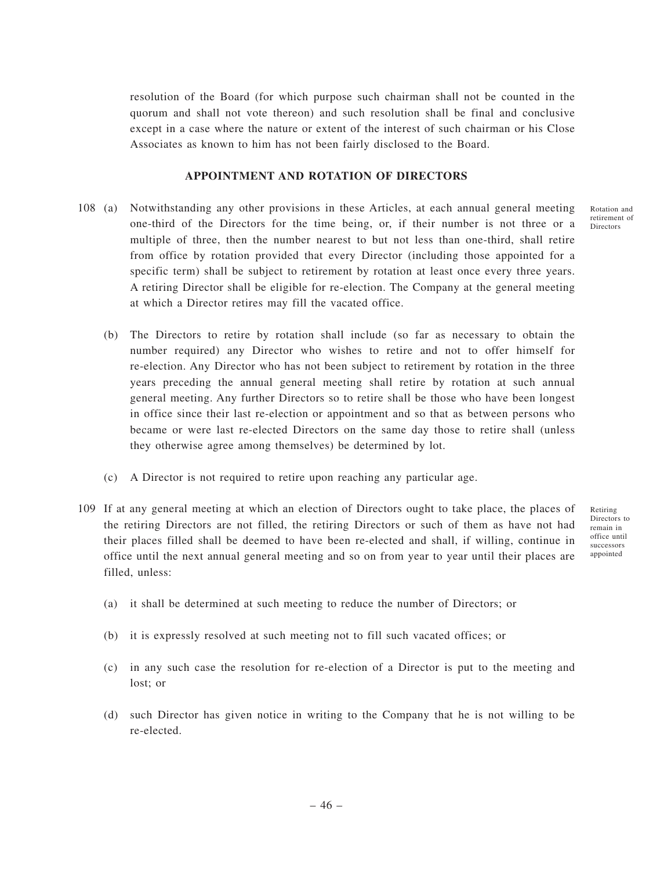resolution of the Board (for which purpose such chairman shall not be counted in the quorum and shall not vote thereon) and such resolution shall be final and conclusive except in a case where the nature or extent of the interest of such chairman or his Close Associates as known to him has not been fairly disclosed to the Board.

# **APPOINTMENT AND ROTATION OF DIRECTORS**

- 108 (a) Notwithstanding any other provisions in these Articles, at each annual general meeting one-third of the Directors for the time being, or, if their number is not three or a multiple of three, then the number nearest to but not less than one-third, shall retire from office by rotation provided that every Director (including those appointed for a specific term) shall be subject to retirement by rotation at least once every three years. A retiring Director shall be eligible for re-election. The Company at the general meeting at which a Director retires may fill the vacated office.
	- (b) The Directors to retire by rotation shall include (so far as necessary to obtain the number required) any Director who wishes to retire and not to offer himself for re-election. Any Director who has not been subject to retirement by rotation in the three years preceding the annual general meeting shall retire by rotation at such annual general meeting. Any further Directors so to retire shall be those who have been longest in office since their last re-election or appointment and so that as between persons who became or were last re-elected Directors on the same day those to retire shall (unless they otherwise agree among themselves) be determined by lot.
	- (c) A Director is not required to retire upon reaching any particular age.
- 109 If at any general meeting at which an election of Directors ought to take place, the places of the retiring Directors are not filled, the retiring Directors or such of them as have not had their places filled shall be deemed to have been re-elected and shall, if willing, continue in office until the next annual general meeting and so on from year to year until their places are filled, unless:
	- Retiring Directors to remain in office until successors appointed

Rotation and retirement of Directors

- (a) it shall be determined at such meeting to reduce the number of Directors; or
- (b) it is expressly resolved at such meeting not to fill such vacated offices; or
- (c) in any such case the resolution for re-election of a Director is put to the meeting and lost; or
- (d) such Director has given notice in writing to the Company that he is not willing to be re-elected.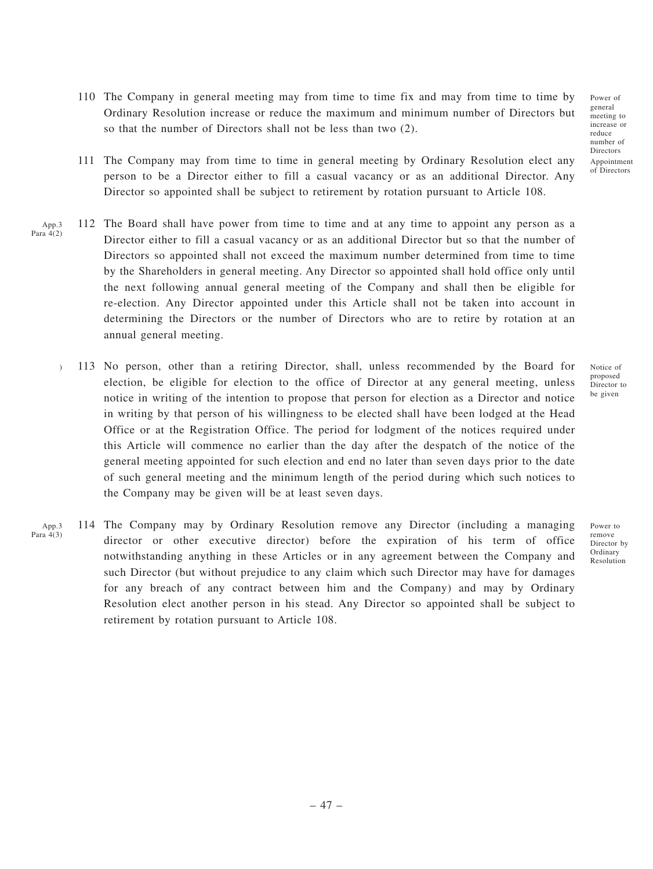- 110 The Company in general meeting may from time to time fix and may from time to time by Ordinary Resolution increase or reduce the maximum and minimum number of Directors but so that the number of Directors shall not be less than two (2).
- 111 The Company may from time to time in general meeting by Ordinary Resolution elect any person to be a Director either to fill a casual vacancy or as an additional Director. Any Director so appointed shall be subject to retirement by rotation pursuant to Article 108.
- 112 The Board shall have power from time to time and at any time to appoint any person as a Director either to fill a casual vacancy or as an additional Director but so that the number of Directors so appointed shall not exceed the maximum number determined from time to time by the Shareholders in general meeting. Any Director so appointed shall hold office only until the next following annual general meeting of the Company and shall then be eligible for re-election. Any Director appointed under this Article shall not be taken into account in determining the Directors or the number of Directors who are to retire by rotation at an annual general meeting. App.3 Para  $4(2)$ 
	- 113 No person, other than a retiring Director, shall, unless recommended by the Board for election, be eligible for election to the office of Director at any general meeting, unless notice in writing of the intention to propose that person for election as a Director and notice in writing by that person of his willingness to be elected shall have been lodged at the Head Office or at the Registration Office. The period for lodgment of the notices required under this Article will commence no earlier than the day after the despatch of the notice of the general meeting appointed for such election and end no later than seven days prior to the date of such general meeting and the minimum length of the period during which such notices to the Company may be given will be at least seven days. )
- 114 The Company may by Ordinary Resolution remove any Director (including a managing director or other executive director) before the expiration of his term of office notwithstanding anything in these Articles or in any agreement between the Company and such Director (but without prejudice to any claim which such Director may have for damages for any breach of any contract between him and the Company) and may by Ordinary Resolution elect another person in his stead. Any Director so appointed shall be subject to retirement by rotation pursuant to Article 108. App.3 Para 4(3)

Notice of proposed Director to be given

Power of general meeting to increase or reduce number of Directors Appointment of Directors

Power to remove Director by Ordinary Resolution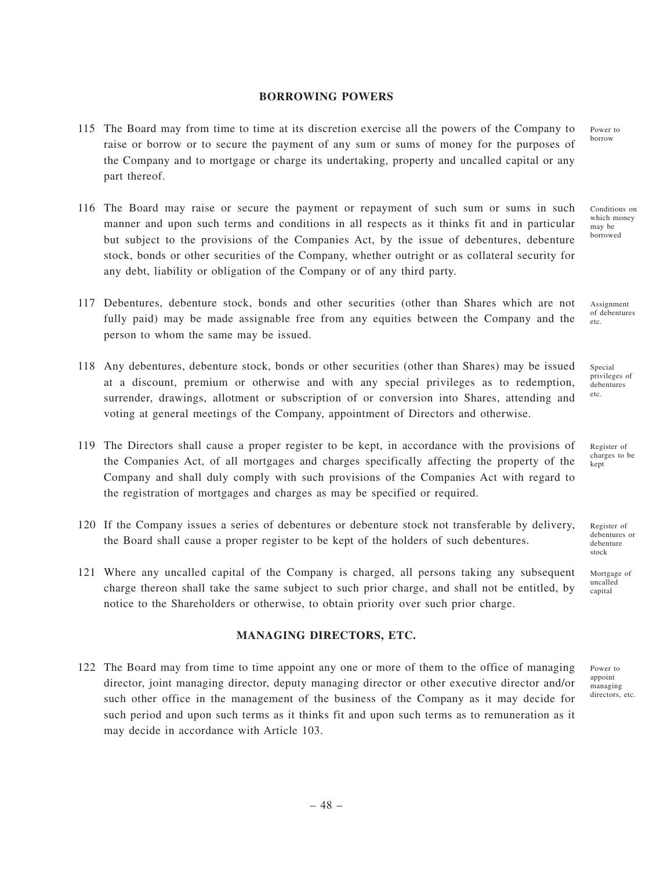#### **BORROWING POWERS**

- 115 The Board may from time to time at its discretion exercise all the powers of the Company to raise or borrow or to secure the payment of any sum or sums of money for the purposes of the Company and to mortgage or charge its undertaking, property and uncalled capital or any part thereof.
- 116 The Board may raise or secure the payment or repayment of such sum or sums in such manner and upon such terms and conditions in all respects as it thinks fit and in particular but subject to the provisions of the Companies Act, by the issue of debentures, debenture stock, bonds or other securities of the Company, whether outright or as collateral security for any debt, liability or obligation of the Company or of any third party.
- 117 Debentures, debenture stock, bonds and other securities (other than Shares which are not fully paid) may be made assignable free from any equities between the Company and the person to whom the same may be issued.
- 118 Any debentures, debenture stock, bonds or other securities (other than Shares) may be issued at a discount, premium or otherwise and with any special privileges as to redemption, surrender, drawings, allotment or subscription of or conversion into Shares, attending and voting at general meetings of the Company, appointment of Directors and otherwise.
- 119 The Directors shall cause a proper register to be kept, in accordance with the provisions of the Companies Act, of all mortgages and charges specifically affecting the property of the Company and shall duly comply with such provisions of the Companies Act with regard to the registration of mortgages and charges as may be specified or required.
- 120 If the Company issues a series of debentures or debenture stock not transferable by delivery, the Board shall cause a proper register to be kept of the holders of such debentures.
- 121 Where any uncalled capital of the Company is charged, all persons taking any subsequent charge thereon shall take the same subject to such prior charge, and shall not be entitled, by notice to the Shareholders or otherwise, to obtain priority over such prior charge.

## **MANAGING DIRECTORS, ETC.**

122 The Board may from time to time appoint any one or more of them to the office of managing director, joint managing director, deputy managing director or other executive director and/or such other office in the management of the business of the Company as it may decide for such period and upon such terms as it thinks fit and upon such terms as to remuneration as it may decide in accordance with Article 103.

Power to borrow

Conditions on which money may be borrowed

Assignment of debentures etc.

Special privileges of debentures etc.

Register of charges to be kept

Register of debentures or debenture stock

Mortgage of uncalled capital

Power to appoint managing directors, etc.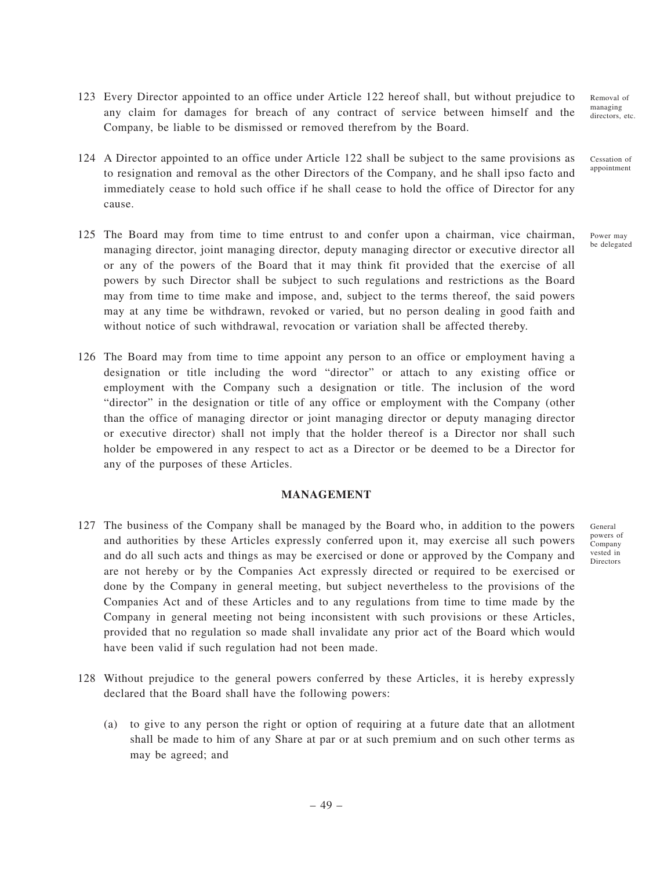- 123 Every Director appointed to an office under Article 122 hereof shall, but without prejudice to any claim for damages for breach of any contract of service between himself and the Company, be liable to be dismissed or removed therefrom by the Board. Removal of managing
- 124 A Director appointed to an office under Article 122 shall be subject to the same provisions as to resignation and removal as the other Directors of the Company, and he shall ipso facto and immediately cease to hold such office if he shall cease to hold the office of Director for any cause.
- 125 The Board may from time to time entrust to and confer upon a chairman, vice chairman, managing director, joint managing director, deputy managing director or executive director all or any of the powers of the Board that it may think fit provided that the exercise of all powers by such Director shall be subject to such regulations and restrictions as the Board may from time to time make and impose, and, subject to the terms thereof, the said powers may at any time be withdrawn, revoked or varied, but no person dealing in good faith and without notice of such withdrawal, revocation or variation shall be affected thereby.
- 126 The Board may from time to time appoint any person to an office or employment having a designation or title including the word "director" or attach to any existing office or employment with the Company such a designation or title. The inclusion of the word "director" in the designation or title of any office or employment with the Company (other than the office of managing director or joint managing director or deputy managing director or executive director) shall not imply that the holder thereof is a Director nor shall such holder be empowered in any respect to act as a Director or be deemed to be a Director for any of the purposes of these Articles.

## **MANAGEMENT**

- 127 The business of the Company shall be managed by the Board who, in addition to the powers and authorities by these Articles expressly conferred upon it, may exercise all such powers and do all such acts and things as may be exercised or done or approved by the Company and are not hereby or by the Companies Act expressly directed or required to be exercised or done by the Company in general meeting, but subject nevertheless to the provisions of the Companies Act and of these Articles and to any regulations from time to time made by the Company in general meeting not being inconsistent with such provisions or these Articles, provided that no regulation so made shall invalidate any prior act of the Board which would have been valid if such regulation had not been made.
- 128 Without prejudice to the general powers conferred by these Articles, it is hereby expressly declared that the Board shall have the following powers:
	- (a) to give to any person the right or option of requiring at a future date that an allotment shall be made to him of any Share at par or at such premium and on such other terms as may be agreed; and

– 49 –

General powers of Company vested in Directors

directors, etc.

Cessation of appointment

Power may be delegated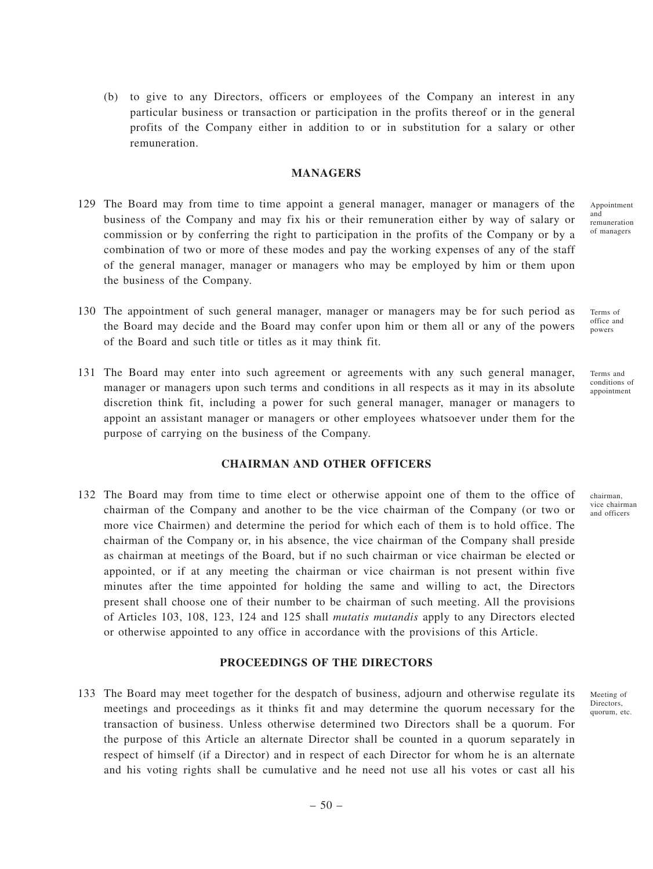### **MANAGERS**

- 129 The Board may from time to time appoint a general manager, manager or managers of the business of the Company and may fix his or their remuneration either by way of salary or commission or by conferring the right to participation in the profits of the Company or by a combination of two or more of these modes and pay the working expenses of any of the staff of the general manager, manager or managers who may be employed by him or them upon the business of the Company.
- 130 The appointment of such general manager, manager or managers may be for such period as the Board may decide and the Board may confer upon him or them all or any of the powers of the Board and such title or titles as it may think fit.
- 131 The Board may enter into such agreement or agreements with any such general manager, manager or managers upon such terms and conditions in all respects as it may in its absolute discretion think fit, including a power for such general manager, manager or managers to appoint an assistant manager or managers or other employees whatsoever under them for the purpose of carrying on the business of the Company.

## **CHAIRMAN AND OTHER OFFICERS**

132 The Board may from time to time elect or otherwise appoint one of them to the office of chairman of the Company and another to be the vice chairman of the Company (or two or more vice Chairmen) and determine the period for which each of them is to hold office. The chairman of the Company or, in his absence, the vice chairman of the Company shall preside as chairman at meetings of the Board, but if no such chairman or vice chairman be elected or appointed, or if at any meeting the chairman or vice chairman is not present within five minutes after the time appointed for holding the same and willing to act, the Directors present shall choose one of their number to be chairman of such meeting. All the provisions of Articles 103, 108, 123, 124 and 125 shall *mutatis mutandis* apply to any Directors elected or otherwise appointed to any office in accordance with the provisions of this Article.

### **PROCEEDINGS OF THE DIRECTORS**

133 The Board may meet together for the despatch of business, adjourn and otherwise regulate its meetings and proceedings as it thinks fit and may determine the quorum necessary for the transaction of business. Unless otherwise determined two Directors shall be a quorum. For the purpose of this Article an alternate Director shall be counted in a quorum separately in respect of himself (if a Director) and in respect of each Director for whom he is an alternate and his voting rights shall be cumulative and he need not use all his votes or cast all his

Appointment and remuneration of managers

Terms of office and powers

Terms and conditions of appointment

chairman, vice chairman and officers

Meeting of Directors, quorum, etc.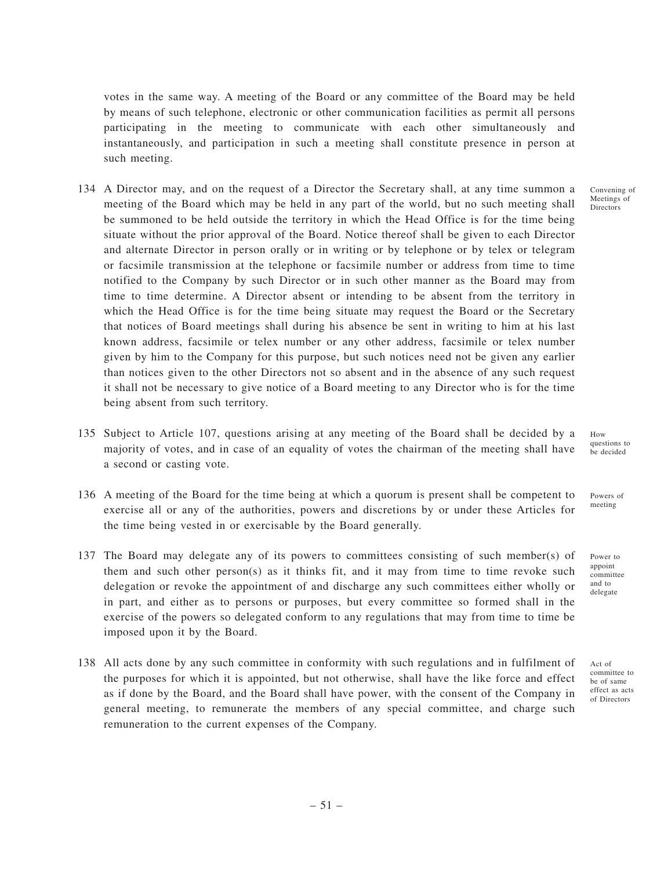votes in the same way. A meeting of the Board or any committee of the Board may be held by means of such telephone, electronic or other communication facilities as permit all persons participating in the meeting to communicate with each other simultaneously and instantaneously, and participation in such a meeting shall constitute presence in person at such meeting.

- 134 A Director may, and on the request of a Director the Secretary shall, at any time summon a meeting of the Board which may be held in any part of the world, but no such meeting shall be summoned to be held outside the territory in which the Head Office is for the time being situate without the prior approval of the Board. Notice thereof shall be given to each Director and alternate Director in person orally or in writing or by telephone or by telex or telegram or facsimile transmission at the telephone or facsimile number or address from time to time notified to the Company by such Director or in such other manner as the Board may from time to time determine. A Director absent or intending to be absent from the territory in which the Head Office is for the time being situate may request the Board or the Secretary that notices of Board meetings shall during his absence be sent in writing to him at his last known address, facsimile or telex number or any other address, facsimile or telex number given by him to the Company for this purpose, but such notices need not be given any earlier than notices given to the other Directors not so absent and in the absence of any such request it shall not be necessary to give notice of a Board meeting to any Director who is for the time being absent from such territory.
- 135 Subject to Article 107, questions arising at any meeting of the Board shall be decided by a majority of votes, and in case of an equality of votes the chairman of the meeting shall have a second or casting vote.
- 136 A meeting of the Board for the time being at which a quorum is present shall be competent to exercise all or any of the authorities, powers and discretions by or under these Articles for the time being vested in or exercisable by the Board generally.
- 137 The Board may delegate any of its powers to committees consisting of such member(s) of them and such other person(s) as it thinks fit, and it may from time to time revoke such delegation or revoke the appointment of and discharge any such committees either wholly or in part, and either as to persons or purposes, but every committee so formed shall in the exercise of the powers so delegated conform to any regulations that may from time to time be imposed upon it by the Board.
- 138 All acts done by any such committee in conformity with such regulations and in fulfilment of the purposes for which it is appointed, but not otherwise, shall have the like force and effect as if done by the Board, and the Board shall have power, with the consent of the Company in general meeting, to remunerate the members of any special committee, and charge such remuneration to the current expenses of the Company.

Convening of Meetings of **Directors** 

How questions to be decided

Powers of meeting

Power to appoint committee and to delegate

be of same effect as acts of Directors

Act of committee to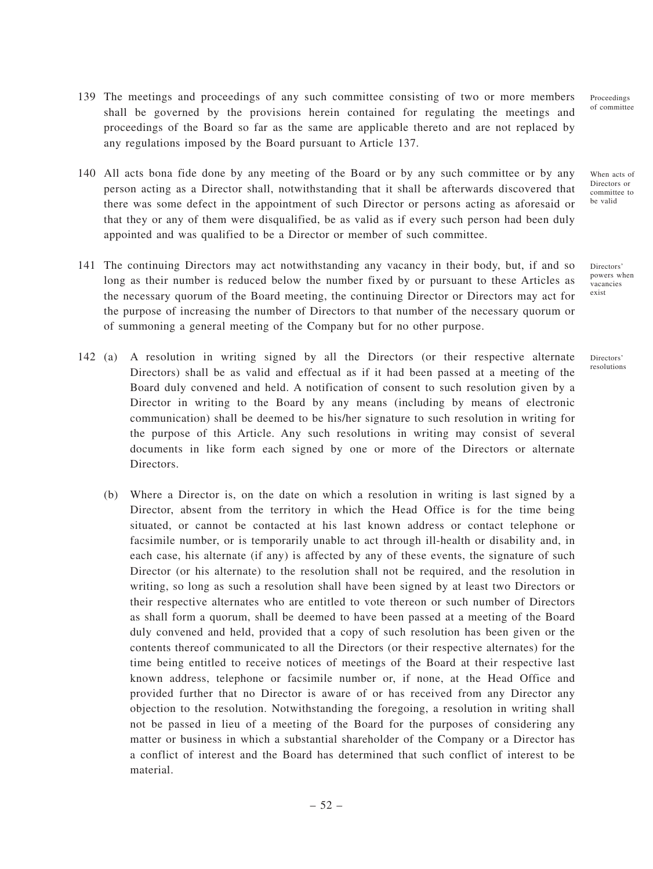- 139 The meetings and proceedings of any such committee consisting of two or more members shall be governed by the provisions herein contained for regulating the meetings and proceedings of the Board so far as the same are applicable thereto and are not replaced by any regulations imposed by the Board pursuant to Article 137.
- 140 All acts bona fide done by any meeting of the Board or by any such committee or by any person acting as a Director shall, notwithstanding that it shall be afterwards discovered that there was some defect in the appointment of such Director or persons acting as aforesaid or that they or any of them were disqualified, be as valid as if every such person had been duly appointed and was qualified to be a Director or member of such committee.
- 141 The continuing Directors may act notwithstanding any vacancy in their body, but, if and so long as their number is reduced below the number fixed by or pursuant to these Articles as the necessary quorum of the Board meeting, the continuing Director or Directors may act for the purpose of increasing the number of Directors to that number of the necessary quorum or of summoning a general meeting of the Company but for no other purpose.
- 142 (a) A resolution in writing signed by all the Directors (or their respective alternate Directors) shall be as valid and effectual as if it had been passed at a meeting of the Board duly convened and held. A notification of consent to such resolution given by a Director in writing to the Board by any means (including by means of electronic communication) shall be deemed to be his/her signature to such resolution in writing for the purpose of this Article. Any such resolutions in writing may consist of several documents in like form each signed by one or more of the Directors or alternate Directors.
	- (b) Where a Director is, on the date on which a resolution in writing is last signed by a Director, absent from the territory in which the Head Office is for the time being situated, or cannot be contacted at his last known address or contact telephone or facsimile number, or is temporarily unable to act through ill-health or disability and, in each case, his alternate (if any) is affected by any of these events, the signature of such Director (or his alternate) to the resolution shall not be required, and the resolution in writing, so long as such a resolution shall have been signed by at least two Directors or their respective alternates who are entitled to vote thereon or such number of Directors as shall form a quorum, shall be deemed to have been passed at a meeting of the Board duly convened and held, provided that a copy of such resolution has been given or the contents thereof communicated to all the Directors (or their respective alternates) for the time being entitled to receive notices of meetings of the Board at their respective last known address, telephone or facsimile number or, if none, at the Head Office and provided further that no Director is aware of or has received from any Director any objection to the resolution. Notwithstanding the foregoing, a resolution in writing shall not be passed in lieu of a meeting of the Board for the purposes of considering any matter or business in which a substantial shareholder of the Company or a Director has a conflict of interest and the Board has determined that such conflict of interest to be material.

Proceedings of committee

When acts of Directors or committee to be valid

Directors' powers when vacancies exist

Directors' resolutions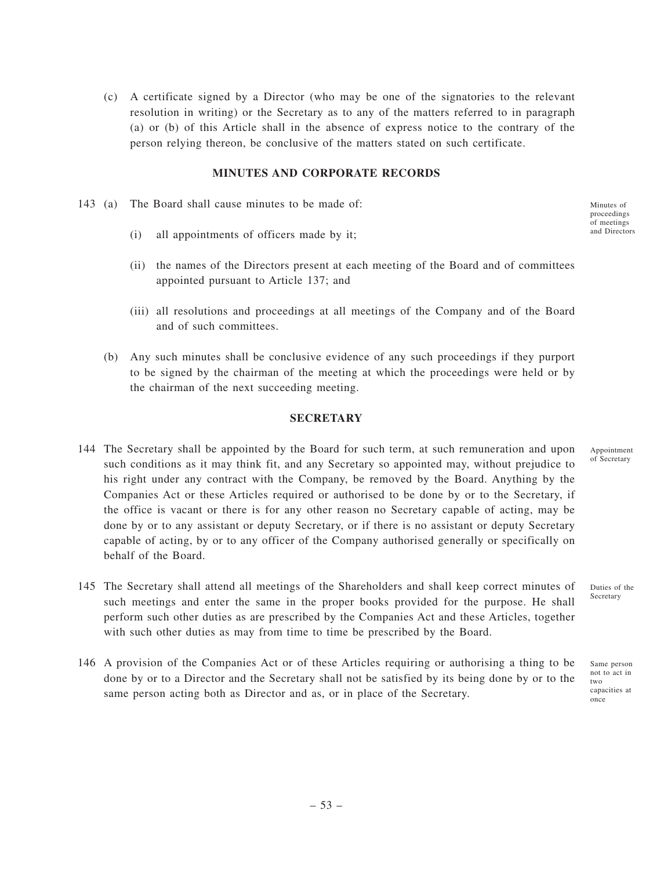(c) A certificate signed by a Director (who may be one of the signatories to the relevant resolution in writing) or the Secretary as to any of the matters referred to in paragraph (a) or (b) of this Article shall in the absence of express notice to the contrary of the person relying thereon, be conclusive of the matters stated on such certificate.

## **MINUTES AND CORPORATE RECORDS**

- 143 (a) The Board shall cause minutes to be made of:
	- (i) all appointments of officers made by it;
	- (ii) the names of the Directors present at each meeting of the Board and of committees appointed pursuant to Article 137; and
	- (iii) all resolutions and proceedings at all meetings of the Company and of the Board and of such committees.
	- (b) Any such minutes shall be conclusive evidence of any such proceedings if they purport to be signed by the chairman of the meeting at which the proceedings were held or by the chairman of the next succeeding meeting.

#### **SECRETARY**

- 144 The Secretary shall be appointed by the Board for such term, at such remuneration and upon such conditions as it may think fit, and any Secretary so appointed may, without prejudice to his right under any contract with the Company, be removed by the Board. Anything by the Companies Act or these Articles required or authorised to be done by or to the Secretary, if the office is vacant or there is for any other reason no Secretary capable of acting, may be done by or to any assistant or deputy Secretary, or if there is no assistant or deputy Secretary capable of acting, by or to any officer of the Company authorised generally or specifically on behalf of the Board.
- 145 The Secretary shall attend all meetings of the Shareholders and shall keep correct minutes of such meetings and enter the same in the proper books provided for the purpose. He shall perform such other duties as are prescribed by the Companies Act and these Articles, together with such other duties as may from time to time be prescribed by the Board.
- 146 A provision of the Companies Act or of these Articles requiring or authorising a thing to be done by or to a Director and the Secretary shall not be satisfied by its being done by or to the same person acting both as Director and as, or in place of the Secretary.

Minutes of proceedings of meetings and Directors

Appointment of Secretary

Duties of the Secretary

Same person not to act in two capacities at once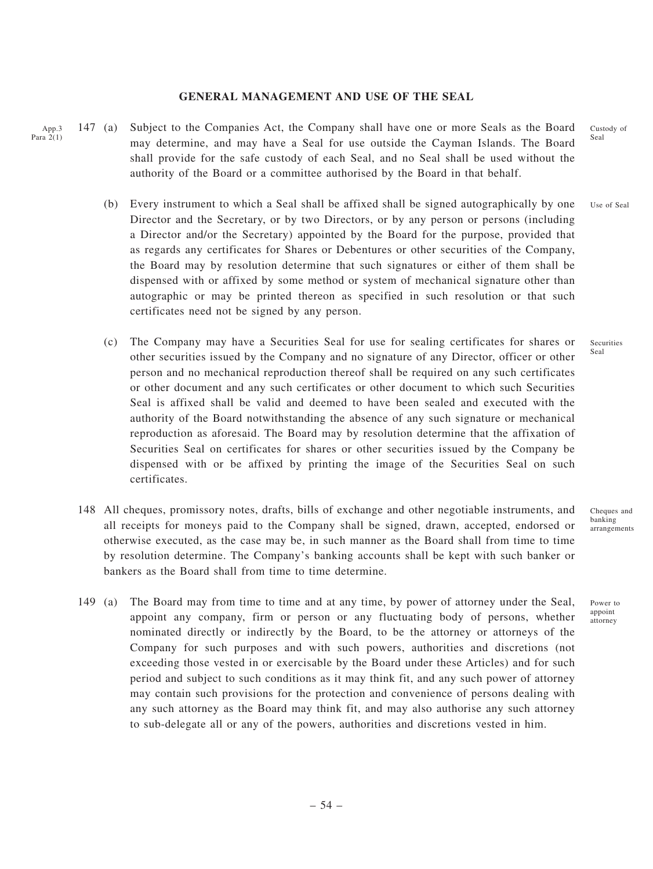#### **GENERAL MANAGEMENT AND USE OF THE SEAL**

App.3 Para 2(1) 147 (a) Subject to the Companies Act, the Company shall have one or more Seals as the Board may determine, and may have a Seal for use outside the Cayman Islands. The Board shall provide for the safe custody of each Seal, and no Seal shall be used without the authority of the Board or a committee authorised by the Board in that behalf.

- (b) Every instrument to which a Seal shall be affixed shall be signed autographically by one Director and the Secretary, or by two Directors, or by any person or persons (including a Director and/or the Secretary) appointed by the Board for the purpose, provided that as regards any certificates for Shares or Debentures or other securities of the Company, the Board may by resolution determine that such signatures or either of them shall be dispensed with or affixed by some method or system of mechanical signature other than autographic or may be printed thereon as specified in such resolution or that such certificates need not be signed by any person.
- (c) The Company may have a Securities Seal for use for sealing certificates for shares or other securities issued by the Company and no signature of any Director, officer or other person and no mechanical reproduction thereof shall be required on any such certificates or other document and any such certificates or other document to which such Securities Seal is affixed shall be valid and deemed to have been sealed and executed with the authority of the Board notwithstanding the absence of any such signature or mechanical reproduction as aforesaid. The Board may by resolution determine that the affixation of Securities Seal on certificates for shares or other securities issued by the Company be dispensed with or be affixed by printing the image of the Securities Seal on such certificates.
- 148 All cheques, promissory notes, drafts, bills of exchange and other negotiable instruments, and all receipts for moneys paid to the Company shall be signed, drawn, accepted, endorsed or otherwise executed, as the case may be, in such manner as the Board shall from time to time by resolution determine. The Company's banking accounts shall be kept with such banker or bankers as the Board shall from time to time determine.
- 149 (a) The Board may from time to time and at any time, by power of attorney under the Seal, appoint any company, firm or person or any fluctuating body of persons, whether nominated directly or indirectly by the Board, to be the attorney or attorneys of the Company for such purposes and with such powers, authorities and discretions (not exceeding those vested in or exercisable by the Board under these Articles) and for such period and subject to such conditions as it may think fit, and any such power of attorney may contain such provisions for the protection and convenience of persons dealing with any such attorney as the Board may think fit, and may also authorise any such attorney to sub-delegate all or any of the powers, authorities and discretions vested in him.

Custody of Seal

Use of Seal

Securities Seal

Cheques and banking arrangements

Power to appoint attorney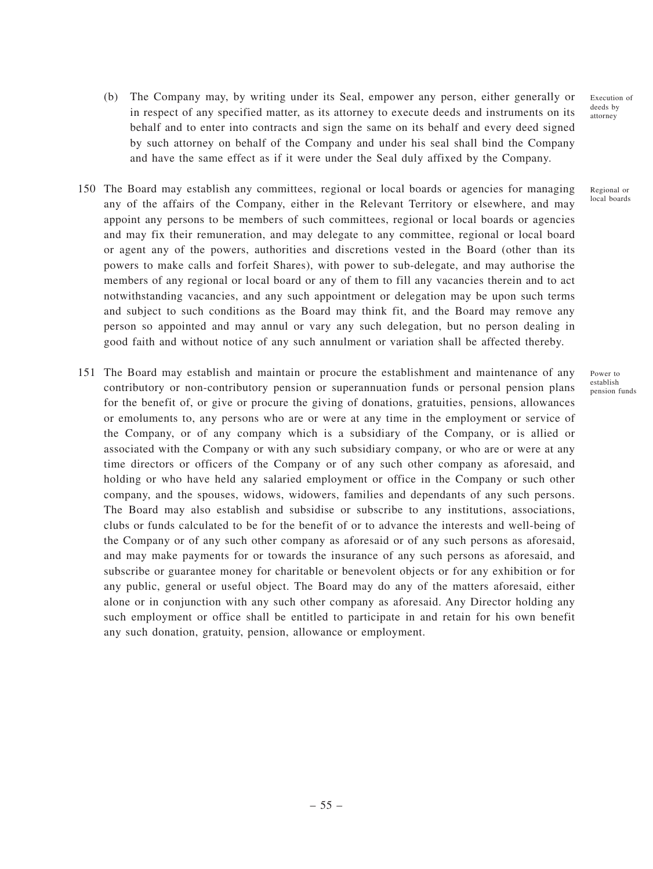Execution of deeds by attorney

Regional or local boards

Power to establish pension funds

- (b) The Company may, by writing under its Seal, empower any person, either generally or in respect of any specified matter, as its attorney to execute deeds and instruments on its behalf and to enter into contracts and sign the same on its behalf and every deed signed by such attorney on behalf of the Company and under his seal shall bind the Company and have the same effect as if it were under the Seal duly affixed by the Company.
- 150 The Board may establish any committees, regional or local boards or agencies for managing any of the affairs of the Company, either in the Relevant Territory or elsewhere, and may appoint any persons to be members of such committees, regional or local boards or agencies and may fix their remuneration, and may delegate to any committee, regional or local board or agent any of the powers, authorities and discretions vested in the Board (other than its powers to make calls and forfeit Shares), with power to sub-delegate, and may authorise the members of any regional or local board or any of them to fill any vacancies therein and to act notwithstanding vacancies, and any such appointment or delegation may be upon such terms and subject to such conditions as the Board may think fit, and the Board may remove any person so appointed and may annul or vary any such delegation, but no person dealing in good faith and without notice of any such annulment or variation shall be affected thereby.
- 151 The Board may establish and maintain or procure the establishment and maintenance of any contributory or non-contributory pension or superannuation funds or personal pension plans for the benefit of, or give or procure the giving of donations, gratuities, pensions, allowances or emoluments to, any persons who are or were at any time in the employment or service of the Company, or of any company which is a subsidiary of the Company, or is allied or associated with the Company or with any such subsidiary company, or who are or were at any time directors or officers of the Company or of any such other company as aforesaid, and holding or who have held any salaried employment or office in the Company or such other company, and the spouses, widows, widowers, families and dependants of any such persons. The Board may also establish and subsidise or subscribe to any institutions, associations, clubs or funds calculated to be for the benefit of or to advance the interests and well-being of the Company or of any such other company as aforesaid or of any such persons as aforesaid, and may make payments for or towards the insurance of any such persons as aforesaid, and subscribe or guarantee money for charitable or benevolent objects or for any exhibition or for any public, general or useful object. The Board may do any of the matters aforesaid, either alone or in conjunction with any such other company as aforesaid. Any Director holding any such employment or office shall be entitled to participate in and retain for his own benefit any such donation, gratuity, pension, allowance or employment.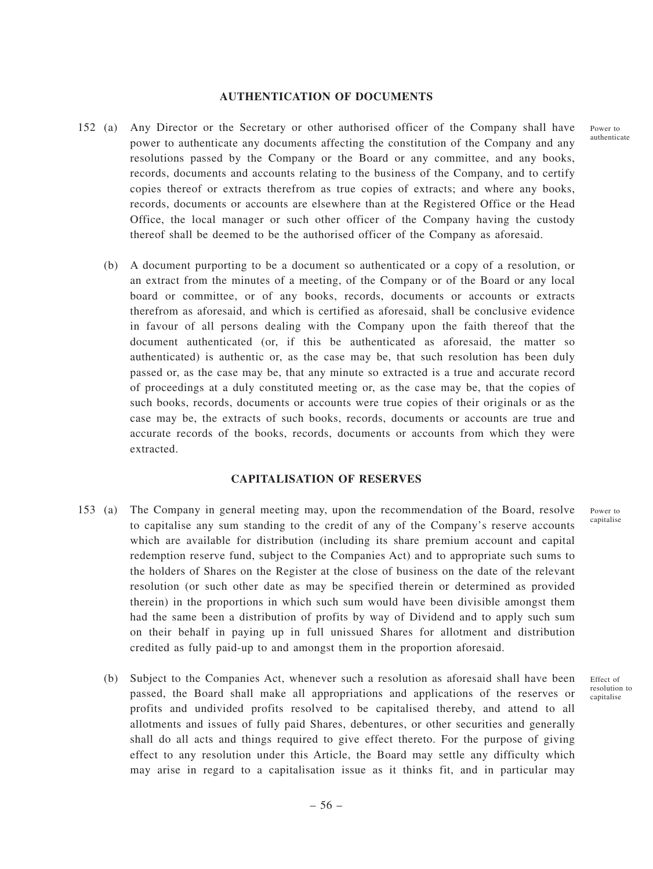#### **AUTHENTICATION OF DOCUMENTS**

- 152 (a) Any Director or the Secretary or other authorised officer of the Company shall have power to authenticate any documents affecting the constitution of the Company and any resolutions passed by the Company or the Board or any committee, and any books, records, documents and accounts relating to the business of the Company, and to certify copies thereof or extracts therefrom as true copies of extracts; and where any books, records, documents or accounts are elsewhere than at the Registered Office or the Head Office, the local manager or such other officer of the Company having the custody thereof shall be deemed to be the authorised officer of the Company as aforesaid.
	- (b) A document purporting to be a document so authenticated or a copy of a resolution, or an extract from the minutes of a meeting, of the Company or of the Board or any local board or committee, or of any books, records, documents or accounts or extracts therefrom as aforesaid, and which is certified as aforesaid, shall be conclusive evidence in favour of all persons dealing with the Company upon the faith thereof that the document authenticated (or, if this be authenticated as aforesaid, the matter so authenticated) is authentic or, as the case may be, that such resolution has been duly passed or, as the case may be, that any minute so extracted is a true and accurate record of proceedings at a duly constituted meeting or, as the case may be, that the copies of such books, records, documents or accounts were true copies of their originals or as the case may be, the extracts of such books, records, documents or accounts are true and accurate records of the books, records, documents or accounts from which they were extracted.

#### **CAPITALISATION OF RESERVES**

- 153 (a) The Company in general meeting may, upon the recommendation of the Board, resolve to capitalise any sum standing to the credit of any of the Company's reserve accounts which are available for distribution (including its share premium account and capital redemption reserve fund, subject to the Companies Act) and to appropriate such sums to the holders of Shares on the Register at the close of business on the date of the relevant resolution (or such other date as may be specified therein or determined as provided therein) in the proportions in which such sum would have been divisible amongst them had the same been a distribution of profits by way of Dividend and to apply such sum on their behalf in paying up in full unissued Shares for allotment and distribution credited as fully paid-up to and amongst them in the proportion aforesaid.
	- (b) Subject to the Companies Act, whenever such a resolution as aforesaid shall have been passed, the Board shall make all appropriations and applications of the reserves or profits and undivided profits resolved to be capitalised thereby, and attend to all allotments and issues of fully paid Shares, debentures, or other securities and generally shall do all acts and things required to give effect thereto. For the purpose of giving effect to any resolution under this Article, the Board may settle any difficulty which may arise in regard to a capitalisation issue as it thinks fit, and in particular may

Power to capitalise

Power to authenticate

Effect of resolution to capitalise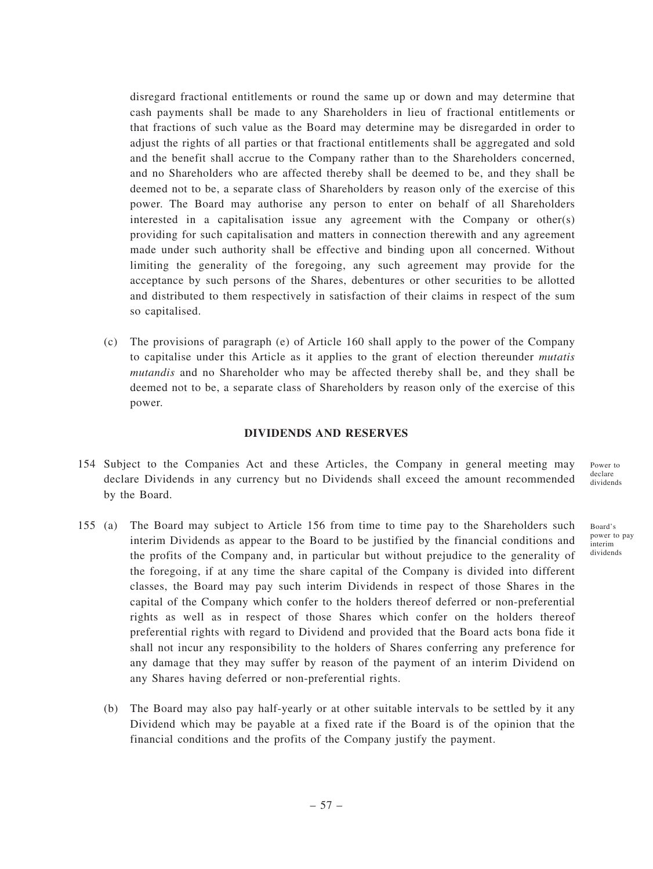disregard fractional entitlements or round the same up or down and may determine that cash payments shall be made to any Shareholders in lieu of fractional entitlements or that fractions of such value as the Board may determine may be disregarded in order to adjust the rights of all parties or that fractional entitlements shall be aggregated and sold and the benefit shall accrue to the Company rather than to the Shareholders concerned, and no Shareholders who are affected thereby shall be deemed to be, and they shall be deemed not to be, a separate class of Shareholders by reason only of the exercise of this power. The Board may authorise any person to enter on behalf of all Shareholders interested in a capitalisation issue any agreement with the Company or other(s) providing for such capitalisation and matters in connection therewith and any agreement made under such authority shall be effective and binding upon all concerned. Without limiting the generality of the foregoing, any such agreement may provide for the acceptance by such persons of the Shares, debentures or other securities to be allotted and distributed to them respectively in satisfaction of their claims in respect of the sum so capitalised.

(c) The provisions of paragraph (e) of Article 160 shall apply to the power of the Company to capitalise under this Article as it applies to the grant of election thereunder *mutatis mutandis* and no Shareholder who may be affected thereby shall be, and they shall be deemed not to be, a separate class of Shareholders by reason only of the exercise of this power.

## **DIVIDENDS AND RESERVES**

- 154 Subject to the Companies Act and these Articles, the Company in general meeting may declare Dividends in any currency but no Dividends shall exceed the amount recommended by the Board.
- 155 (a) The Board may subject to Article 156 from time to time pay to the Shareholders such interim Dividends as appear to the Board to be justified by the financial conditions and the profits of the Company and, in particular but without prejudice to the generality of the foregoing, if at any time the share capital of the Company is divided into different classes, the Board may pay such interim Dividends in respect of those Shares in the capital of the Company which confer to the holders thereof deferred or non-preferential rights as well as in respect of those Shares which confer on the holders thereof preferential rights with regard to Dividend and provided that the Board acts bona fide it shall not incur any responsibility to the holders of Shares conferring any preference for any damage that they may suffer by reason of the payment of an interim Dividend on any Shares having deferred or non-preferential rights.
	- (b) The Board may also pay half-yearly or at other suitable intervals to be settled by it any Dividend which may be payable at a fixed rate if the Board is of the opinion that the financial conditions and the profits of the Company justify the payment.

Power to declare dividends

Board's power to pay interim dividends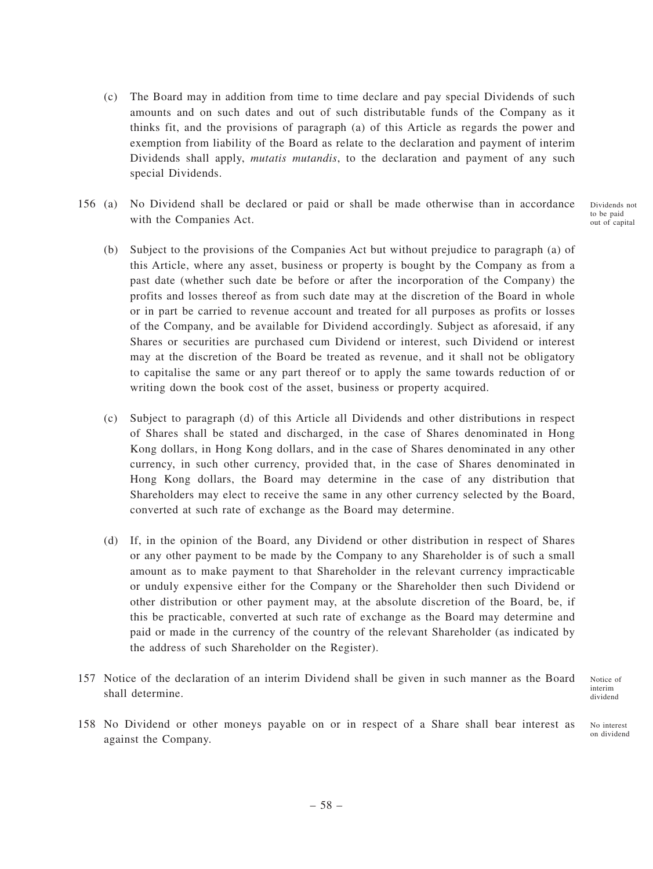- (c) The Board may in addition from time to time declare and pay special Dividends of such amounts and on such dates and out of such distributable funds of the Company as it thinks fit, and the provisions of paragraph (a) of this Article as regards the power and exemption from liability of the Board as relate to the declaration and payment of interim Dividends shall apply, *mutatis mutandis*, to the declaration and payment of any such special Dividends.
- 156 (a) No Dividend shall be declared or paid or shall be made otherwise than in accordance with the Companies Act. Dividends not to be paid out of capital

(b) Subject to the provisions of the Companies Act but without prejudice to paragraph (a) of this Article, where any asset, business or property is bought by the Company as from a past date (whether such date be before or after the incorporation of the Company) the profits and losses thereof as from such date may at the discretion of the Board in whole or in part be carried to revenue account and treated for all purposes as profits or losses of the Company, and be available for Dividend accordingly. Subject as aforesaid, if any Shares or securities are purchased cum Dividend or interest, such Dividend or interest may at the discretion of the Board be treated as revenue, and it shall not be obligatory to capitalise the same or any part thereof or to apply the same towards reduction of or writing down the book cost of the asset, business or property acquired.

- (c) Subject to paragraph (d) of this Article all Dividends and other distributions in respect of Shares shall be stated and discharged, in the case of Shares denominated in Hong Kong dollars, in Hong Kong dollars, and in the case of Shares denominated in any other currency, in such other currency, provided that, in the case of Shares denominated in Hong Kong dollars, the Board may determine in the case of any distribution that Shareholders may elect to receive the same in any other currency selected by the Board, converted at such rate of exchange as the Board may determine.
- (d) If, in the opinion of the Board, any Dividend or other distribution in respect of Shares or any other payment to be made by the Company to any Shareholder is of such a small amount as to make payment to that Shareholder in the relevant currency impracticable or unduly expensive either for the Company or the Shareholder then such Dividend or other distribution or other payment may, at the absolute discretion of the Board, be, if this be practicable, converted at such rate of exchange as the Board may determine and paid or made in the currency of the country of the relevant Shareholder (as indicated by the address of such Shareholder on the Register).
- 157 Notice of the declaration of an interim Dividend shall be given in such manner as the Board shall determine.

Notice of interim dividend

158 No Dividend or other moneys payable on or in respect of a Share shall bear interest as against the Company.

No interest on dividend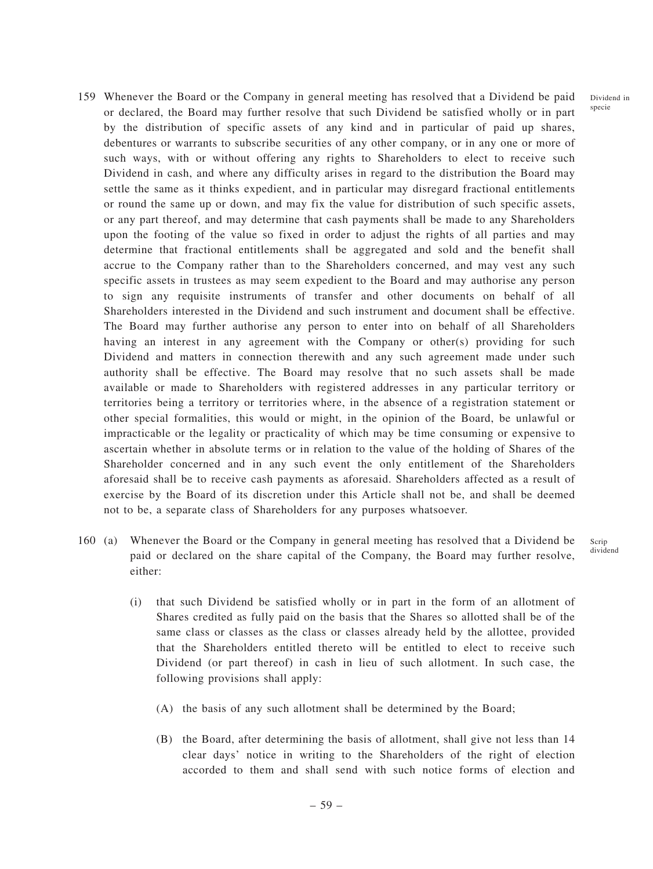Dividend in specie

- 159 Whenever the Board or the Company in general meeting has resolved that a Dividend be paid or declared, the Board may further resolve that such Dividend be satisfied wholly or in part by the distribution of specific assets of any kind and in particular of paid up shares, debentures or warrants to subscribe securities of any other company, or in any one or more of such ways, with or without offering any rights to Shareholders to elect to receive such Dividend in cash, and where any difficulty arises in regard to the distribution the Board may settle the same as it thinks expedient, and in particular may disregard fractional entitlements or round the same up or down, and may fix the value for distribution of such specific assets, or any part thereof, and may determine that cash payments shall be made to any Shareholders upon the footing of the value so fixed in order to adjust the rights of all parties and may determine that fractional entitlements shall be aggregated and sold and the benefit shall accrue to the Company rather than to the Shareholders concerned, and may vest any such specific assets in trustees as may seem expedient to the Board and may authorise any person to sign any requisite instruments of transfer and other documents on behalf of all Shareholders interested in the Dividend and such instrument and document shall be effective. The Board may further authorise any person to enter into on behalf of all Shareholders having an interest in any agreement with the Company or other(s) providing for such Dividend and matters in connection therewith and any such agreement made under such authority shall be effective. The Board may resolve that no such assets shall be made available or made to Shareholders with registered addresses in any particular territory or territories being a territory or territories where, in the absence of a registration statement or other special formalities, this would or might, in the opinion of the Board, be unlawful or impracticable or the legality or practicality of which may be time consuming or expensive to ascertain whether in absolute terms or in relation to the value of the holding of Shares of the Shareholder concerned and in any such event the only entitlement of the Shareholders aforesaid shall be to receive cash payments as aforesaid. Shareholders affected as a result of exercise by the Board of its discretion under this Article shall not be, and shall be deemed not to be, a separate class of Shareholders for any purposes whatsoever.
- 160 (a) Whenever the Board or the Company in general meeting has resolved that a Dividend be paid or declared on the share capital of the Company, the Board may further resolve, either: Scrip dividend
	- (i) that such Dividend be satisfied wholly or in part in the form of an allotment of Shares credited as fully paid on the basis that the Shares so allotted shall be of the same class or classes as the class or classes already held by the allottee, provided that the Shareholders entitled thereto will be entitled to elect to receive such Dividend (or part thereof) in cash in lieu of such allotment. In such case, the following provisions shall apply:
		- (A) the basis of any such allotment shall be determined by the Board;
		- (B) the Board, after determining the basis of allotment, shall give not less than 14 clear days' notice in writing to the Shareholders of the right of election accorded to them and shall send with such notice forms of election and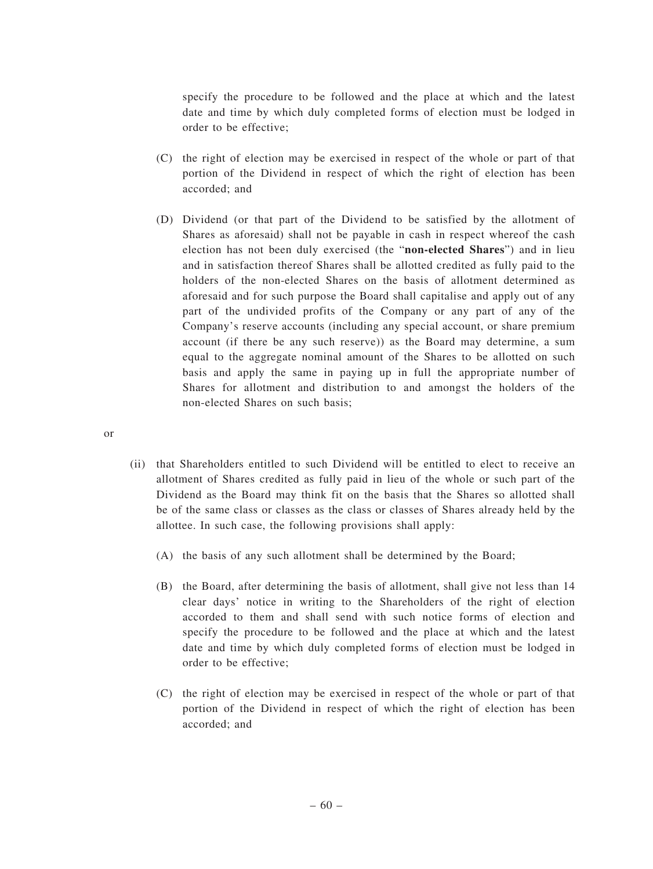specify the procedure to be followed and the place at which and the latest date and time by which duly completed forms of election must be lodged in order to be effective;

- (C) the right of election may be exercised in respect of the whole or part of that portion of the Dividend in respect of which the right of election has been accorded; and
- (D) Dividend (or that part of the Dividend to be satisfied by the allotment of Shares as aforesaid) shall not be payable in cash in respect whereof the cash election has not been duly exercised (the "**non-elected Shares**") and in lieu and in satisfaction thereof Shares shall be allotted credited as fully paid to the holders of the non-elected Shares on the basis of allotment determined as aforesaid and for such purpose the Board shall capitalise and apply out of any part of the undivided profits of the Company or any part of any of the Company's reserve accounts (including any special account, or share premium account (if there be any such reserve)) as the Board may determine, a sum equal to the aggregate nominal amount of the Shares to be allotted on such basis and apply the same in paying up in full the appropriate number of Shares for allotment and distribution to and amongst the holders of the non-elected Shares on such basis;

or

- (ii) that Shareholders entitled to such Dividend will be entitled to elect to receive an allotment of Shares credited as fully paid in lieu of the whole or such part of the Dividend as the Board may think fit on the basis that the Shares so allotted shall be of the same class or classes as the class or classes of Shares already held by the allottee. In such case, the following provisions shall apply:
	- (A) the basis of any such allotment shall be determined by the Board;
	- (B) the Board, after determining the basis of allotment, shall give not less than 14 clear days' notice in writing to the Shareholders of the right of election accorded to them and shall send with such notice forms of election and specify the procedure to be followed and the place at which and the latest date and time by which duly completed forms of election must be lodged in order to be effective;
	- (C) the right of election may be exercised in respect of the whole or part of that portion of the Dividend in respect of which the right of election has been accorded; and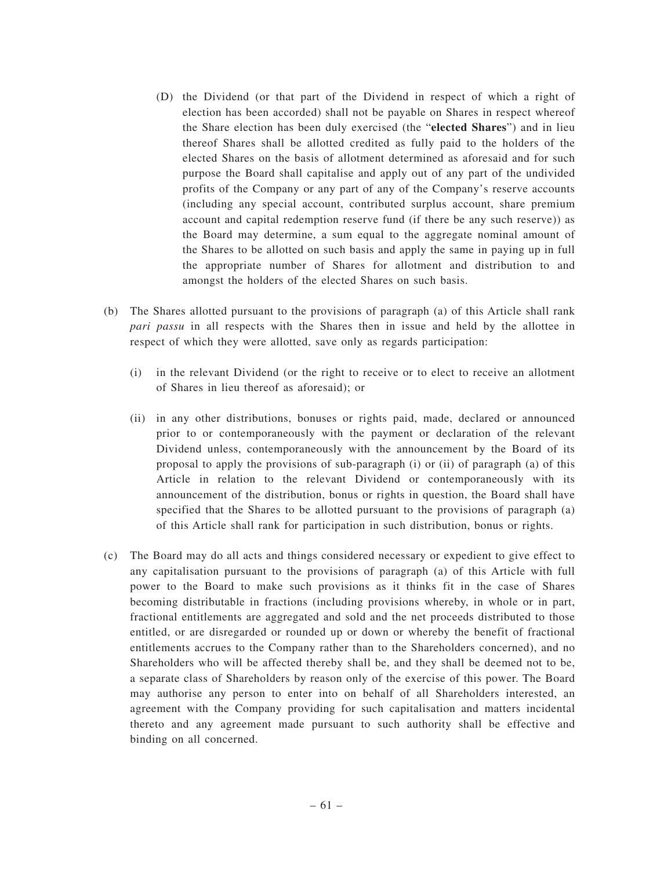- (D) the Dividend (or that part of the Dividend in respect of which a right of election has been accorded) shall not be payable on Shares in respect whereof the Share election has been duly exercised (the "**elected Shares**") and in lieu thereof Shares shall be allotted credited as fully paid to the holders of the elected Shares on the basis of allotment determined as aforesaid and for such purpose the Board shall capitalise and apply out of any part of the undivided profits of the Company or any part of any of the Company's reserve accounts (including any special account, contributed surplus account, share premium account and capital redemption reserve fund (if there be any such reserve)) as the Board may determine, a sum equal to the aggregate nominal amount of the Shares to be allotted on such basis and apply the same in paying up in full the appropriate number of Shares for allotment and distribution to and amongst the holders of the elected Shares on such basis.
- (b) The Shares allotted pursuant to the provisions of paragraph (a) of this Article shall rank *pari passu* in all respects with the Shares then in issue and held by the allottee in respect of which they were allotted, save only as regards participation:
	- (i) in the relevant Dividend (or the right to receive or to elect to receive an allotment of Shares in lieu thereof as aforesaid); or
	- (ii) in any other distributions, bonuses or rights paid, made, declared or announced prior to or contemporaneously with the payment or declaration of the relevant Dividend unless, contemporaneously with the announcement by the Board of its proposal to apply the provisions of sub-paragraph (i) or (ii) of paragraph (a) of this Article in relation to the relevant Dividend or contemporaneously with its announcement of the distribution, bonus or rights in question, the Board shall have specified that the Shares to be allotted pursuant to the provisions of paragraph (a) of this Article shall rank for participation in such distribution, bonus or rights.
- (c) The Board may do all acts and things considered necessary or expedient to give effect to any capitalisation pursuant to the provisions of paragraph (a) of this Article with full power to the Board to make such provisions as it thinks fit in the case of Shares becoming distributable in fractions (including provisions whereby, in whole or in part, fractional entitlements are aggregated and sold and the net proceeds distributed to those entitled, or are disregarded or rounded up or down or whereby the benefit of fractional entitlements accrues to the Company rather than to the Shareholders concerned), and no Shareholders who will be affected thereby shall be, and they shall be deemed not to be, a separate class of Shareholders by reason only of the exercise of this power. The Board may authorise any person to enter into on behalf of all Shareholders interested, an agreement with the Company providing for such capitalisation and matters incidental thereto and any agreement made pursuant to such authority shall be effective and binding on all concerned.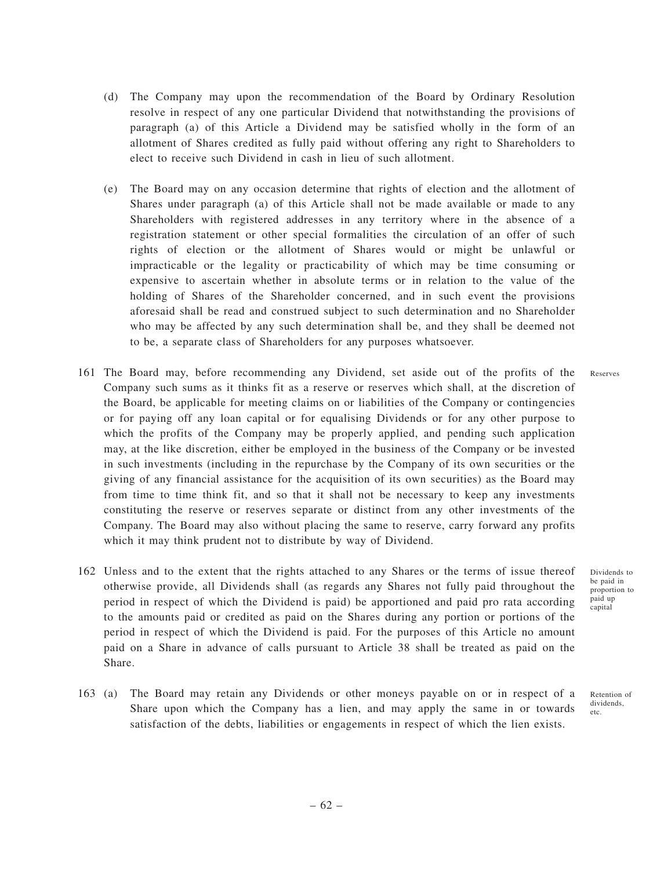- (d) The Company may upon the recommendation of the Board by Ordinary Resolution resolve in respect of any one particular Dividend that notwithstanding the provisions of paragraph (a) of this Article a Dividend may be satisfied wholly in the form of an allotment of Shares credited as fully paid without offering any right to Shareholders to elect to receive such Dividend in cash in lieu of such allotment.
- (e) The Board may on any occasion determine that rights of election and the allotment of Shares under paragraph (a) of this Article shall not be made available or made to any Shareholders with registered addresses in any territory where in the absence of a registration statement or other special formalities the circulation of an offer of such rights of election or the allotment of Shares would or might be unlawful or impracticable or the legality or practicability of which may be time consuming or expensive to ascertain whether in absolute terms or in relation to the value of the holding of Shares of the Shareholder concerned, and in such event the provisions aforesaid shall be read and construed subject to such determination and no Shareholder who may be affected by any such determination shall be, and they shall be deemed not to be, a separate class of Shareholders for any purposes whatsoever.
- 161 The Board may, before recommending any Dividend, set aside out of the profits of the Company such sums as it thinks fit as a reserve or reserves which shall, at the discretion of the Board, be applicable for meeting claims on or liabilities of the Company or contingencies or for paying off any loan capital or for equalising Dividends or for any other purpose to which the profits of the Company may be properly applied, and pending such application may, at the like discretion, either be employed in the business of the Company or be invested in such investments (including in the repurchase by the Company of its own securities or the giving of any financial assistance for the acquisition of its own securities) as the Board may from time to time think fit, and so that it shall not be necessary to keep any investments constituting the reserve or reserves separate or distinct from any other investments of the Company. The Board may also without placing the same to reserve, carry forward any profits which it may think prudent not to distribute by way of Dividend.
- 162 Unless and to the extent that the rights attached to any Shares or the terms of issue thereof otherwise provide, all Dividends shall (as regards any Shares not fully paid throughout the period in respect of which the Dividend is paid) be apportioned and paid pro rata according to the amounts paid or credited as paid on the Shares during any portion or portions of the period in respect of which the Dividend is paid. For the purposes of this Article no amount paid on a Share in advance of calls pursuant to Article 38 shall be treated as paid on the Share.
- 163 (a) The Board may retain any Dividends or other moneys payable on or in respect of a Share upon which the Company has a lien, and may apply the same in or towards satisfaction of the debts, liabilities or engagements in respect of which the lien exists.

Dividends to be paid in proportion to paid up capital

Reserves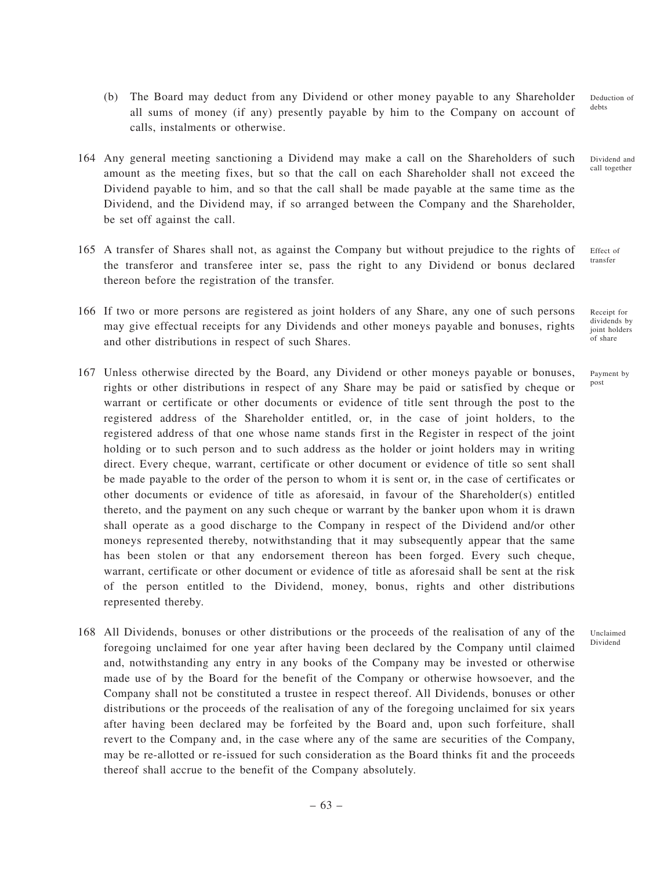- (b) The Board may deduct from any Dividend or other money payable to any Shareholder all sums of money (if any) presently payable by him to the Company on account of calls, instalments or otherwise.
- 164 Any general meeting sanctioning a Dividend may make a call on the Shareholders of such amount as the meeting fixes, but so that the call on each Shareholder shall not exceed the Dividend payable to him, and so that the call shall be made payable at the same time as the Dividend, and the Dividend may, if so arranged between the Company and the Shareholder, be set off against the call.
- 165 A transfer of Shares shall not, as against the Company but without prejudice to the rights of the transferor and transferee inter se, pass the right to any Dividend or bonus declared thereon before the registration of the transfer.
- 166 If two or more persons are registered as joint holders of any Share, any one of such persons may give effectual receipts for any Dividends and other moneys payable and bonuses, rights and other distributions in respect of such Shares.
- 167 Unless otherwise directed by the Board, any Dividend or other moneys payable or bonuses, rights or other distributions in respect of any Share may be paid or satisfied by cheque or warrant or certificate or other documents or evidence of title sent through the post to the registered address of the Shareholder entitled, or, in the case of joint holders, to the registered address of that one whose name stands first in the Register in respect of the joint holding or to such person and to such address as the holder or joint holders may in writing direct. Every cheque, warrant, certificate or other document or evidence of title so sent shall be made payable to the order of the person to whom it is sent or, in the case of certificates or other documents or evidence of title as aforesaid, in favour of the Shareholder(s) entitled thereto, and the payment on any such cheque or warrant by the banker upon whom it is drawn shall operate as a good discharge to the Company in respect of the Dividend and/or other moneys represented thereby, notwithstanding that it may subsequently appear that the same has been stolen or that any endorsement thereon has been forged. Every such cheque, warrant, certificate or other document or evidence of title as aforesaid shall be sent at the risk of the person entitled to the Dividend, money, bonus, rights and other distributions represented thereby.
- 168 All Dividends, bonuses or other distributions or the proceeds of the realisation of any of the foregoing unclaimed for one year after having been declared by the Company until claimed and, notwithstanding any entry in any books of the Company may be invested or otherwise made use of by the Board for the benefit of the Company or otherwise howsoever, and the Company shall not be constituted a trustee in respect thereof. All Dividends, bonuses or other distributions or the proceeds of the realisation of any of the foregoing unclaimed for six years after having been declared may be forfeited by the Board and, upon such forfeiture, shall revert to the Company and, in the case where any of the same are securities of the Company, may be re-allotted or re-issued for such consideration as the Board thinks fit and the proceeds thereof shall accrue to the benefit of the Company absolutely.

Deduction of debts

Dividend and call together

Effect of transfer

Receipt for dividends by joint holders of share

Payment by post

Unclaimed Dividend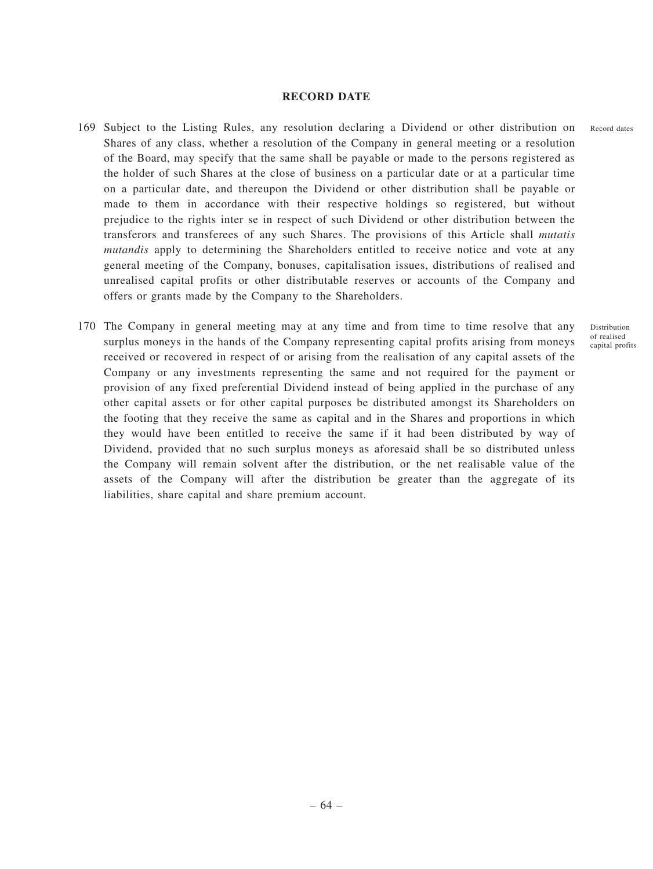#### **RECORD DATE**

- 169 Subject to the Listing Rules, any resolution declaring a Dividend or other distribution on Shares of any class, whether a resolution of the Company in general meeting or a resolution of the Board, may specify that the same shall be payable or made to the persons registered as the holder of such Shares at the close of business on a particular date or at a particular time on a particular date, and thereupon the Dividend or other distribution shall be payable or made to them in accordance with their respective holdings so registered, but without prejudice to the rights inter se in respect of such Dividend or other distribution between the transferors and transferees of any such Shares. The provisions of this Article shall *mutatis mutandis* apply to determining the Shareholders entitled to receive notice and vote at any general meeting of the Company, bonuses, capitalisation issues, distributions of realised and unrealised capital profits or other distributable reserves or accounts of the Company and offers or grants made by the Company to the Shareholders.
- 170 The Company in general meeting may at any time and from time to time resolve that any surplus moneys in the hands of the Company representing capital profits arising from moneys received or recovered in respect of or arising from the realisation of any capital assets of the Company or any investments representing the same and not required for the payment or provision of any fixed preferential Dividend instead of being applied in the purchase of any other capital assets or for other capital purposes be distributed amongst its Shareholders on the footing that they receive the same as capital and in the Shares and proportions in which they would have been entitled to receive the same if it had been distributed by way of Dividend, provided that no such surplus moneys as aforesaid shall be so distributed unless the Company will remain solvent after the distribution, or the net realisable value of the assets of the Company will after the distribution be greater than the aggregate of its liabilities, share capital and share premium account.

Record dates

Distribution of realised capital profits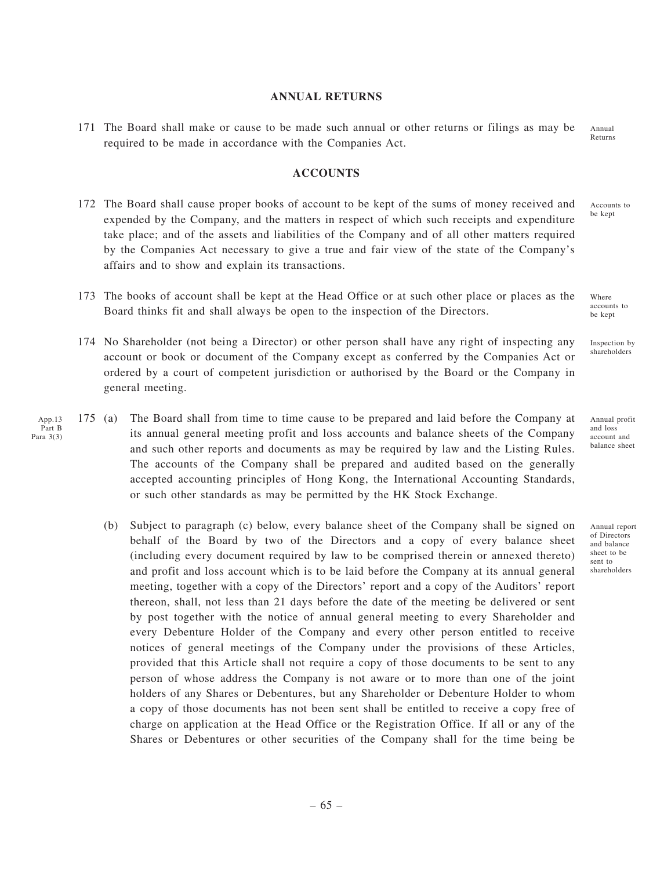#### **ANNUAL RETURNS**

171 The Board shall make or cause to be made such annual or other returns or filings as may be required to be made in accordance with the Companies Act. Annual

### **ACCOUNTS**

- 172 The Board shall cause proper books of account to be kept of the sums of money received and expended by the Company, and the matters in respect of which such receipts and expenditure take place; and of the assets and liabilities of the Company and of all other matters required by the Companies Act necessary to give a true and fair view of the state of the Company's affairs and to show and explain its transactions.
- 173 The books of account shall be kept at the Head Office or at such other place or places as the Board thinks fit and shall always be open to the inspection of the Directors.
- 174 No Shareholder (not being a Director) or other person shall have any right of inspecting any account or book or document of the Company except as conferred by the Companies Act or ordered by a court of competent jurisdiction or authorised by the Board or the Company in general meeting.
- 175 (a) The Board shall from time to time cause to be prepared and laid before the Company at its annual general meeting profit and loss accounts and balance sheets of the Company and such other reports and documents as may be required by law and the Listing Rules. The accounts of the Company shall be prepared and audited based on the generally accepted accounting principles of Hong Kong, the International Accounting Standards, or such other standards as may be permitted by the HK Stock Exchange. App.13 Part B Para 3(3)
	- (b) Subject to paragraph (c) below, every balance sheet of the Company shall be signed on behalf of the Board by two of the Directors and a copy of every balance sheet (including every document required by law to be comprised therein or annexed thereto) and profit and loss account which is to be laid before the Company at its annual general meeting, together with a copy of the Directors' report and a copy of the Auditors' report thereon, shall, not less than 21 days before the date of the meeting be delivered or sent by post together with the notice of annual general meeting to every Shareholder and every Debenture Holder of the Company and every other person entitled to receive notices of general meetings of the Company under the provisions of these Articles, provided that this Article shall not require a copy of those documents to be sent to any person of whose address the Company is not aware or to more than one of the joint holders of any Shares or Debentures, but any Shareholder or Debenture Holder to whom a copy of those documents has not been sent shall be entitled to receive a copy free of charge on application at the Head Office or the Registration Office. If all or any of the Shares or Debentures or other securities of the Company shall for the time being be

Inspection by shareholders

Where accounts to be kept

Annual profit and loss account and balance sheet

Annual report of Directors and balance sheet to be sent to shareholders

Returns

Accounts to be kept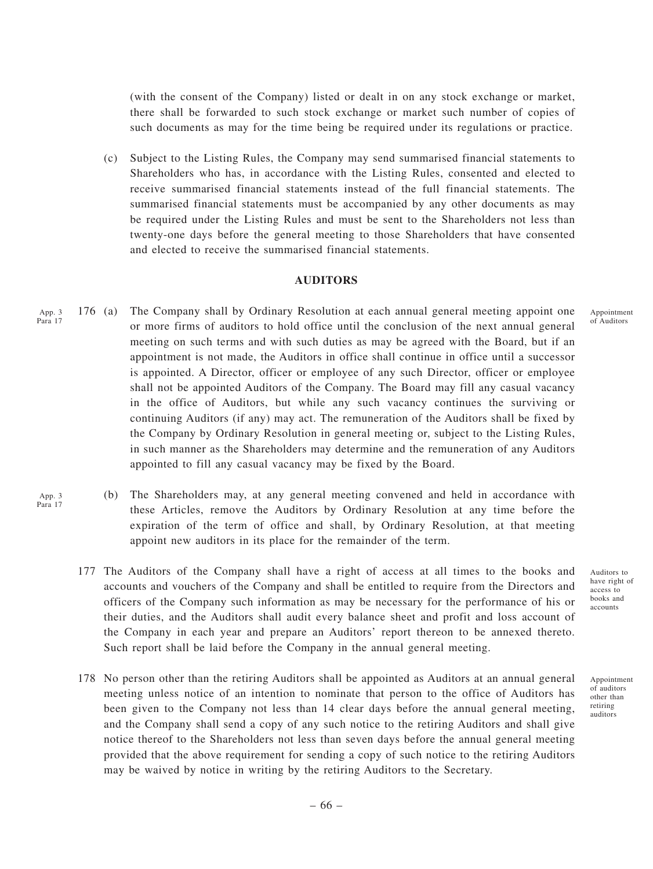(with the consent of the Company) listed or dealt in on any stock exchange or market, there shall be forwarded to such stock exchange or market such number of copies of such documents as may for the time being be required under its regulations or practice.

(c) Subject to the Listing Rules, the Company may send summarised financial statements to Shareholders who has, in accordance with the Listing Rules, consented and elected to receive summarised financial statements instead of the full financial statements. The summarised financial statements must be accompanied by any other documents as may be required under the Listing Rules and must be sent to the Shareholders not less than twenty-one days before the general meeting to those Shareholders that have consented and elected to receive the summarised financial statements.

## **AUDITORS**

- 176 (a) The Company shall by Ordinary Resolution at each annual general meeting appoint one or more firms of auditors to hold office until the conclusion of the next annual general meeting on such terms and with such duties as may be agreed with the Board, but if an appointment is not made, the Auditors in office shall continue in office until a successor is appointed. A Director, officer or employee of any such Director, officer or employee shall not be appointed Auditors of the Company. The Board may fill any casual vacancy in the office of Auditors, but while any such vacancy continues the surviving or continuing Auditors (if any) may act. The remuneration of the Auditors shall be fixed by the Company by Ordinary Resolution in general meeting or, subject to the Listing Rules, in such manner as the Shareholders may determine and the remuneration of any Auditors appointed to fill any casual vacancy may be fixed by the Board. App. 3 Para 17
	- (b) The Shareholders may, at any general meeting convened and held in accordance with these Articles, remove the Auditors by Ordinary Resolution at any time before the expiration of the term of office and shall, by Ordinary Resolution, at that meeting appoint new auditors in its place for the remainder of the term.
	- 177 The Auditors of the Company shall have a right of access at all times to the books and accounts and vouchers of the Company and shall be entitled to require from the Directors and officers of the Company such information as may be necessary for the performance of his or their duties, and the Auditors shall audit every balance sheet and profit and loss account of the Company in each year and prepare an Auditors' report thereon to be annexed thereto. Such report shall be laid before the Company in the annual general meeting.
	- 178 No person other than the retiring Auditors shall be appointed as Auditors at an annual general meeting unless notice of an intention to nominate that person to the office of Auditors has been given to the Company not less than 14 clear days before the annual general meeting, and the Company shall send a copy of any such notice to the retiring Auditors and shall give notice thereof to the Shareholders not less than seven days before the annual general meeting provided that the above requirement for sending a copy of such notice to the retiring Auditors may be waived by notice in writing by the retiring Auditors to the Secretary.

– 66 –

Auditors to have right of access to books and accounts

Appointment of Auditors

Appointment of auditors other than retiring auditors

App. 3 Para 17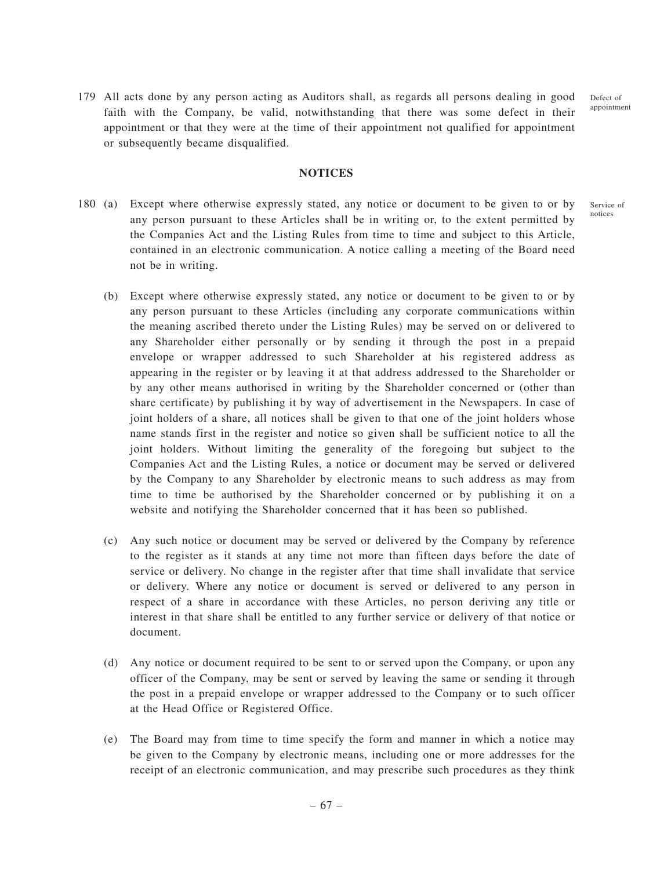Defect of appointment

179 All acts done by any person acting as Auditors shall, as regards all persons dealing in good faith with the Company, be valid, notwithstanding that there was some defect in their appointment or that they were at the time of their appointment not qualified for appointment or subsequently became disqualified.

### **NOTICES**

- 180 (a) Except where otherwise expressly stated, any notice or document to be given to or by any person pursuant to these Articles shall be in writing or, to the extent permitted by the Companies Act and the Listing Rules from time to time and subject to this Article, contained in an electronic communication. A notice calling a meeting of the Board need not be in writing. Service of notices
	- (b) Except where otherwise expressly stated, any notice or document to be given to or by any person pursuant to these Articles (including any corporate communications within the meaning ascribed thereto under the Listing Rules) may be served on or delivered to any Shareholder either personally or by sending it through the post in a prepaid envelope or wrapper addressed to such Shareholder at his registered address as appearing in the register or by leaving it at that address addressed to the Shareholder or by any other means authorised in writing by the Shareholder concerned or (other than share certificate) by publishing it by way of advertisement in the Newspapers. In case of joint holders of a share, all notices shall be given to that one of the joint holders whose name stands first in the register and notice so given shall be sufficient notice to all the joint holders. Without limiting the generality of the foregoing but subject to the Companies Act and the Listing Rules, a notice or document may be served or delivered by the Company to any Shareholder by electronic means to such address as may from time to time be authorised by the Shareholder concerned or by publishing it on a website and notifying the Shareholder concerned that it has been so published.
	- (c) Any such notice or document may be served or delivered by the Company by reference to the register as it stands at any time not more than fifteen days before the date of service or delivery. No change in the register after that time shall invalidate that service or delivery. Where any notice or document is served or delivered to any person in respect of a share in accordance with these Articles, no person deriving any title or interest in that share shall be entitled to any further service or delivery of that notice or document.
	- (d) Any notice or document required to be sent to or served upon the Company, or upon any officer of the Company, may be sent or served by leaving the same or sending it through the post in a prepaid envelope or wrapper addressed to the Company or to such officer at the Head Office or Registered Office.
	- (e) The Board may from time to time specify the form and manner in which a notice may be given to the Company by electronic means, including one or more addresses for the receipt of an electronic communication, and may prescribe such procedures as they think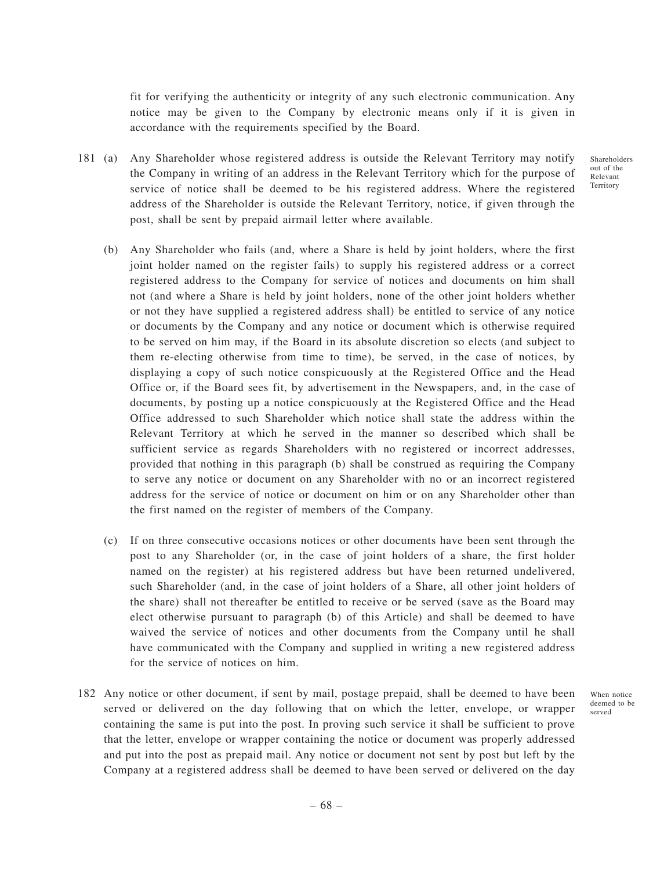fit for verifying the authenticity or integrity of any such electronic communication. Any notice may be given to the Company by electronic means only if it is given in accordance with the requirements specified by the Board.

181 (a) Any Shareholder whose registered address is outside the Relevant Territory may notify the Company in writing of an address in the Relevant Territory which for the purpose of service of notice shall be deemed to be his registered address. Where the registered address of the Shareholder is outside the Relevant Territory, notice, if given through the post, shall be sent by prepaid airmail letter where available.

(b) Any Shareholder who fails (and, where a Share is held by joint holders, where the first joint holder named on the register fails) to supply his registered address or a correct registered address to the Company for service of notices and documents on him shall not (and where a Share is held by joint holders, none of the other joint holders whether or not they have supplied a registered address shall) be entitled to service of any notice or documents by the Company and any notice or document which is otherwise required to be served on him may, if the Board in its absolute discretion so elects (and subject to them re-electing otherwise from time to time), be served, in the case of notices, by displaying a copy of such notice conspicuously at the Registered Office and the Head Office or, if the Board sees fit, by advertisement in the Newspapers, and, in the case of documents, by posting up a notice conspicuously at the Registered Office and the Head Office addressed to such Shareholder which notice shall state the address within the Relevant Territory at which he served in the manner so described which shall be sufficient service as regards Shareholders with no registered or incorrect addresses, provided that nothing in this paragraph (b) shall be construed as requiring the Company to serve any notice or document on any Shareholder with no or an incorrect registered address for the service of notice or document on him or on any Shareholder other than the first named on the register of members of the Company.

- (c) If on three consecutive occasions notices or other documents have been sent through the post to any Shareholder (or, in the case of joint holders of a share, the first holder named on the register) at his registered address but have been returned undelivered, such Shareholder (and, in the case of joint holders of a Share, all other joint holders of the share) shall not thereafter be entitled to receive or be served (save as the Board may elect otherwise pursuant to paragraph (b) of this Article) and shall be deemed to have waived the service of notices and other documents from the Company until he shall have communicated with the Company and supplied in writing a new registered address for the service of notices on him.
- 182 Any notice or other document, if sent by mail, postage prepaid, shall be deemed to have been served or delivered on the day following that on which the letter, envelope, or wrapper containing the same is put into the post. In proving such service it shall be sufficient to prove that the letter, envelope or wrapper containing the notice or document was properly addressed and put into the post as prepaid mail. Any notice or document not sent by post but left by the Company at a registered address shall be deemed to have been served or delivered on the day

When notice deemed to be served

Shareholders out of the Relevant **Territory**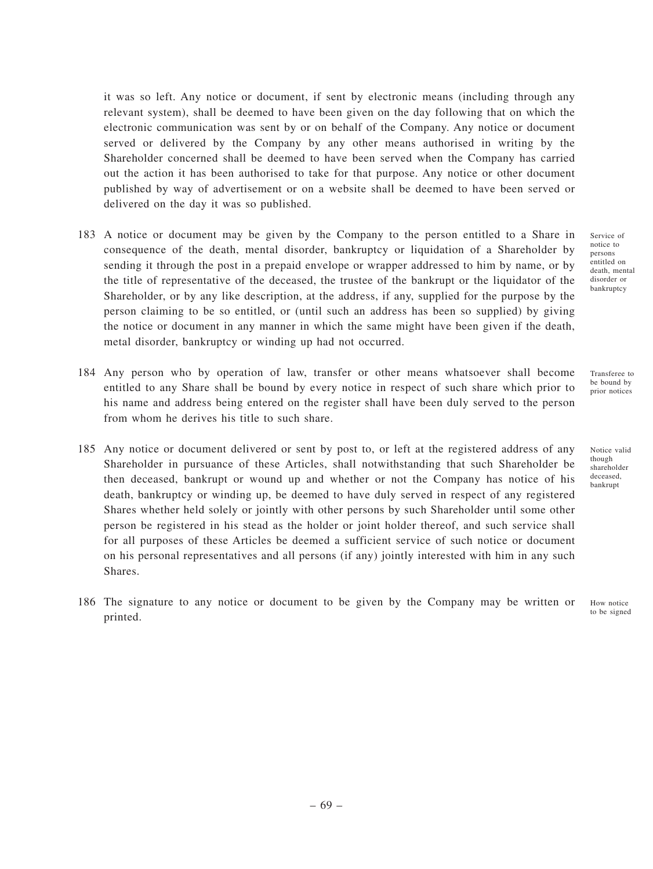it was so left. Any notice or document, if sent by electronic means (including through any relevant system), shall be deemed to have been given on the day following that on which the electronic communication was sent by or on behalf of the Company. Any notice or document served or delivered by the Company by any other means authorised in writing by the Shareholder concerned shall be deemed to have been served when the Company has carried out the action it has been authorised to take for that purpose. Any notice or other document published by way of advertisement or on a website shall be deemed to have been served or delivered on the day it was so published.

- 183 A notice or document may be given by the Company to the person entitled to a Share in consequence of the death, mental disorder, bankruptcy or liquidation of a Shareholder by sending it through the post in a prepaid envelope or wrapper addressed to him by name, or by the title of representative of the deceased, the trustee of the bankrupt or the liquidator of the Shareholder, or by any like description, at the address, if any, supplied for the purpose by the person claiming to be so entitled, or (until such an address has been so supplied) by giving the notice or document in any manner in which the same might have been given if the death, metal disorder, bankruptcy or winding up had not occurred.
- 184 Any person who by operation of law, transfer or other means whatsoever shall become entitled to any Share shall be bound by every notice in respect of such share which prior to his name and address being entered on the register shall have been duly served to the person from whom he derives his title to such share.
- 185 Any notice or document delivered or sent by post to, or left at the registered address of any Shareholder in pursuance of these Articles, shall notwithstanding that such Shareholder be then deceased, bankrupt or wound up and whether or not the Company has notice of his death, bankruptcy or winding up, be deemed to have duly served in respect of any registered Shares whether held solely or jointly with other persons by such Shareholder until some other person be registered in his stead as the holder or joint holder thereof, and such service shall for all purposes of these Articles be deemed a sufficient service of such notice or document on his personal representatives and all persons (if any) jointly interested with him in any such Shares.
- 186 The signature to any notice or document to be given by the Company may be written or printed.

Service of notice to persons entitled on death, mental disorder or bankruptcy

Transferee to be bound by prior notices

though shareholder deceased, bankrupt

Notice valid

How notice to be signed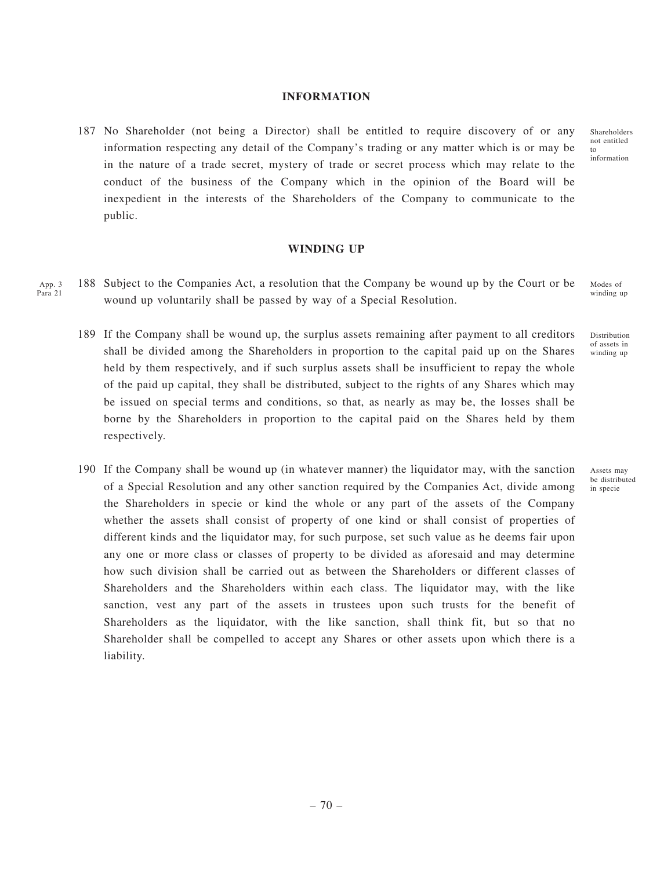#### **INFORMATION**

187 No Shareholder (not being a Director) shall be entitled to require discovery of or any information respecting any detail of the Company's trading or any matter which is or may be in the nature of a trade secret, mystery of trade or secret process which may relate to the conduct of the business of the Company which in the opinion of the Board will be inexpedient in the interests of the Shareholders of the Company to communicate to the public.

#### **WINDING UP**

- 188 Subject to the Companies Act, a resolution that the Company be wound up by the Court or be wound up voluntarily shall be passed by way of a Special Resolution. App. 3 Para 21
	- 189 If the Company shall be wound up, the surplus assets remaining after payment to all creditors shall be divided among the Shareholders in proportion to the capital paid up on the Shares held by them respectively, and if such surplus assets shall be insufficient to repay the whole of the paid up capital, they shall be distributed, subject to the rights of any Shares which may be issued on special terms and conditions, so that, as nearly as may be, the losses shall be borne by the Shareholders in proportion to the capital paid on the Shares held by them respectively.
	- 190 If the Company shall be wound up (in whatever manner) the liquidator may, with the sanction of a Special Resolution and any other sanction required by the Companies Act, divide among the Shareholders in specie or kind the whole or any part of the assets of the Company whether the assets shall consist of property of one kind or shall consist of properties of different kinds and the liquidator may, for such purpose, set such value as he deems fair upon any one or more class or classes of property to be divided as aforesaid and may determine how such division shall be carried out as between the Shareholders or different classes of Shareholders and the Shareholders within each class. The liquidator may, with the like sanction, vest any part of the assets in trustees upon such trusts for the benefit of Shareholders as the liquidator, with the like sanction, shall think fit, but so that no Shareholder shall be compelled to accept any Shares or other assets upon which there is a liability.

Shareholders not entitled to information

Modes of winding up

Distribution of assets in winding up

Assets may be distributed in specie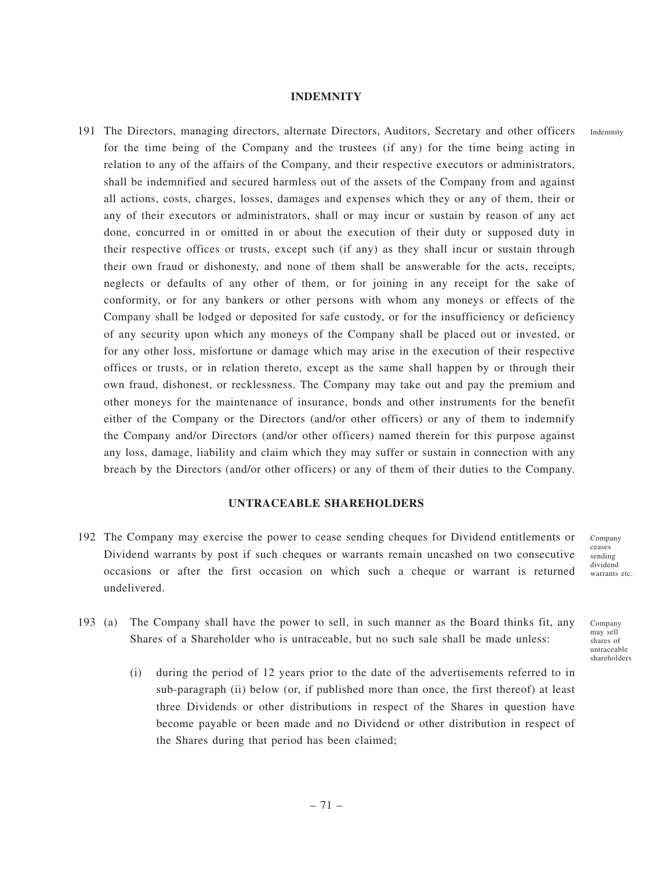### **INDEMNITY**

191 The Directors, managing directors, alternate Directors, Auditors, Secretary and other officers for the time being of the Company and the trustees (if any) for the time being acting in relation to any of the affairs of the Company, and their respective executors or administrators, shall be indemnified and secured harmless out of the assets of the Company from and against all actions, costs, charges, losses, damages and expenses which they or any of them, their or any of their executors or administrators, shall or may incur or sustain by reason of any act done, concurred in or omitted in or about the execution of their duty or supposed duty in their respective offices or trusts, except such (if any) as they shall incur or sustain through their own fraud or dishonesty, and none of them shall be answerable for the acts, receipts, neglects or defaults of any other of them, or for joining in any receipt for the sake of conformity, or for any bankers or other persons with whom any moneys or effects of the Company shall be lodged or deposited for safe custody, or for the insufficiency or deficiency of any security upon which any moneys of the Company shall be placed out or invested, or for any other loss, misfortune or damage which may arise in the execution of their respective offices or trusts, or in relation thereto, except as the same shall happen by or through their own fraud, dishonest, or recklessness. The Company may take out and pay the premium and other moneys for the maintenance of insurance, bonds and other instruments for the benefit either of the Company or the Directors (and/or other officers) or any of them to indemnify the Company and/or Directors (and/or other officers) named therein for this purpose against any loss, damage, liability and claim which they may suffer or sustain in connection with any breach by the Directors (and/or other officers) or any of them of their duties to the Company.

## **UNTRACEABLE SHAREHOLDERS**

- 192 The Company may exercise the power to cease sending cheques for Dividend entitlements or Dividend warrants by post if such cheques or warrants remain uncashed on two consecutive occasions or after the first occasion on which such a cheque or warrant is returned undelivered.
	- Company ceases sending dividend warrants etc.

Company may sell shares of untraceable shareholders

- 193 (a) The Company shall have the power to sell, in such manner as the Board thinks fit, any Shares of a Shareholder who is untraceable, but no such sale shall be made unless:
	- (i) during the period of 12 years prior to the date of the advertisements referred to in sub-paragraph (ii) below (or, if published more than once, the first thereof) at least three Dividends or other distributions in respect of the Shares in question have become payable or been made and no Dividend or other distribution in respect of the Shares during that period has been claimed;

Indemnity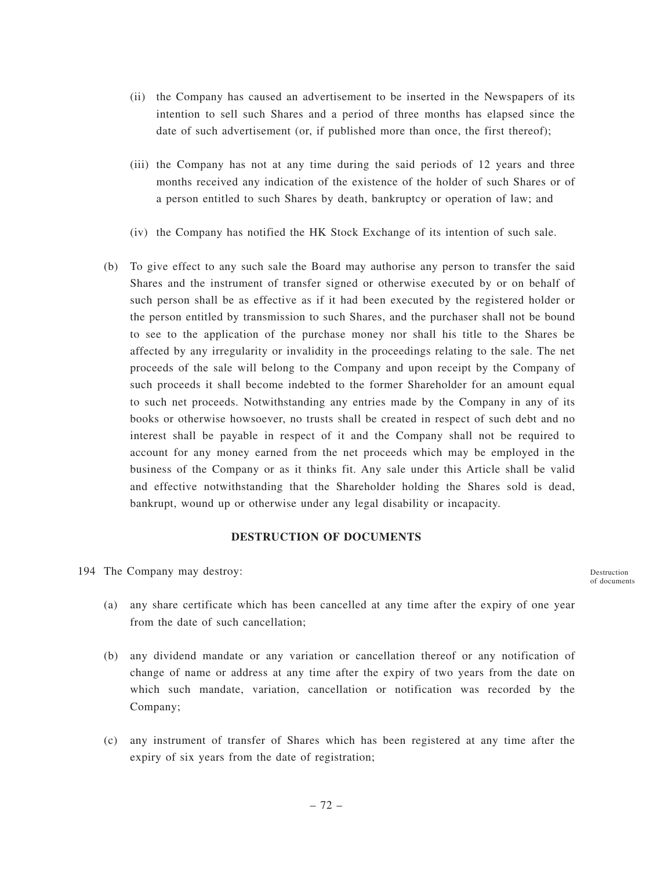- (ii) the Company has caused an advertisement to be inserted in the Newspapers of its intention to sell such Shares and a period of three months has elapsed since the date of such advertisement (or, if published more than once, the first thereof);
- (iii) the Company has not at any time during the said periods of 12 years and three months received any indication of the existence of the holder of such Shares or of a person entitled to such Shares by death, bankruptcy or operation of law; and
- (iv) the Company has notified the HK Stock Exchange of its intention of such sale.
- (b) To give effect to any such sale the Board may authorise any person to transfer the said Shares and the instrument of transfer signed or otherwise executed by or on behalf of such person shall be as effective as if it had been executed by the registered holder or the person entitled by transmission to such Shares, and the purchaser shall not be bound to see to the application of the purchase money nor shall his title to the Shares be affected by any irregularity or invalidity in the proceedings relating to the sale. The net proceeds of the sale will belong to the Company and upon receipt by the Company of such proceeds it shall become indebted to the former Shareholder for an amount equal to such net proceeds. Notwithstanding any entries made by the Company in any of its books or otherwise howsoever, no trusts shall be created in respect of such debt and no interest shall be payable in respect of it and the Company shall not be required to account for any money earned from the net proceeds which may be employed in the business of the Company or as it thinks fit. Any sale under this Article shall be valid and effective notwithstanding that the Shareholder holding the Shares sold is dead, bankrupt, wound up or otherwise under any legal disability or incapacity.

# **DESTRUCTION OF DOCUMENTS**

194 The Company may destroy:

Destruction of documents

- (a) any share certificate which has been cancelled at any time after the expiry of one year from the date of such cancellation;
- (b) any dividend mandate or any variation or cancellation thereof or any notification of change of name or address at any time after the expiry of two years from the date on which such mandate, variation, cancellation or notification was recorded by the Company;
- (c) any instrument of transfer of Shares which has been registered at any time after the expiry of six years from the date of registration;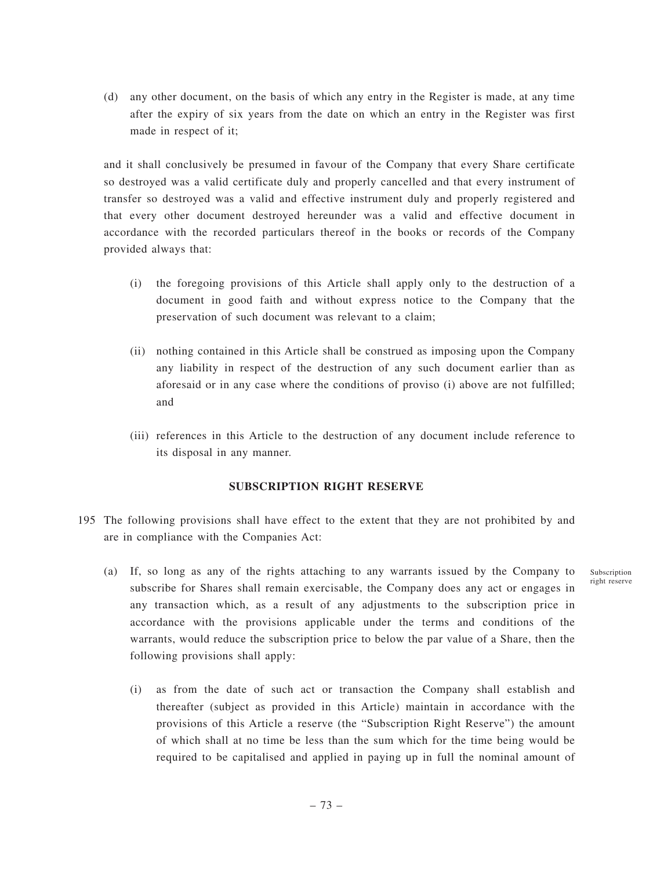(d) any other document, on the basis of which any entry in the Register is made, at any time after the expiry of six years from the date on which an entry in the Register was first made in respect of it;

and it shall conclusively be presumed in favour of the Company that every Share certificate so destroyed was a valid certificate duly and properly cancelled and that every instrument of transfer so destroyed was a valid and effective instrument duly and properly registered and that every other document destroyed hereunder was a valid and effective document in accordance with the recorded particulars thereof in the books or records of the Company provided always that:

- (i) the foregoing provisions of this Article shall apply only to the destruction of a document in good faith and without express notice to the Company that the preservation of such document was relevant to a claim;
- (ii) nothing contained in this Article shall be construed as imposing upon the Company any liability in respect of the destruction of any such document earlier than as aforesaid or in any case where the conditions of proviso (i) above are not fulfilled; and
- (iii) references in this Article to the destruction of any document include reference to its disposal in any manner.

# **SUBSCRIPTION RIGHT RESERVE**

- 195 The following provisions shall have effect to the extent that they are not prohibited by and are in compliance with the Companies Act:
	- (a) If, so long as any of the rights attaching to any warrants issued by the Company to subscribe for Shares shall remain exercisable, the Company does any act or engages in any transaction which, as a result of any adjustments to the subscription price in accordance with the provisions applicable under the terms and conditions of the warrants, would reduce the subscription price to below the par value of a Share, then the following provisions shall apply:
		- (i) as from the date of such act or transaction the Company shall establish and thereafter (subject as provided in this Article) maintain in accordance with the provisions of this Article a reserve (the "Subscription Right Reserve") the amount of which shall at no time be less than the sum which for the time being would be required to be capitalised and applied in paying up in full the nominal amount of

Subscription right reserve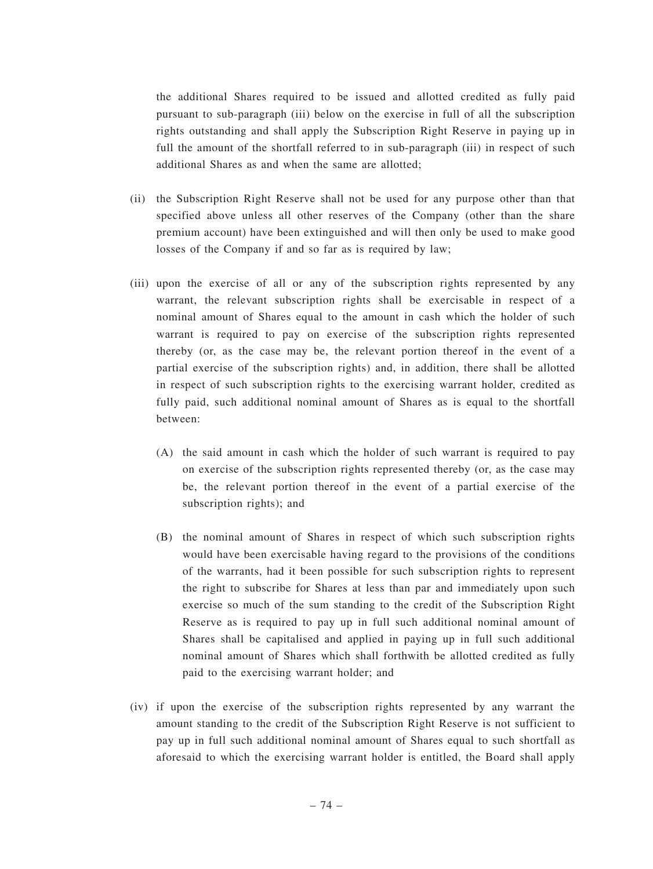the additional Shares required to be issued and allotted credited as fully paid pursuant to sub-paragraph (iii) below on the exercise in full of all the subscription rights outstanding and shall apply the Subscription Right Reserve in paying up in full the amount of the shortfall referred to in sub-paragraph (iii) in respect of such additional Shares as and when the same are allotted;

- (ii) the Subscription Right Reserve shall not be used for any purpose other than that specified above unless all other reserves of the Company (other than the share premium account) have been extinguished and will then only be used to make good losses of the Company if and so far as is required by law;
- (iii) upon the exercise of all or any of the subscription rights represented by any warrant, the relevant subscription rights shall be exercisable in respect of a nominal amount of Shares equal to the amount in cash which the holder of such warrant is required to pay on exercise of the subscription rights represented thereby (or, as the case may be, the relevant portion thereof in the event of a partial exercise of the subscription rights) and, in addition, there shall be allotted in respect of such subscription rights to the exercising warrant holder, credited as fully paid, such additional nominal amount of Shares as is equal to the shortfall between:
	- (A) the said amount in cash which the holder of such warrant is required to pay on exercise of the subscription rights represented thereby (or, as the case may be, the relevant portion thereof in the event of a partial exercise of the subscription rights); and
	- (B) the nominal amount of Shares in respect of which such subscription rights would have been exercisable having regard to the provisions of the conditions of the warrants, had it been possible for such subscription rights to represent the right to subscribe for Shares at less than par and immediately upon such exercise so much of the sum standing to the credit of the Subscription Right Reserve as is required to pay up in full such additional nominal amount of Shares shall be capitalised and applied in paying up in full such additional nominal amount of Shares which shall forthwith be allotted credited as fully paid to the exercising warrant holder; and
- (iv) if upon the exercise of the subscription rights represented by any warrant the amount standing to the credit of the Subscription Right Reserve is not sufficient to pay up in full such additional nominal amount of Shares equal to such shortfall as aforesaid to which the exercising warrant holder is entitled, the Board shall apply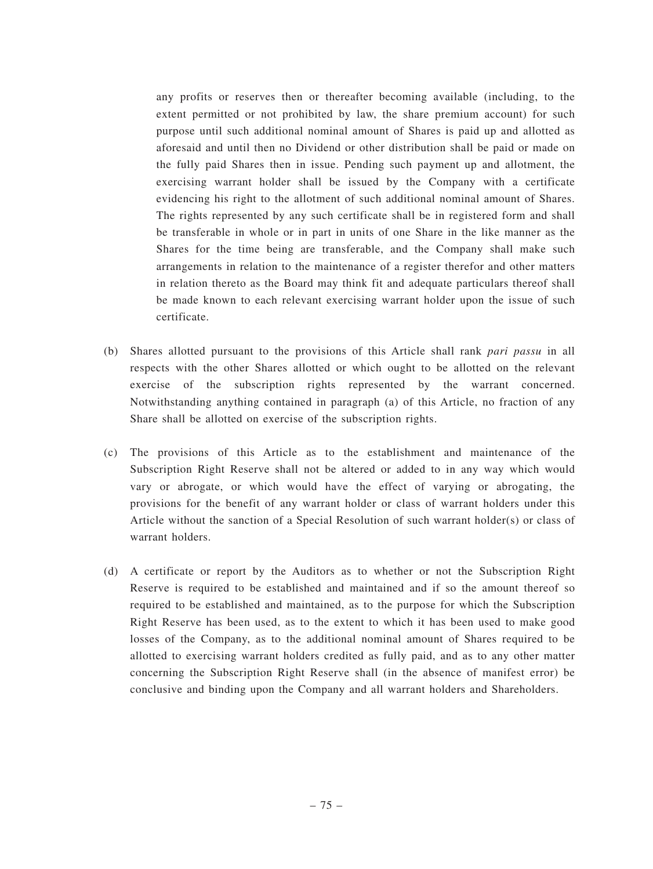any profits or reserves then or thereafter becoming available (including, to the extent permitted or not prohibited by law, the share premium account) for such purpose until such additional nominal amount of Shares is paid up and allotted as aforesaid and until then no Dividend or other distribution shall be paid or made on the fully paid Shares then in issue. Pending such payment up and allotment, the exercising warrant holder shall be issued by the Company with a certificate evidencing his right to the allotment of such additional nominal amount of Shares. The rights represented by any such certificate shall be in registered form and shall be transferable in whole or in part in units of one Share in the like manner as the Shares for the time being are transferable, and the Company shall make such arrangements in relation to the maintenance of a register therefor and other matters in relation thereto as the Board may think fit and adequate particulars thereof shall be made known to each relevant exercising warrant holder upon the issue of such certificate.

- (b) Shares allotted pursuant to the provisions of this Article shall rank *pari passu* in all respects with the other Shares allotted or which ought to be allotted on the relevant exercise of the subscription rights represented by the warrant concerned. Notwithstanding anything contained in paragraph (a) of this Article, no fraction of any Share shall be allotted on exercise of the subscription rights.
- (c) The provisions of this Article as to the establishment and maintenance of the Subscription Right Reserve shall not be altered or added to in any way which would vary or abrogate, or which would have the effect of varying or abrogating, the provisions for the benefit of any warrant holder or class of warrant holders under this Article without the sanction of a Special Resolution of such warrant holder(s) or class of warrant holders.
- (d) A certificate or report by the Auditors as to whether or not the Subscription Right Reserve is required to be established and maintained and if so the amount thereof so required to be established and maintained, as to the purpose for which the Subscription Right Reserve has been used, as to the extent to which it has been used to make good losses of the Company, as to the additional nominal amount of Shares required to be allotted to exercising warrant holders credited as fully paid, and as to any other matter concerning the Subscription Right Reserve shall (in the absence of manifest error) be conclusive and binding upon the Company and all warrant holders and Shareholders.